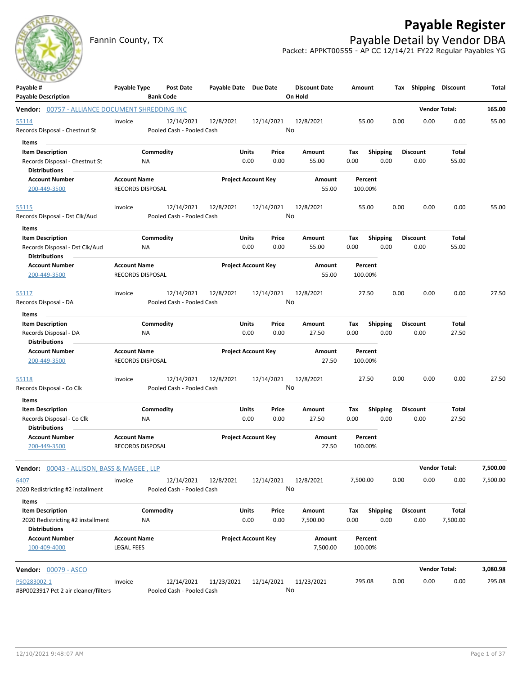

# **Payable Register**

Fannin County, TX **Payable Detail by Vendor DBA** Packet: APPKT00555 - AP CC 12/14/21 FY22 Regular Payables YG

|                                                 | <b>Post Date</b><br><b>Bank Code</b> |                                                                                                                                                                                                                                                                                                                                                                                             |                                                                                                                                                                            |                                                                 | <b>Discount Date</b>                                                                                                                                                                                                                                                             |                                                                |                         |                                                                                                                                                                                                                   |                                                                                 | Total                                                                                                                    |
|-------------------------------------------------|--------------------------------------|---------------------------------------------------------------------------------------------------------------------------------------------------------------------------------------------------------------------------------------------------------------------------------------------------------------------------------------------------------------------------------------------|----------------------------------------------------------------------------------------------------------------------------------------------------------------------------|-----------------------------------------------------------------|----------------------------------------------------------------------------------------------------------------------------------------------------------------------------------------------------------------------------------------------------------------------------------|----------------------------------------------------------------|-------------------------|-------------------------------------------------------------------------------------------------------------------------------------------------------------------------------------------------------------------|---------------------------------------------------------------------------------|--------------------------------------------------------------------------------------------------------------------------|
|                                                 |                                      |                                                                                                                                                                                                                                                                                                                                                                                             |                                                                                                                                                                            |                                                                 |                                                                                                                                                                                                                                                                                  |                                                                |                         |                                                                                                                                                                                                                   |                                                                                 | 165.00                                                                                                                   |
| Invoice                                         | 12/14/2021                           | 12/8/2021                                                                                                                                                                                                                                                                                                                                                                                   |                                                                                                                                                                            |                                                                 | 12/8/2021                                                                                                                                                                                                                                                                        |                                                                |                         | 0.00                                                                                                                                                                                                              | 0.00                                                                            | 55.00                                                                                                                    |
|                                                 |                                      |                                                                                                                                                                                                                                                                                                                                                                                             |                                                                                                                                                                            |                                                                 |                                                                                                                                                                                                                                                                                  |                                                                |                         |                                                                                                                                                                                                                   |                                                                                 |                                                                                                                          |
|                                                 |                                      |                                                                                                                                                                                                                                                                                                                                                                                             |                                                                                                                                                                            |                                                                 |                                                                                                                                                                                                                                                                                  |                                                                |                         |                                                                                                                                                                                                                   |                                                                                 |                                                                                                                          |
|                                                 |                                      |                                                                                                                                                                                                                                                                                                                                                                                             |                                                                                                                                                                            |                                                                 |                                                                                                                                                                                                                                                                                  |                                                                |                         |                                                                                                                                                                                                                   |                                                                                 |                                                                                                                          |
|                                                 |                                      |                                                                                                                                                                                                                                                                                                                                                                                             |                                                                                                                                                                            |                                                                 | Amount<br>55.00                                                                                                                                                                                                                                                                  |                                                                |                         |                                                                                                                                                                                                                   |                                                                                 |                                                                                                                          |
| Invoice                                         | 12/14/2021                           | 12/8/2021                                                                                                                                                                                                                                                                                                                                                                                   |                                                                                                                                                                            |                                                                 | 12/8/2021                                                                                                                                                                                                                                                                        |                                                                |                         | 0.00                                                                                                                                                                                                              | 0.00                                                                            | 55.00                                                                                                                    |
|                                                 |                                      |                                                                                                                                                                                                                                                                                                                                                                                             |                                                                                                                                                                            |                                                                 |                                                                                                                                                                                                                                                                                  |                                                                |                         |                                                                                                                                                                                                                   |                                                                                 |                                                                                                                          |
|                                                 | NA                                   |                                                                                                                                                                                                                                                                                                                                                                                             | 0.00                                                                                                                                                                       | Price<br>0.00                                                   | Amount<br>55.00                                                                                                                                                                                                                                                                  | Tax<br>0.00                                                    | <b>Shipping</b><br>0.00 | <b>Discount</b><br>0.00                                                                                                                                                                                           | Total<br>55.00                                                                  |                                                                                                                          |
|                                                 |                                      |                                                                                                                                                                                                                                                                                                                                                                                             |                                                                                                                                                                            |                                                                 | Amount<br>55.00                                                                                                                                                                                                                                                                  |                                                                |                         |                                                                                                                                                                                                                   |                                                                                 |                                                                                                                          |
| Invoice                                         | 12/14/2021                           | 12/8/2021                                                                                                                                                                                                                                                                                                                                                                                   |                                                                                                                                                                            |                                                                 | 12/8/2021                                                                                                                                                                                                                                                                        |                                                                |                         | 0.00                                                                                                                                                                                                              | 0.00                                                                            | 27.50                                                                                                                    |
|                                                 |                                      |                                                                                                                                                                                                                                                                                                                                                                                             |                                                                                                                                                                            |                                                                 |                                                                                                                                                                                                                                                                                  |                                                                |                         |                                                                                                                                                                                                                   |                                                                                 |                                                                                                                          |
|                                                 |                                      |                                                                                                                                                                                                                                                                                                                                                                                             |                                                                                                                                                                            |                                                                 |                                                                                                                                                                                                                                                                                  |                                                                |                         |                                                                                                                                                                                                                   |                                                                                 |                                                                                                                          |
|                                                 | Commodity                            |                                                                                                                                                                                                                                                                                                                                                                                             |                                                                                                                                                                            | Price                                                           | Amount                                                                                                                                                                                                                                                                           | Tax                                                            | <b>Shipping</b>         | <b>Discount</b>                                                                                                                                                                                                   | Total                                                                           |                                                                                                                          |
|                                                 | ΝA                                   |                                                                                                                                                                                                                                                                                                                                                                                             | 0.00                                                                                                                                                                       | 0.00                                                            | 27.50                                                                                                                                                                                                                                                                            | 0.00                                                           | 0.00                    | 0.00                                                                                                                                                                                                              | 27.50                                                                           |                                                                                                                          |
|                                                 |                                      |                                                                                                                                                                                                                                                                                                                                                                                             |                                                                                                                                                                            |                                                                 | Amount<br>27.50                                                                                                                                                                                                                                                                  |                                                                |                         |                                                                                                                                                                                                                   |                                                                                 |                                                                                                                          |
| Invoice                                         | 12/14/2021                           | 12/8/2021                                                                                                                                                                                                                                                                                                                                                                                   |                                                                                                                                                                            |                                                                 | 12/8/2021                                                                                                                                                                                                                                                                        |                                                                |                         | 0.00                                                                                                                                                                                                              | 0.00                                                                            | 27.50                                                                                                                    |
|                                                 |                                      |                                                                                                                                                                                                                                                                                                                                                                                             |                                                                                                                                                                            |                                                                 |                                                                                                                                                                                                                                                                                  |                                                                |                         |                                                                                                                                                                                                                   |                                                                                 |                                                                                                                          |
|                                                 | Commodity                            |                                                                                                                                                                                                                                                                                                                                                                                             |                                                                                                                                                                            | Price                                                           | Amount                                                                                                                                                                                                                                                                           | Тах                                                            | <b>Shipping</b>         | <b>Discount</b>                                                                                                                                                                                                   | Total                                                                           |                                                                                                                          |
|                                                 | ΝA                                   |                                                                                                                                                                                                                                                                                                                                                                                             | 0.00                                                                                                                                                                       | 0.00                                                            | 27.50                                                                                                                                                                                                                                                                            | 0.00                                                           |                         |                                                                                                                                                                                                                   |                                                                                 |                                                                                                                          |
|                                                 |                                      |                                                                                                                                                                                                                                                                                                                                                                                             |                                                                                                                                                                            |                                                                 | Amount<br>27.50                                                                                                                                                                                                                                                                  |                                                                |                         |                                                                                                                                                                                                                   |                                                                                 |                                                                                                                          |
|                                                 |                                      |                                                                                                                                                                                                                                                                                                                                                                                             |                                                                                                                                                                            |                                                                 |                                                                                                                                                                                                                                                                                  |                                                                |                         |                                                                                                                                                                                                                   |                                                                                 | 7,500.00                                                                                                                 |
| Invoice                                         | 12/14/2021                           | 12/8/2021                                                                                                                                                                                                                                                                                                                                                                                   |                                                                                                                                                                            |                                                                 | 12/8/2021                                                                                                                                                                                                                                                                        |                                                                |                         | 0.00                                                                                                                                                                                                              | 0.00                                                                            | 7,500.00                                                                                                                 |
|                                                 |                                      |                                                                                                                                                                                                                                                                                                                                                                                             |                                                                                                                                                                            |                                                                 |                                                                                                                                                                                                                                                                                  |                                                                |                         |                                                                                                                                                                                                                   |                                                                                 |                                                                                                                          |
|                                                 | Commodity                            |                                                                                                                                                                                                                                                                                                                                                                                             |                                                                                                                                                                            | Price                                                           | Amount                                                                                                                                                                                                                                                                           | Тах                                                            | <b>Shipping</b>         | <b>Discount</b>                                                                                                                                                                                                   | Total                                                                           |                                                                                                                          |
|                                                 | ΝA                                   |                                                                                                                                                                                                                                                                                                                                                                                             | 0.00                                                                                                                                                                       | 0.00                                                            | 7,500.00                                                                                                                                                                                                                                                                         | 0.00                                                           | 0.00                    | 0.00                                                                                                                                                                                                              | 7,500.00                                                                        |                                                                                                                          |
|                                                 |                                      |                                                                                                                                                                                                                                                                                                                                                                                             |                                                                                                                                                                            |                                                                 | Amount<br>7,500.00                                                                                                                                                                                                                                                               |                                                                |                         |                                                                                                                                                                                                                   |                                                                                 |                                                                                                                          |
|                                                 |                                      |                                                                                                                                                                                                                                                                                                                                                                                             |                                                                                                                                                                            |                                                                 |                                                                                                                                                                                                                                                                                  |                                                                |                         |                                                                                                                                                                                                                   |                                                                                 | 3,080.98                                                                                                                 |
| Invoice<br>#BP0023917 Pct 2 air cleaner/filters | 12/14/2021                           |                                                                                                                                                                                                                                                                                                                                                                                             |                                                                                                                                                                            |                                                                 | 11/23/2021                                                                                                                                                                                                                                                                       |                                                                |                         | 0.00                                                                                                                                                                                                              | 0.00                                                                            | 295.08                                                                                                                   |
|                                                 |                                      | Payable Type<br>Vendor: 00757 - ALLIANCE DOCUMENT SHREDDING INC<br>Commodity<br>ΝA<br><b>Account Name</b><br><b>RECORDS DISPOSAL</b><br>Commodity<br><b>Account Name</b><br>RECORDS DISPOSAL<br><b>Account Name</b><br>RECORDS DISPOSAL<br><b>Account Name</b><br><b>RECORDS DISPOSAL</b><br><b>Vendor:</b> 00043 - ALLISON, BASS & MAGEE , LLP<br><b>Account Name</b><br><b>LEGAL FEES</b> | Pooled Cash - Pooled Cash<br>Pooled Cash - Pooled Cash<br>Pooled Cash - Pooled Cash<br>Pooled Cash - Pooled Cash<br>Pooled Cash - Pooled Cash<br>Pooled Cash - Pooled Cash | Units<br>0.00<br>Units<br>Units<br>Units<br>Units<br>11/23/2021 | Payable Date Due Date<br>12/14/2021<br>Price<br>0.00<br><b>Project Account Key</b><br>12/14/2021<br><b>Project Account Key</b><br>12/14/2021<br><b>Project Account Key</b><br>12/14/2021<br><b>Project Account Key</b><br>12/14/2021<br><b>Project Account Key</b><br>12/14/2021 | On Hold<br>No<br>Amount<br>55.00<br>No<br>No<br>No<br>No<br>No | Tax<br>0.00             | Amount<br>55.00<br><b>Shipping</b><br>0.00<br>Percent<br>100.00%<br>55.00<br>Percent<br>100.00%<br>27.50<br>Percent<br>100.00%<br>27.50<br>0.00<br>Percent<br>100.00%<br>7,500.00<br>Percent<br>100.00%<br>295.08 | 0.00<br><b>Discount</b><br>0.00<br>0.00<br>0.00<br>0.00<br>0.00<br>0.00<br>0.00 | Tax Shipping Discount<br><b>Vendor Total:</b><br>Total<br>55.00<br>27.50<br><b>Vendor Total:</b><br><b>Vendor Total:</b> |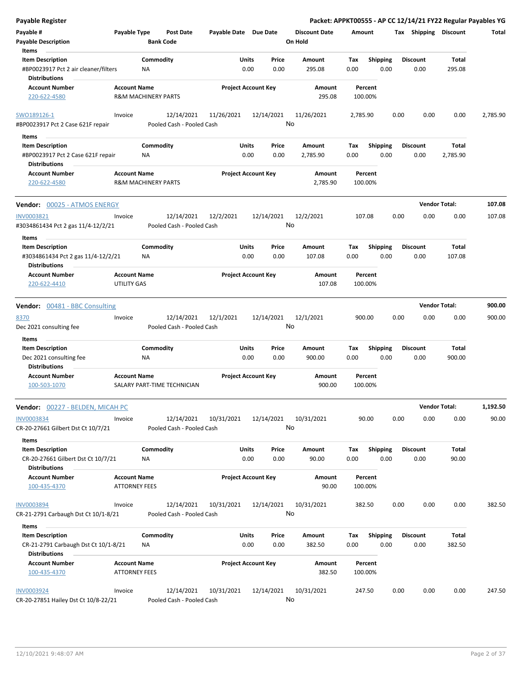| <b>Payable Register</b>                                                                 |                                             |                                         |                       |                                |                                 |             |                         |      |                         | Packet: APPKT00555 - AP CC 12/14/21 FY22 Regular Payables YG |          |
|-----------------------------------------------------------------------------------------|---------------------------------------------|-----------------------------------------|-----------------------|--------------------------------|---------------------------------|-------------|-------------------------|------|-------------------------|--------------------------------------------------------------|----------|
| Payable #<br><b>Payable Description</b>                                                 | Payable Type                                | <b>Post Date</b><br><b>Bank Code</b>    | Payable Date Due Date |                                | <b>Discount Date</b><br>On Hold | Amount      |                         |      |                         | Tax Shipping Discount                                        | Total    |
| Items                                                                                   |                                             |                                         |                       |                                |                                 |             |                         |      |                         |                                                              |          |
| <b>Item Description</b><br>#BP0023917 Pct 2 air cleaner/filters<br><b>Distributions</b> |                                             | Commodity<br><b>NA</b>                  |                       | Units<br>Price<br>0.00<br>0.00 | Amount<br>295.08                | Tax<br>0.00 | Shipping<br>0.00        |      | <b>Discount</b><br>0.00 | <b>Total</b><br>295.08                                       |          |
| <b>Account Number</b>                                                                   | <b>Account Name</b>                         |                                         |                       | <b>Project Account Key</b>     | Amount                          |             | Percent                 |      |                         |                                                              |          |
| 220-622-4580                                                                            |                                             | <b>R&amp;M MACHINERY PARTS</b>          |                       |                                | 295.08                          | 100.00%     |                         |      |                         |                                                              |          |
| SWO189126-1<br>#BP0023917 Pct 2 Case 621F repair                                        | Invoice                                     | 12/14/2021<br>Pooled Cash - Pooled Cash | 11/26/2021            | 12/14/2021                     | 11/26/2021<br>No                | 2,785.90    |                         | 0.00 | 0.00                    | 0.00                                                         | 2,785.90 |
| Items                                                                                   |                                             |                                         |                       |                                |                                 |             |                         |      |                         |                                                              |          |
| <b>Item Description</b>                                                                 |                                             | Commodity                               |                       | Units<br>Price                 | Amount                          | Tax         | <b>Shipping</b>         |      | <b>Discount</b>         | Total                                                        |          |
| #BP0023917 Pct 2 Case 621F repair<br><b>Distributions</b>                               |                                             | ΝA                                      |                       | 0.00<br>0.00                   | 2,785.90                        | 0.00        | 0.00                    |      | 0.00                    | 2,785.90                                                     |          |
| <b>Account Number</b>                                                                   | <b>Account Name</b>                         |                                         |                       | <b>Project Account Key</b>     | Amount                          |             | Percent                 |      |                         |                                                              |          |
| 220-622-4580                                                                            |                                             | <b>R&amp;M MACHINERY PARTS</b>          |                       |                                | 2,785.90                        | 100.00%     |                         |      |                         |                                                              |          |
| <b>Vendor:</b> 00025 - ATMOS ENERGY                                                     |                                             |                                         |                       |                                |                                 |             |                         |      |                         | <b>Vendor Total:</b>                                         | 107.08   |
| INV0003821<br>#3034861434 Pct 2 gas 11/4-12/2/21                                        | Invoice                                     | 12/14/2021<br>Pooled Cash - Pooled Cash | 12/2/2021             | 12/14/2021                     | 12/2/2021<br>No                 | 107.08      |                         | 0.00 | 0.00                    | 0.00                                                         | 107.08   |
| Items                                                                                   |                                             |                                         |                       |                                |                                 |             |                         |      | <b>Discount</b>         |                                                              |          |
| <b>Item Description</b><br>#3034861434 Pct 2 gas 11/4-12/2/21<br><b>Distributions</b>   |                                             | Commodity<br>ΝA                         |                       | Units<br>Price<br>0.00<br>0.00 | Amount<br>107.08                | Tax<br>0.00 | <b>Shipping</b><br>0.00 |      | 0.00                    | <b>Total</b><br>107.08                                       |          |
| <b>Account Number</b><br>220-622-4410                                                   | <b>Account Name</b><br>UTILITY GAS          |                                         |                       | <b>Project Account Key</b>     | Amount<br>107.08                | 100.00%     | Percent                 |      |                         |                                                              |          |
| <b>Vendor:</b> 00481 - BBC Consulting                                                   |                                             |                                         |                       |                                |                                 |             |                         |      |                         | <b>Vendor Total:</b>                                         | 900.00   |
| 8370                                                                                    | Invoice                                     | 12/14/2021                              | 12/1/2021             | 12/14/2021                     | 12/1/2021                       | 900.00      |                         | 0.00 | 0.00                    | 0.00                                                         | 900.00   |
| Dec 2021 consulting fee<br>Items                                                        |                                             | Pooled Cash - Pooled Cash               |                       |                                | No                              |             |                         |      |                         |                                                              |          |
| <b>Item Description</b>                                                                 |                                             | Commodity                               |                       | Units<br>Price                 | Amount                          | Tax         | <b>Shipping</b>         |      | <b>Discount</b>         | Total                                                        |          |
| Dec 2021 consulting fee<br><b>Distributions</b>                                         |                                             | ΝA                                      |                       | 0.00<br>0.00                   | 900.00                          | 0.00        | 0.00                    |      | 0.00                    | 900.00                                                       |          |
| <b>Account Number</b><br>100-503-1070                                                   | <b>Account Name</b>                         | SALARY PART-TIME TECHNICIAN             |                       | <b>Project Account Key</b>     | Amount<br>900.00                | 100.00%     | Percent                 |      |                         |                                                              |          |
| <b>Vendor:</b> 00227 - BELDEN, MICAH PC                                                 |                                             |                                         |                       |                                |                                 |             |                         |      |                         | <b>Vendor Total:</b>                                         | 1,192.50 |
| <b>INV0003834</b><br>CR-20-27661 Gilbert Dst Ct 10/7/21                                 | Invoice                                     | 12/14/2021<br>Pooled Cash - Pooled Cash | 10/31/2021            | 12/14/2021                     | 10/31/2021<br>No                |             | 90.00                   | 0.00 | 0.00                    | 0.00                                                         | 90.00    |
| Items                                                                                   |                                             |                                         |                       |                                |                                 |             |                         |      |                         |                                                              |          |
| <b>Item Description</b><br>CR-20-27661 Gilbert Dst Ct 10/7/21                           |                                             | Commodity<br>ΝA                         |                       | Units<br>Price<br>0.00<br>0.00 | Amount<br>90.00                 | Tax<br>0.00 | <b>Shipping</b><br>0.00 |      | <b>Discount</b><br>0.00 | <b>Total</b><br>90.00                                        |          |
| <b>Distributions</b>                                                                    |                                             |                                         |                       |                                |                                 |             | Percent                 |      |                         |                                                              |          |
| <b>Account Number</b><br>100-435-4370                                                   | <b>Account Name</b><br><b>ATTORNEY FEES</b> |                                         |                       | <b>Project Account Key</b>     | Amount<br>90.00                 | 100.00%     |                         |      |                         |                                                              |          |
| <b>INV0003894</b><br>CR-21-2791 Carbaugh Dst Ct 10/1-8/21                               | Invoice                                     | 12/14/2021<br>Pooled Cash - Pooled Cash | 10/31/2021            | 12/14/2021                     | 10/31/2021<br>No                | 382.50      |                         | 0.00 | 0.00                    | 0.00                                                         | 382.50   |
| Items                                                                                   |                                             |                                         |                       |                                |                                 |             |                         |      |                         |                                                              |          |
| <b>Item Description</b>                                                                 |                                             | Commodity                               |                       | Units<br>Price                 | Amount                          | Tax         | <b>Shipping</b>         |      | <b>Discount</b>         | Total                                                        |          |
| CR-21-2791 Carbaugh Dst Ct 10/1-8/21<br><b>Distributions</b>                            |                                             | NA                                      |                       | 0.00<br>0.00                   | 382.50                          | 0.00        | 0.00                    |      | 0.00                    | 382.50                                                       |          |
| <b>Account Number</b><br>100-435-4370                                                   | <b>Account Name</b><br><b>ATTORNEY FEES</b> |                                         |                       | <b>Project Account Key</b>     | Amount<br>382.50                | 100.00%     | Percent                 |      |                         |                                                              |          |
| <b>INV0003924</b><br>CR-20-27851 Hailey Dst Ct 10/8-22/21                               | Invoice                                     | 12/14/2021<br>Pooled Cash - Pooled Cash | 10/31/2021            | 12/14/2021                     | 10/31/2021<br>No                | 247.50      |                         | 0.00 | 0.00                    | 0.00                                                         | 247.50   |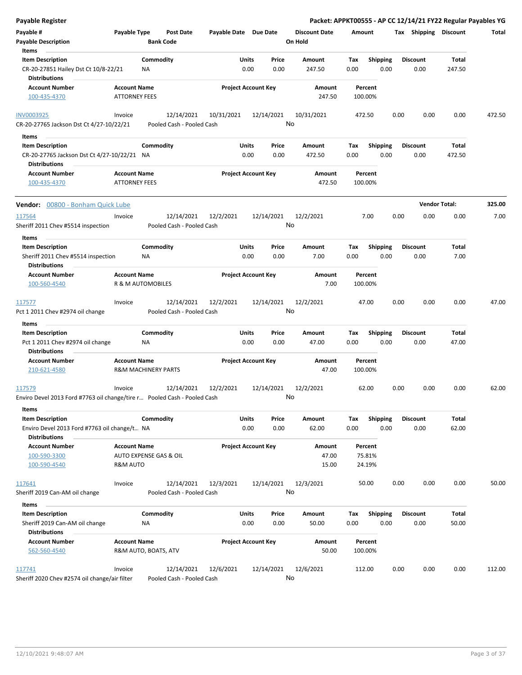| <b>Payable Register</b>                                                  |                                             |                                |                       |                            |                      |         |                 |      |                       | Packet: APPKT00555 - AP CC 12/14/21 FY22 Regular Payables YG |        |
|--------------------------------------------------------------------------|---------------------------------------------|--------------------------------|-----------------------|----------------------------|----------------------|---------|-----------------|------|-----------------------|--------------------------------------------------------------|--------|
| Payable #                                                                | Payable Type                                | <b>Post Date</b>               | Payable Date Due Date |                            | <b>Discount Date</b> | Amount  |                 |      | Tax Shipping Discount |                                                              | Total  |
| <b>Payable Description</b>                                               |                                             | <b>Bank Code</b>               |                       |                            | On Hold              |         |                 |      |                       |                                                              |        |
| Items                                                                    |                                             |                                |                       |                            |                      |         |                 |      |                       |                                                              |        |
| <b>Item Description</b>                                                  |                                             | Commodity                      | Units                 | Price                      | Amount               | Tax     | <b>Shipping</b> |      | <b>Discount</b>       | Total                                                        |        |
| CR-20-27851 Hailey Dst Ct 10/8-22/21<br><b>Distributions</b>             |                                             | NA                             |                       | 0.00<br>0.00               | 247.50               | 0.00    | 0.00            |      | 0.00                  | 247.50                                                       |        |
| <b>Account Number</b>                                                    | <b>Account Name</b>                         |                                |                       | <b>Project Account Key</b> | Amount               |         | Percent         |      |                       |                                                              |        |
| 100-435-4370                                                             | <b>ATTORNEY FEES</b>                        |                                |                       |                            | 247.50               | 100.00% |                 |      |                       |                                                              |        |
| <b>INV0003925</b>                                                        | Invoice                                     | 12/14/2021                     | 10/31/2021            | 12/14/2021                 | 10/31/2021           | 472.50  |                 | 0.00 | 0.00                  | 0.00                                                         | 472.50 |
| CR-20-27765 Jackson Dst Ct 4/27-10/22/21                                 |                                             | Pooled Cash - Pooled Cash      |                       |                            | No                   |         |                 |      |                       |                                                              |        |
| Items                                                                    |                                             |                                |                       |                            |                      |         |                 |      |                       |                                                              |        |
| <b>Item Description</b>                                                  |                                             | Commodity                      | Units                 | Price                      | Amount               | Tax     | <b>Shipping</b> |      | <b>Discount</b>       | Total                                                        |        |
| CR-20-27765 Jackson Dst Ct 4/27-10/22/21 NA                              |                                             |                                |                       | 0.00<br>0.00               | 472.50               | 0.00    | 0.00            |      | 0.00                  | 472.50                                                       |        |
| <b>Distributions</b>                                                     |                                             |                                |                       |                            |                      |         |                 |      |                       |                                                              |        |
| <b>Account Number</b><br>100-435-4370                                    | <b>Account Name</b><br><b>ATTORNEY FEES</b> |                                |                       | <b>Project Account Key</b> | Amount<br>472.50     | 100.00% | Percent         |      |                       |                                                              |        |
| Vendor: 00800 - Bonham Quick Lube                                        |                                             |                                |                       |                            |                      |         |                 |      |                       | <b>Vendor Total:</b>                                         | 325.00 |
| 117564                                                                   | Invoice                                     | 12/14/2021                     | 12/2/2021             | 12/14/2021                 | 12/2/2021            |         | 7.00            | 0.00 | 0.00                  | 0.00                                                         | 7.00   |
| Sheriff 2011 Chev #5514 inspection                                       |                                             | Pooled Cash - Pooled Cash      |                       |                            | No                   |         |                 |      |                       |                                                              |        |
| Items                                                                    |                                             |                                |                       |                            |                      |         |                 |      |                       |                                                              |        |
| <b>Item Description</b>                                                  |                                             | Commodity                      | Units                 | Price                      | Amount               | Tax     | <b>Shipping</b> |      | <b>Discount</b>       | Total                                                        |        |
| Sheriff 2011 Chev #5514 inspection<br><b>Distributions</b>               |                                             | ΝA                             |                       | 0.00<br>0.00               | 7.00                 | 0.00    | 0.00            |      | 0.00                  | 7.00                                                         |        |
| <b>Account Number</b>                                                    | <b>Account Name</b>                         |                                |                       | <b>Project Account Key</b> | Amount               |         | Percent         |      |                       |                                                              |        |
| 100-560-4540                                                             |                                             | <b>R &amp; M AUTOMOBILES</b>   |                       |                            | 7.00                 | 100.00% |                 |      |                       |                                                              |        |
| 117577                                                                   | Invoice                                     | 12/14/2021                     | 12/2/2021             | 12/14/2021                 | 12/2/2021            |         | 47.00           | 0.00 | 0.00                  | 0.00                                                         | 47.00  |
| Pct 1 2011 Chev #2974 oil change                                         |                                             | Pooled Cash - Pooled Cash      |                       |                            | No                   |         |                 |      |                       |                                                              |        |
| Items                                                                    |                                             |                                |                       |                            |                      |         |                 |      |                       |                                                              |        |
| <b>Item Description</b>                                                  |                                             | Commodity                      | Units                 | Price                      | Amount               | Tax     | Shipping        |      | <b>Discount</b>       | Total                                                        |        |
| Pct 1 2011 Chev #2974 oil change                                         |                                             | <b>NA</b>                      |                       | 0.00<br>0.00               | 47.00                | 0.00    | 0.00            |      | 0.00                  | 47.00                                                        |        |
| <b>Distributions</b>                                                     |                                             |                                |                       |                            |                      |         |                 |      |                       |                                                              |        |
| <b>Account Number</b>                                                    | <b>Account Name</b>                         |                                |                       | <b>Project Account Key</b> | Amount               |         | Percent         |      |                       |                                                              |        |
| 210-621-4580                                                             |                                             | <b>R&amp;M MACHINERY PARTS</b> |                       |                            | 47.00                | 100.00% |                 |      |                       |                                                              |        |
| 117579                                                                   | Invoice                                     | 12/14/2021                     | 12/2/2021             | 12/14/2021                 | 12/2/2021            |         | 62.00           | 0.00 | 0.00                  | 0.00                                                         | 62.00  |
| Enviro Devel 2013 Ford #7763 oil change/tire r Pooled Cash - Pooled Cash |                                             |                                |                       |                            | No                   |         |                 |      |                       |                                                              |        |
| Items                                                                    |                                             |                                |                       |                            |                      |         |                 |      |                       |                                                              |        |
| <b>Item Description</b>                                                  |                                             | Commodity                      | Units                 | Price                      | Amount               | Tax     | <b>Shipping</b> |      | <b>Discount</b>       | Total                                                        |        |
| Enviro Devel 2013 Ford #7763 oil change/t NA<br><b>Distributions</b>     |                                             |                                |                       | 0.00<br>0.00               | 62.00                | 0.00    | 0.00            |      | 0.00                  | 62.00                                                        |        |
| <b>Account Number</b>                                                    | <b>Account Name</b>                         |                                |                       | <b>Project Account Key</b> | <b>Amount</b>        |         | Percent         |      |                       |                                                              |        |
| 100-590-3300                                                             |                                             | AUTO EXPENSE GAS & OIL         |                       |                            | 47.00                |         | 75.81%          |      |                       |                                                              |        |
| 100-590-4540                                                             | R&M AUTO                                    |                                |                       |                            | 15.00                |         | 24.19%          |      |                       |                                                              |        |
| 117641                                                                   | Invoice                                     | 12/14/2021                     | 12/3/2021             | 12/14/2021                 | 12/3/2021            |         | 50.00           | 0.00 | 0.00                  | 0.00                                                         | 50.00  |
| Sheriff 2019 Can-AM oil change                                           |                                             | Pooled Cash - Pooled Cash      |                       |                            | No                   |         |                 |      |                       |                                                              |        |
| Items                                                                    |                                             |                                |                       |                            |                      |         |                 |      |                       |                                                              |        |
| <b>Item Description</b>                                                  |                                             | Commodity                      | Units                 | Price                      | Amount               | Tax     | <b>Shipping</b> |      | <b>Discount</b>       | Total                                                        |        |
| Sheriff 2019 Can-AM oil change                                           |                                             | ΝA                             |                       | 0.00<br>0.00               | 50.00                | 0.00    | 0.00            |      | 0.00                  | 50.00                                                        |        |
| <b>Distributions</b>                                                     |                                             |                                |                       |                            |                      |         |                 |      |                       |                                                              |        |
| <b>Account Number</b>                                                    | <b>Account Name</b>                         |                                |                       | <b>Project Account Key</b> | Amount               |         | Percent         |      |                       |                                                              |        |
| 562-560-4540                                                             |                                             | R&M AUTO, BOATS, ATV           |                       |                            | 50.00                | 100.00% |                 |      |                       |                                                              |        |
| 117741                                                                   | Invoice                                     | 12/14/2021                     | 12/6/2021             | 12/14/2021                 | 12/6/2021            | 112.00  |                 | 0.00 | 0.00                  | 0.00                                                         | 112.00 |
| Sheriff 2020 Chev #2574 oil change/air filter                            |                                             | Pooled Cash - Pooled Cash      |                       |                            | No                   |         |                 |      |                       |                                                              |        |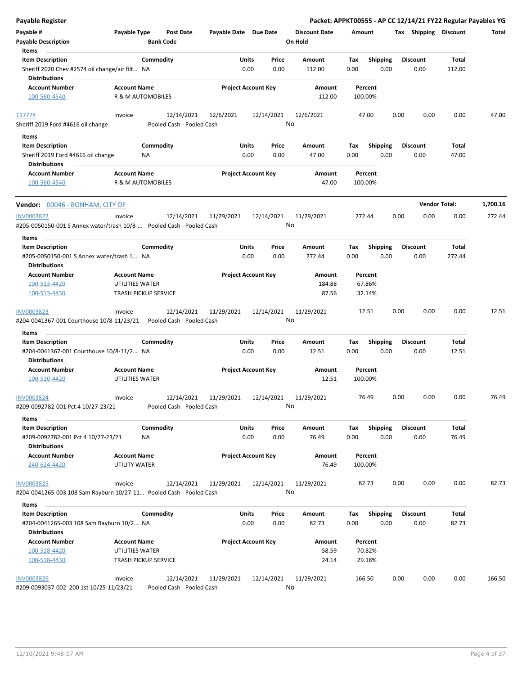| Payable Register                                                                          |                                                |                                         |                       |                            |                                 |                    |                         | Packet: APPKT00555 - AP CC 12/14/21 FY22 Regular Payables YG |                      |          |
|-------------------------------------------------------------------------------------------|------------------------------------------------|-----------------------------------------|-----------------------|----------------------------|---------------------------------|--------------------|-------------------------|--------------------------------------------------------------|----------------------|----------|
| Payable #<br><b>Payable Description</b>                                                   | Payable Type<br><b>Bank Code</b>               | <b>Post Date</b>                        | Payable Date Due Date |                            | <b>Discount Date</b><br>On Hold | Amount             |                         | Tax Shipping Discount                                        |                      | Total    |
| Items<br><b>Item Description</b>                                                          | Commodity                                      |                                         | Units                 | Price                      | Amount                          | Tax                | <b>Shipping</b>         | <b>Discount</b>                                              | Total                |          |
| Sheriff 2020 Chev #2574 oil change/air filt NA<br><b>Distributions</b>                    |                                                |                                         | 0.00                  | 0.00                       | 112.00                          | 0.00               | 0.00                    | 0.00                                                         | 112.00               |          |
| <b>Account Number</b>                                                                     | <b>Account Name</b>                            |                                         |                       | <b>Project Account Key</b> | Amount                          | Percent            |                         |                                                              |                      |          |
| 100-560-4540                                                                              | R & M AUTOMOBILES                              |                                         |                       |                            | 112.00                          | 100.00%            |                         |                                                              |                      |          |
| 117774<br>Sheriff 2019 Ford #4616 oil change                                              | Invoice                                        | 12/14/2021<br>Pooled Cash - Pooled Cash | 12/6/2021             | 12/14/2021                 | 12/6/2021<br>No                 | 47.00              |                         | 0.00<br>0.00                                                 | 0.00                 | 47.00    |
|                                                                                           |                                                |                                         |                       |                            |                                 |                    |                         |                                                              |                      |          |
| Items                                                                                     |                                                |                                         |                       |                            |                                 |                    |                         |                                                              |                      |          |
| <b>Item Description</b><br>Sheriff 2019 Ford #4616 oil change                             | Commodity<br>NA.                               |                                         | Units<br>0.00         | Price<br>0.00              | Amount<br>47.00                 | Tax<br>0.00        | Shipping<br>0.00        | <b>Discount</b><br>0.00                                      | Total<br>47.00       |          |
| <b>Distributions</b><br><b>Account Number</b><br>100-560-4540                             | <b>Account Name</b><br>R & M AUTOMOBILES       |                                         |                       | <b>Project Account Key</b> | Amount<br>47.00                 | Percent<br>100.00% |                         |                                                              |                      |          |
| Vendor: 00046 - BONHAM, CITY OF                                                           |                                                |                                         |                       |                            |                                 |                    |                         |                                                              | <b>Vendor Total:</b> | 1,700.16 |
| <b>INV0003822</b><br>#205-0050150-001 S Annex water/trash 10/8- Pooled Cash - Pooled Cash | Invoice                                        | 12/14/2021                              | 11/29/2021            | 12/14/2021                 | 11/29/2021<br>No                | 272.44             |                         | 0.00<br>0.00                                                 | 0.00                 | 272.44   |
| Items                                                                                     |                                                |                                         |                       |                            |                                 |                    |                         |                                                              |                      |          |
| <b>Item Description</b><br>#205-0050150-001 S Annex water/trash 1 NA                      | Commodity                                      |                                         | Units<br>0.00         | Price<br>0.00              | Amount<br>272.44                | Tax<br>0.00        | <b>Shipping</b><br>0.00 | <b>Discount</b><br>0.00                                      | Total<br>272.44      |          |
| <b>Distributions</b>                                                                      |                                                |                                         |                       |                            |                                 |                    |                         |                                                              |                      |          |
| <b>Account Number</b>                                                                     | <b>Account Name</b>                            |                                         |                       | <b>Project Account Key</b> | Amount                          | Percent            |                         |                                                              |                      |          |
| 100-513-4420<br>100-513-4430                                                              | UTILITIES WATER<br><b>TRASH PICKUP SERVICE</b> |                                         |                       |                            | 184.88<br>87.56                 | 67.86%<br>32.14%   |                         |                                                              |                      |          |
| INV0003823<br>#204-0041367-001 Courthouse 10/8-11/23/21                                   | Invoice                                        | 12/14/2021<br>Pooled Cash - Pooled Cash | 11/29/2021            | 12/14/2021                 | 11/29/2021<br>No                | 12.51              |                         | 0.00<br>0.00                                                 | 0.00                 | 12.51    |
| <b>Items</b>                                                                              |                                                |                                         |                       |                            |                                 |                    |                         |                                                              |                      |          |
| <b>Item Description</b><br>#204-0041367-001 Courthouse 10/8-11/2 NA                       | Commodity                                      |                                         | Units<br>0.00         | Price<br>0.00              | Amount<br>12.51                 | Tax<br>0.00        | <b>Shipping</b><br>0.00 | <b>Discount</b><br>0.00                                      | Total<br>12.51       |          |
| <b>Distributions</b>                                                                      |                                                |                                         |                       |                            |                                 |                    |                         |                                                              |                      |          |
| <b>Account Number</b><br>100-510-4420                                                     | <b>Account Name</b><br>UTILITIES WATER         |                                         |                       | <b>Project Account Key</b> | Amount<br>12.51                 | Percent<br>100.00% |                         |                                                              |                      |          |
| INV0003824<br>#209-0092782-001 Pct 4 10/27-23/21                                          | Invoice                                        | 12/14/2021<br>Pooled Cash - Pooled Cash | 11/29/2021            | 12/14/2021                 | 11/29/2021<br>No                | 76.49              |                         | 0.00<br>0.00                                                 | 0.00                 | 76.49    |
| Items                                                                                     |                                                |                                         |                       |                            |                                 |                    |                         |                                                              |                      |          |
| <b>Item Description</b><br>#209-0092782-001 Pct 4 10/27-23/21                             | Commodity<br>NA                                |                                         | Units<br>0.00         | Price<br>0.00              | Amount<br>76.49                 | Tax<br>0.00        | <b>Shipping</b><br>0.00 | <b>Discount</b><br>0.00                                      | Total<br>76.49       |          |
| <b>Distributions</b><br><b>Account Number</b><br>240-624-4420                             | <b>Account Name</b><br>UTILITY WATER           |                                         |                       | <b>Project Account Key</b> | Amount<br>76.49                 | Percent<br>100.00% |                         |                                                              |                      |          |
| <b>INV0003825</b><br>#204-0041265-003 108 Sam Rayburn 10/27-11 Pooled Cash - Pooled Cash  | Invoice                                        | 12/14/2021                              | 11/29/2021            | 12/14/2021                 | 11/29/2021<br>No                | 82.73              |                         | 0.00<br>0.00                                                 | 0.00                 | 82.73    |
| Items                                                                                     |                                                |                                         |                       |                            |                                 |                    |                         |                                                              |                      |          |
| <b>Item Description</b>                                                                   | Commodity                                      |                                         | Units                 | Price                      | Amount                          | Tax                | Shipping                | <b>Discount</b>                                              | Total                |          |
| #204-0041265-003 108 Sam Rayburn 10/2 NA                                                  |                                                |                                         | 0.00                  | 0.00                       | 82.73                           | 0.00               | 0.00                    | 0.00                                                         | 82.73                |          |
| <b>Distributions</b>                                                                      |                                                |                                         |                       |                            |                                 |                    |                         |                                                              |                      |          |
| <b>Account Number</b>                                                                     | <b>Account Name</b>                            |                                         |                       | <b>Project Account Key</b> | Amount                          | Percent            |                         |                                                              |                      |          |
| 100-518-4420                                                                              | UTILITIES WATER                                |                                         |                       |                            | 58.59                           | 70.82%             |                         |                                                              |                      |          |
| 100-518-4430                                                                              | <b>TRASH PICKUP SERVICE</b>                    |                                         |                       |                            | 24.14                           | 29.18%             |                         |                                                              |                      |          |
| <b>INV0003826</b>                                                                         | Invoice                                        | 12/14/2021                              | 11/29/2021            | 12/14/2021                 | 11/29/2021                      | 166.50             |                         | 0.00<br>0.00                                                 | 0.00                 | 166.50   |
| #209-0093037-002 200 1st 10/25-11/23/21                                                   |                                                | Pooled Cash - Pooled Cash               |                       |                            | No                              |                    |                         |                                                              |                      |          |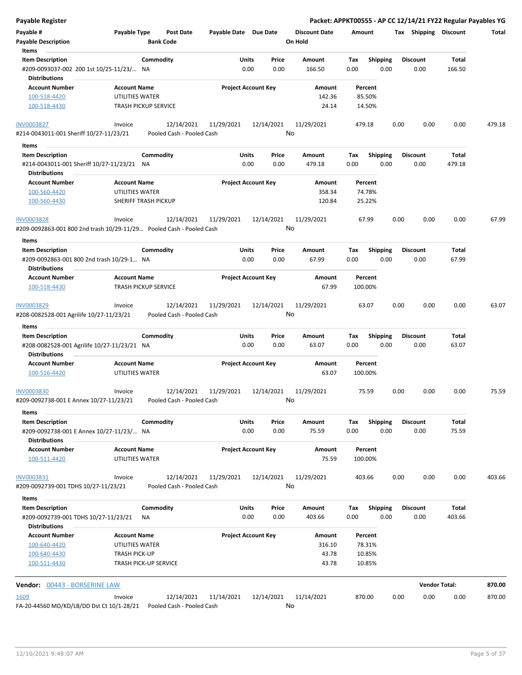| Payable Register                                                     |                                                    |                                                       |                  |                      | Packet: APPKT00555 - AP CC 12/14/21 FY22 Regular Payables YG |                         |                       |                      |        |
|----------------------------------------------------------------------|----------------------------------------------------|-------------------------------------------------------|------------------|----------------------|--------------------------------------------------------------|-------------------------|-----------------------|----------------------|--------|
| Payable #                                                            | Payable Type<br><b>Post Date</b>                   | Payable Date Due Date                                 |                  | <b>Discount Date</b> | Amount                                                       |                         | Tax Shipping Discount |                      | Total  |
| <b>Payable Description</b>                                           | <b>Bank Code</b>                                   |                                                       |                  | On Hold              |                                                              |                         |                       |                      |        |
| Items                                                                |                                                    |                                                       |                  |                      |                                                              |                         |                       |                      |        |
| <b>Item Description</b>                                              | Commodity                                          | Units                                                 | Price            | Amount               | Tax                                                          | <b>Shipping</b>         | <b>Discount</b>       | Total                |        |
| #209-0093037-002 200 1st 10/25-11/23/ NA<br><b>Distributions</b>     |                                                    | 0.00                                                  | 0.00             | 166.50               | 0.00                                                         | 0.00                    | 0.00                  | 166.50               |        |
| <b>Account Number</b>                                                | <b>Account Name</b>                                | <b>Project Account Key</b>                            |                  | Amount               | Percent                                                      |                         |                       |                      |        |
| 100-518-4420                                                         | UTILITIES WATER                                    |                                                       |                  | 142.36               | 85.50%                                                       |                         |                       |                      |        |
| 100-518-4430                                                         | <b>TRASH PICKUP SERVICE</b>                        |                                                       |                  | 24.14                | 14.50%                                                       |                         |                       |                      |        |
|                                                                      |                                                    |                                                       |                  |                      |                                                              |                         |                       |                      |        |
| <b>INV0003827</b><br>#214-0043011-001 Sheriff 10/27-11/23/21         | Invoice                                            | 12/14/2021<br>11/29/2021<br>Pooled Cash - Pooled Cash | 12/14/2021<br>No | 11/29/2021           | 479.18                                                       | 0.00                    | 0.00                  | 0.00                 | 479.18 |
| Items                                                                |                                                    |                                                       |                  |                      |                                                              |                         |                       |                      |        |
| <b>Item Description</b>                                              | Commodity                                          | Units                                                 | Price            | Amount               | Tax                                                          | <b>Shipping</b>         | <b>Discount</b>       | Total                |        |
| #214-0043011-001 Sheriff 10/27-11/23/21 NA                           |                                                    | 0.00                                                  | 0.00             | 479.18               | 0.00                                                         | 0.00                    | 0.00                  | 479.18               |        |
| <b>Distributions</b>                                                 |                                                    |                                                       |                  |                      |                                                              |                         |                       |                      |        |
| <b>Account Number</b>                                                | <b>Account Name</b>                                | <b>Project Account Key</b>                            |                  | Amount               | Percent                                                      |                         |                       |                      |        |
| 100-560-4420                                                         | UTILITIES WATER                                    |                                                       |                  | 358.34               | 74.78%                                                       |                         |                       |                      |        |
| 100-560-4430                                                         | SHERIFF TRASH PICKUP                               |                                                       |                  | 120.84               | 25.22%                                                       |                         |                       |                      |        |
| INV0003828                                                           | Invoice                                            | 12/14/2021<br>11/29/2021                              | 12/14/2021       | 11/29/2021           | 67.99                                                        | 0.00                    | 0.00                  | 0.00                 | 67.99  |
| #209-0092863-001 800 2nd trash 10/29-11/29 Pooled Cash - Pooled Cash |                                                    |                                                       | No               |                      |                                                              |                         |                       |                      |        |
|                                                                      |                                                    |                                                       |                  |                      |                                                              |                         |                       |                      |        |
| Items                                                                |                                                    | <b>Units</b>                                          | Price            |                      |                                                              |                         | <b>Discount</b>       |                      |        |
| <b>Item Description</b>                                              | Commodity                                          | 0.00                                                  |                  | Amount               | Tax                                                          | <b>Shipping</b><br>0.00 |                       | Total<br>67.99       |        |
| #209-0092863-001 800 2nd trash 10/29-1 NA                            |                                                    |                                                       | 0.00             | 67.99                | 0.00                                                         |                         | 0.00                  |                      |        |
| <b>Distributions</b>                                                 |                                                    |                                                       |                  |                      |                                                              |                         |                       |                      |        |
| <b>Account Number</b><br>100-518-4430                                | <b>Account Name</b><br><b>TRASH PICKUP SERVICE</b> | <b>Project Account Key</b>                            |                  | Amount<br>67.99      | Percent<br>100.00%                                           |                         |                       |                      |        |
| <b>INV0003829</b>                                                    | Invoice                                            | 12/14/2021<br>11/29/2021                              | 12/14/2021       | 11/29/2021           | 63.07                                                        | 0.00                    | 0.00                  | 0.00                 | 63.07  |
| #208-0082528-001 Agrilife 10/27-11/23/21                             |                                                    | Pooled Cash - Pooled Cash                             | No               |                      |                                                              |                         |                       |                      |        |
| Items                                                                |                                                    |                                                       |                  |                      |                                                              |                         |                       |                      |        |
| <b>Item Description</b>                                              | Commodity                                          | Units                                                 | Price            | Amount               | Tax                                                          | Shipping                | <b>Discount</b>       | Total                |        |
| #208-0082528-001 Agrilife 10/27-11/23/21 NA                          |                                                    | 0.00                                                  | 0.00             | 63.07                | 0.00                                                         | 0.00                    | 0.00                  | 63.07                |        |
| <b>Distributions</b>                                                 |                                                    |                                                       |                  |                      |                                                              |                         |                       |                      |        |
| <b>Account Number</b>                                                | <b>Account Name</b>                                | <b>Project Account Key</b>                            |                  | Amount               | Percent                                                      |                         |                       |                      |        |
| 100-516-4420                                                         | UTILITIES WATER                                    |                                                       |                  | 63.07                | 100.00%                                                      |                         |                       |                      |        |
| <b>INV0003830</b>                                                    | Invoice                                            | 12/14/2021<br>11/29/2021                              | 12/14/2021       | 11/29/2021           | 75.59                                                        | 0.00                    | 0.00                  | 0.00                 | 75.59  |
| #209-0092738-001 E Annex 10/27-11/23/21                              |                                                    | Pooled Cash - Pooled Cash                             | No               |                      |                                                              |                         |                       |                      |        |
| <b>Items</b>                                                         |                                                    |                                                       |                  |                      |                                                              |                         |                       |                      |        |
| <b>Item Description</b>                                              | Commodity                                          | <b>Units</b>                                          | Price            | Amount               | Tax                                                          | Shipping                | <b>Discount</b>       | Total                |        |
| #209-0092738-001 E Annex 10/27-11/23/ NA                             |                                                    | 0.00                                                  | 0.00             | 75.59                | 0.00                                                         | 0.00                    | 0.00                  | 75.59                |        |
| <b>Distributions</b>                                                 | <b>Account Name</b>                                | <b>Project Account Key</b>                            |                  |                      |                                                              |                         |                       |                      |        |
| <b>Account Number</b><br>100-511-4420                                | UTILITIES WATER                                    |                                                       |                  | Amount<br>75.59      | Percent<br>100.00%                                           |                         |                       |                      |        |
| INV0003831                                                           | Invoice                                            | 12/14/2021<br>11/29/2021                              | 12/14/2021       | 11/29/2021           | 403.66                                                       | 0.00                    | 0.00                  | 0.00                 | 403.66 |
| #209-0092739-001 TDHS 10/27-11/23/21                                 |                                                    | Pooled Cash - Pooled Cash                             | No               |                      |                                                              |                         |                       |                      |        |
| Items                                                                |                                                    |                                                       |                  |                      |                                                              |                         |                       |                      |        |
| <b>Item Description</b>                                              | Commodity                                          | Units                                                 | Price            | Amount               | Tax                                                          | <b>Shipping</b>         | <b>Discount</b>       | Total                |        |
| #209-0092739-001 TDHS 10/27-11/23/21<br><b>Distributions</b>         | ΝA                                                 | 0.00                                                  | 0.00             | 403.66               | 0.00                                                         | 0.00                    | 0.00                  | 403.66               |        |
| <b>Account Number</b>                                                | <b>Account Name</b>                                | <b>Project Account Key</b>                            |                  | Amount               | Percent                                                      |                         |                       |                      |        |
| 100-640-4420                                                         | UTILITIES WATER                                    |                                                       |                  | 316.10               | 78.31%                                                       |                         |                       |                      |        |
| 100-640-4430                                                         |                                                    |                                                       |                  | 43.78                | 10.85%                                                       |                         |                       |                      |        |
| 100-511-4430                                                         | <b>TRASH PICK-UP</b><br>TRASH PICK-UP SERVICE      |                                                       |                  | 43.78                | 10.85%                                                       |                         |                       |                      |        |
|                                                                      |                                                    |                                                       |                  |                      |                                                              |                         |                       |                      |        |
| Vendor: 00443 - BORSERINE LAW                                        |                                                    |                                                       |                  |                      |                                                              |                         |                       | <b>Vendor Total:</b> | 870.00 |
| 1609                                                                 | Invoice                                            | 12/14/2021<br>11/14/2021                              | 12/14/2021       | 11/14/2021           | 870.00                                                       | 0.00                    | 0.00                  | 0.00                 | 870.00 |
| FA-20-44560 MD/KD/LB/DD Dst Ct 10/1-28/21                            |                                                    | Pooled Cash - Pooled Cash                             | No               |                      |                                                              |                         |                       |                      |        |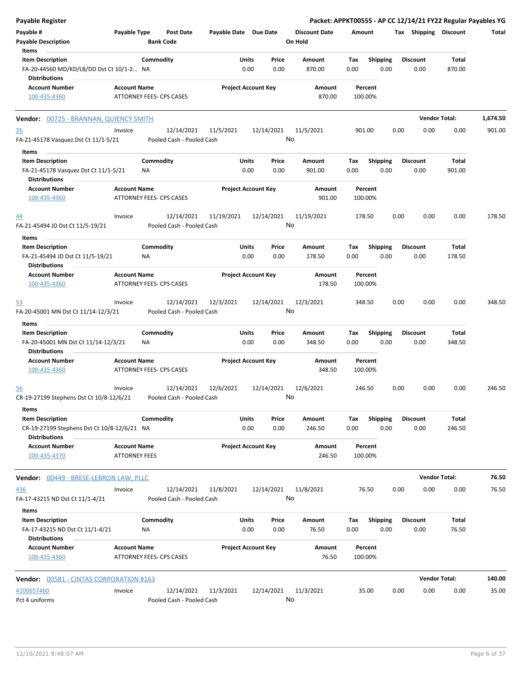| <b>Payable Register</b>                                                                              |                                             |                 |                                         |                            |               |                  |                                 |             |                         |      |                         | Packet: APPKT00555 - AP CC 12/14/21 FY22 Regular Payables YG |          |
|------------------------------------------------------------------------------------------------------|---------------------------------------------|-----------------|-----------------------------------------|----------------------------|---------------|------------------|---------------------------------|-------------|-------------------------|------|-------------------------|--------------------------------------------------------------|----------|
| Payable #<br><b>Payable Description</b>                                                              | Payable Type                                |                 | <b>Post Date</b><br><b>Bank Code</b>    | Payable Date Due Date      |               |                  | <b>Discount Date</b><br>On Hold | Amount      |                         |      | Tax Shipping Discount   |                                                              | Total    |
| Items<br><b>Item Description</b><br>FA-20-44560 MD/KD/LB/DD Dst Ct 10/1-2 NA<br><b>Distributions</b> |                                             | Commodity       |                                         |                            | Units<br>0.00 | Price<br>0.00    | Amount<br>870.00                | Tax<br>0.00 | <b>Shipping</b><br>0.00 |      | <b>Discount</b><br>0.00 | Total<br>870.00                                              |          |
| <b>Account Number</b><br>100-435-4360                                                                | <b>Account Name</b>                         |                 | ATTORNEY FEES- CPS CASES                | <b>Project Account Key</b> |               |                  | Amount<br>870.00                |             | Percent<br>100.00%      |      |                         |                                                              |          |
| Vendor: 00725 - BRANNAN, QUIENCY SMITH                                                               |                                             |                 |                                         |                            |               |                  |                                 |             |                         |      |                         | <b>Vendor Total:</b>                                         | 1,674.50 |
| <u>26</u><br>FA-21-45178 Vasquez Dst Ct 11/1-5/21                                                    | Invoice                                     |                 | 12/14/2021<br>Pooled Cash - Pooled Cash | 11/5/2021                  |               | 12/14/2021<br>No | 11/5/2021                       |             | 901.00                  | 0.00 | 0.00                    | 0.00                                                         | 901.00   |
|                                                                                                      |                                             |                 |                                         |                            |               |                  |                                 |             |                         |      |                         |                                                              |          |
| Items<br><b>Item Description</b>                                                                     |                                             | Commodity       |                                         |                            | <b>Units</b>  | Price            | Amount                          | Tax         | <b>Shipping</b>         |      | <b>Discount</b>         | Total                                                        |          |
| FA-21-45178 Vasquez Dst Ct 11/1-5/21<br><b>Distributions</b>                                         |                                             | NA              |                                         |                            | 0.00          | 0.00             | 901.00                          | 0.00        | 0.00                    |      | 0.00                    | 901.00                                                       |          |
| <b>Account Number</b><br>100-435-4360                                                                | <b>Account Name</b>                         |                 | ATTORNEY FEES- CPS CASES                | <b>Project Account Key</b> |               |                  | Amount<br>901.00                |             | Percent<br>100.00%      |      |                         |                                                              |          |
| 44<br>FA-21-45494 JD Dst Ct 11/5-19/21                                                               | Invoice                                     |                 | 12/14/2021<br>Pooled Cash - Pooled Cash | 11/19/2021                 |               | 12/14/2021<br>No | 11/19/2021                      |             | 178.50                  | 0.00 | 0.00                    | 0.00                                                         | 178.50   |
| Items                                                                                                |                                             |                 |                                         |                            |               |                  |                                 |             |                         |      |                         |                                                              |          |
| <b>Item Description</b><br>FA-21-45494 JD Dst Ct 11/5-19/21<br><b>Distributions</b>                  |                                             | Commodity<br>ΝA |                                         |                            | Units<br>0.00 | Price<br>0.00    | <b>Amount</b><br>178.50         | Tax<br>0.00 | Shipping<br>0.00        |      | <b>Discount</b><br>0.00 | Total<br>178.50                                              |          |
| <b>Account Number</b><br>100-435-4360                                                                | <b>Account Name</b>                         |                 | ATTORNEY FEES- CPS CASES                | <b>Project Account Key</b> |               |                  | Amount<br>178.50                |             | Percent<br>100.00%      |      |                         |                                                              |          |
| <u>53</u><br>FA-20-45001 MN Dst Ct 11/14-12/3/21                                                     | Invoice                                     |                 | 12/14/2021<br>Pooled Cash - Pooled Cash | 12/3/2021                  |               | 12/14/2021<br>No | 12/3/2021                       |             | 348.50                  | 0.00 | 0.00                    | 0.00                                                         | 348.50   |
| Items                                                                                                |                                             |                 |                                         |                            |               |                  |                                 |             |                         |      |                         |                                                              |          |
| <b>Item Description</b>                                                                              |                                             | Commodity       |                                         |                            | Units         | Price            | Amount                          | Tax         | <b>Shipping</b>         |      | <b>Discount</b>         | Total                                                        |          |
| FA-20-45001 MN Dst Ct 11/14-12/3/21<br><b>Distributions</b>                                          |                                             | ΝA              |                                         |                            | 0.00          | 0.00             | 348.50                          | 0.00        | 0.00                    |      | 0.00                    | 348.50                                                       |          |
| <b>Account Number</b><br>100-435-4360                                                                | <b>Account Name</b>                         |                 | <b>ATTORNEY FEES- CPS CASES</b>         | <b>Project Account Key</b> |               |                  | Amount<br>348.50                |             | Percent<br>100.00%      |      |                         |                                                              |          |
| <u>56</u><br>CR-19-27199 Stephens Dst Ct 10/8-12/6/21                                                | Invoice                                     |                 | 12/14/2021<br>Pooled Cash - Pooled Cash | 12/6/2021                  |               | 12/14/2021<br>No | 12/6/2021                       |             | 246.50                  | 0.00 | 0.00                    | 0.00                                                         | 246.50   |
| Items                                                                                                |                                             |                 |                                         |                            |               |                  |                                 |             |                         |      |                         |                                                              |          |
| <b>Item Description</b><br>CR-19-27199 Stephens Dst Ct 10/8-12/6/21 NA<br><b>Distributions</b>       |                                             | Commodity       |                                         |                            | Units<br>0.00 | Price<br>0.00    | Amount<br>246.50                | Tax<br>0.00 | <b>Shipping</b><br>0.00 |      | <b>Discount</b><br>0.00 | Total<br>246.50                                              |          |
| <b>Account Number</b><br>100-435-4370                                                                | <b>Account Name</b><br><b>ATTORNEY FEES</b> |                 |                                         | <b>Project Account Key</b> |               |                  | Amount<br>246.50                |             | Percent<br>100.00%      |      |                         |                                                              |          |
| Vendor: 00449 - BRESE-LEBRON LAW, PLLC                                                               |                                             |                 |                                         |                            |               |                  |                                 |             |                         |      |                         | <b>Vendor Total:</b>                                         | 76.50    |
| 436                                                                                                  | Invoice                                     |                 | 12/14/2021                              | 11/8/2021                  |               | 12/14/2021<br>No | 11/8/2021                       |             | 76.50                   | 0.00 | 0.00                    | 0.00                                                         | 76.50    |
| FA-17-43215 ND Dst Ct 11/1-4/21<br>Items                                                             |                                             |                 | Pooled Cash - Pooled Cash               |                            |               |                  |                                 |             |                         |      |                         |                                                              |          |
| <b>Item Description</b><br>FA-17-43215 ND Dst Ct 11/1-4/21                                           |                                             | Commodity<br>NA |                                         |                            | Units<br>0.00 | Price<br>0.00    | Amount<br>76.50                 | Tax<br>0.00 | <b>Shipping</b><br>0.00 |      | <b>Discount</b><br>0.00 | Total<br>76.50                                               |          |
| <b>Distributions</b><br><b>Account Number</b><br>100-435-4360                                        | <b>Account Name</b>                         |                 | ATTORNEY FEES- CPS CASES                | <b>Project Account Key</b> |               |                  | Amount<br>76.50                 |             | Percent<br>100.00%      |      |                         |                                                              |          |
| <b>Vendor: 00581 - CINTAS CORPORATION #163</b>                                                       |                                             |                 |                                         |                            |               |                  |                                 |             |                         |      |                         | <b>Vendor Total:</b>                                         | 140.00   |
| 4100657460                                                                                           | Invoice                                     |                 | 12/14/2021                              | 11/3/2021                  |               | 12/14/2021       | 11/3/2021                       |             | 35.00                   | 0.00 | 0.00                    | 0.00                                                         | 35.00    |
| Pct 4 uniforms                                                                                       |                                             |                 | Pooled Cash - Pooled Cash               |                            |               | No               |                                 |             |                         |      |                         |                                                              |          |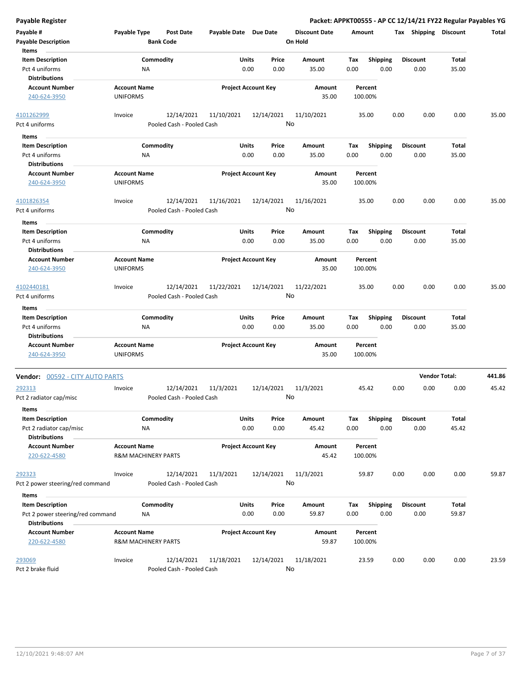| Payable #<br>Payable Type<br>Post Date<br>Payable Date Due Date<br><b>Discount Date</b><br>Tax Shipping Discount<br>Amount<br><b>Payable Description</b><br><b>Bank Code</b><br>On Hold<br>Items<br><b>Item Description</b><br>Commodity<br>Units<br>Price<br><b>Shipping</b><br><b>Discount</b><br>Total<br>Amount<br>Tax<br>Pct 4 uniforms<br>0.00<br>0.00<br>35.00<br>0.00<br>0.00<br>0.00<br>35.00<br>ΝA<br><b>Distributions</b><br><b>Account Number</b><br><b>Account Name</b><br><b>Project Account Key</b><br>Amount<br>Percent<br>240-624-3950<br><b>UNIFORMS</b><br>35.00<br>100.00%<br>4101262999<br>12/14/2021<br>12/14/2021<br>11/10/2021<br>0.00<br>0.00<br>Invoice<br>11/10/2021<br>35.00<br>0.00<br>No<br>Pct 4 uniforms<br>Pooled Cash - Pooled Cash<br>Items<br>Commodity<br><b>Item Description</b><br>Units<br>Price<br>Amount<br>Tax<br><b>Shipping</b><br><b>Discount</b><br>Total<br>0.00<br>Pct 4 uniforms<br>NA<br>0.00<br>0.00<br>35.00<br>0.00<br>0.00<br>35.00<br><b>Distributions</b><br><b>Account Number</b><br><b>Account Name</b><br><b>Project Account Key</b><br>Amount<br>Percent<br>240-624-3950<br><b>UNIFORMS</b><br>35.00<br>100.00%<br>4101826354<br>12/14/2021<br>11/16/2021<br>12/14/2021<br>11/16/2021<br>35.00<br>0.00<br>0.00<br>0.00<br>Invoice<br>No<br>Pooled Cash - Pooled Cash<br>Pct 4 uniforms<br>Items<br>Commodity<br>Units<br><b>Item Description</b><br>Price<br>Amount<br>Tax<br><b>Shipping</b><br><b>Discount</b><br>Total<br>Pct 4 uniforms<br><b>NA</b><br>0.00<br>0.00<br>35.00<br>0.00<br>0.00<br>0.00<br>35.00 | Total  |
|---------------------------------------------------------------------------------------------------------------------------------------------------------------------------------------------------------------------------------------------------------------------------------------------------------------------------------------------------------------------------------------------------------------------------------------------------------------------------------------------------------------------------------------------------------------------------------------------------------------------------------------------------------------------------------------------------------------------------------------------------------------------------------------------------------------------------------------------------------------------------------------------------------------------------------------------------------------------------------------------------------------------------------------------------------------------------------------------------------------------------------------------------------------------------------------------------------------------------------------------------------------------------------------------------------------------------------------------------------------------------------------------------------------------------------------------------------------------------------------------------------------------------------------------------------------------------------|--------|
|                                                                                                                                                                                                                                                                                                                                                                                                                                                                                                                                                                                                                                                                                                                                                                                                                                                                                                                                                                                                                                                                                                                                                                                                                                                                                                                                                                                                                                                                                                                                                                                 |        |
|                                                                                                                                                                                                                                                                                                                                                                                                                                                                                                                                                                                                                                                                                                                                                                                                                                                                                                                                                                                                                                                                                                                                                                                                                                                                                                                                                                                                                                                                                                                                                                                 |        |
|                                                                                                                                                                                                                                                                                                                                                                                                                                                                                                                                                                                                                                                                                                                                                                                                                                                                                                                                                                                                                                                                                                                                                                                                                                                                                                                                                                                                                                                                                                                                                                                 |        |
|                                                                                                                                                                                                                                                                                                                                                                                                                                                                                                                                                                                                                                                                                                                                                                                                                                                                                                                                                                                                                                                                                                                                                                                                                                                                                                                                                                                                                                                                                                                                                                                 |        |
|                                                                                                                                                                                                                                                                                                                                                                                                                                                                                                                                                                                                                                                                                                                                                                                                                                                                                                                                                                                                                                                                                                                                                                                                                                                                                                                                                                                                                                                                                                                                                                                 |        |
|                                                                                                                                                                                                                                                                                                                                                                                                                                                                                                                                                                                                                                                                                                                                                                                                                                                                                                                                                                                                                                                                                                                                                                                                                                                                                                                                                                                                                                                                                                                                                                                 |        |
|                                                                                                                                                                                                                                                                                                                                                                                                                                                                                                                                                                                                                                                                                                                                                                                                                                                                                                                                                                                                                                                                                                                                                                                                                                                                                                                                                                                                                                                                                                                                                                                 | 35.00  |
|                                                                                                                                                                                                                                                                                                                                                                                                                                                                                                                                                                                                                                                                                                                                                                                                                                                                                                                                                                                                                                                                                                                                                                                                                                                                                                                                                                                                                                                                                                                                                                                 |        |
|                                                                                                                                                                                                                                                                                                                                                                                                                                                                                                                                                                                                                                                                                                                                                                                                                                                                                                                                                                                                                                                                                                                                                                                                                                                                                                                                                                                                                                                                                                                                                                                 |        |
|                                                                                                                                                                                                                                                                                                                                                                                                                                                                                                                                                                                                                                                                                                                                                                                                                                                                                                                                                                                                                                                                                                                                                                                                                                                                                                                                                                                                                                                                                                                                                                                 |        |
|                                                                                                                                                                                                                                                                                                                                                                                                                                                                                                                                                                                                                                                                                                                                                                                                                                                                                                                                                                                                                                                                                                                                                                                                                                                                                                                                                                                                                                                                                                                                                                                 |        |
|                                                                                                                                                                                                                                                                                                                                                                                                                                                                                                                                                                                                                                                                                                                                                                                                                                                                                                                                                                                                                                                                                                                                                                                                                                                                                                                                                                                                                                                                                                                                                                                 |        |
|                                                                                                                                                                                                                                                                                                                                                                                                                                                                                                                                                                                                                                                                                                                                                                                                                                                                                                                                                                                                                                                                                                                                                                                                                                                                                                                                                                                                                                                                                                                                                                                 |        |
|                                                                                                                                                                                                                                                                                                                                                                                                                                                                                                                                                                                                                                                                                                                                                                                                                                                                                                                                                                                                                                                                                                                                                                                                                                                                                                                                                                                                                                                                                                                                                                                 | 35.00  |
|                                                                                                                                                                                                                                                                                                                                                                                                                                                                                                                                                                                                                                                                                                                                                                                                                                                                                                                                                                                                                                                                                                                                                                                                                                                                                                                                                                                                                                                                                                                                                                                 |        |
|                                                                                                                                                                                                                                                                                                                                                                                                                                                                                                                                                                                                                                                                                                                                                                                                                                                                                                                                                                                                                                                                                                                                                                                                                                                                                                                                                                                                                                                                                                                                                                                 |        |
|                                                                                                                                                                                                                                                                                                                                                                                                                                                                                                                                                                                                                                                                                                                                                                                                                                                                                                                                                                                                                                                                                                                                                                                                                                                                                                                                                                                                                                                                                                                                                                                 |        |
|                                                                                                                                                                                                                                                                                                                                                                                                                                                                                                                                                                                                                                                                                                                                                                                                                                                                                                                                                                                                                                                                                                                                                                                                                                                                                                                                                                                                                                                                                                                                                                                 |        |
| <b>Distributions</b>                                                                                                                                                                                                                                                                                                                                                                                                                                                                                                                                                                                                                                                                                                                                                                                                                                                                                                                                                                                                                                                                                                                                                                                                                                                                                                                                                                                                                                                                                                                                                            |        |
| <b>Project Account Key</b><br><b>Account Number</b><br><b>Account Name</b><br>Amount<br>Percent                                                                                                                                                                                                                                                                                                                                                                                                                                                                                                                                                                                                                                                                                                                                                                                                                                                                                                                                                                                                                                                                                                                                                                                                                                                                                                                                                                                                                                                                                 |        |
| 240-624-3950<br><b>UNIFORMS</b><br>35.00<br>100.00%                                                                                                                                                                                                                                                                                                                                                                                                                                                                                                                                                                                                                                                                                                                                                                                                                                                                                                                                                                                                                                                                                                                                                                                                                                                                                                                                                                                                                                                                                                                             |        |
| 4102440181<br>12/14/2021<br>11/22/2021<br>12/14/2021<br>11/22/2021<br>35.00<br>0.00<br>0.00<br>0.00<br>Invoice<br>No<br>Pooled Cash - Pooled Cash<br>Pct 4 uniforms                                                                                                                                                                                                                                                                                                                                                                                                                                                                                                                                                                                                                                                                                                                                                                                                                                                                                                                                                                                                                                                                                                                                                                                                                                                                                                                                                                                                             | 35.00  |
|                                                                                                                                                                                                                                                                                                                                                                                                                                                                                                                                                                                                                                                                                                                                                                                                                                                                                                                                                                                                                                                                                                                                                                                                                                                                                                                                                                                                                                                                                                                                                                                 |        |
| Items                                                                                                                                                                                                                                                                                                                                                                                                                                                                                                                                                                                                                                                                                                                                                                                                                                                                                                                                                                                                                                                                                                                                                                                                                                                                                                                                                                                                                                                                                                                                                                           |        |
| <b>Item Description</b><br>Commodity<br>Units<br><b>Shipping</b><br><b>Discount</b><br>Total<br>Price<br>Amount<br>Tax<br>0.00<br>0.00<br>0.00<br>35.00<br>Pct 4 uniforms<br>35.00<br>0.00<br>0.00<br><b>NA</b>                                                                                                                                                                                                                                                                                                                                                                                                                                                                                                                                                                                                                                                                                                                                                                                                                                                                                                                                                                                                                                                                                                                                                                                                                                                                                                                                                                 |        |
| <b>Distributions</b>                                                                                                                                                                                                                                                                                                                                                                                                                                                                                                                                                                                                                                                                                                                                                                                                                                                                                                                                                                                                                                                                                                                                                                                                                                                                                                                                                                                                                                                                                                                                                            |        |
| <b>Project Account Key</b><br><b>Account Number</b><br><b>Account Name</b><br>Amount<br>Percent                                                                                                                                                                                                                                                                                                                                                                                                                                                                                                                                                                                                                                                                                                                                                                                                                                                                                                                                                                                                                                                                                                                                                                                                                                                                                                                                                                                                                                                                                 |        |
| 240-624-3950<br><b>UNIFORMS</b><br>35.00<br>100.00%                                                                                                                                                                                                                                                                                                                                                                                                                                                                                                                                                                                                                                                                                                                                                                                                                                                                                                                                                                                                                                                                                                                                                                                                                                                                                                                                                                                                                                                                                                                             |        |
| <b>Vendor Total:</b><br>Vendor: 00592 - CITY AUTO PARTS                                                                                                                                                                                                                                                                                                                                                                                                                                                                                                                                                                                                                                                                                                                                                                                                                                                                                                                                                                                                                                                                                                                                                                                                                                                                                                                                                                                                                                                                                                                         | 441.86 |
| 12/14/2021<br>45.42<br>0.00<br>0.00<br>0.00<br>12/14/2021<br>11/3/2021<br>11/3/2021<br>292313<br>Invoice<br>No the set<br>Pct 2 radiator cap/misc<br>Pooled Cash - Pooled Cash                                                                                                                                                                                                                                                                                                                                                                                                                                                                                                                                                                                                                                                                                                                                                                                                                                                                                                                                                                                                                                                                                                                                                                                                                                                                                                                                                                                                  | 45.42  |
| Items                                                                                                                                                                                                                                                                                                                                                                                                                                                                                                                                                                                                                                                                                                                                                                                                                                                                                                                                                                                                                                                                                                                                                                                                                                                                                                                                                                                                                                                                                                                                                                           |        |
| <b>Item Description</b><br>Commodity<br>Units<br>Price<br>Amount<br><b>Shipping</b><br><b>Discount</b><br>Total<br>Tax                                                                                                                                                                                                                                                                                                                                                                                                                                                                                                                                                                                                                                                                                                                                                                                                                                                                                                                                                                                                                                                                                                                                                                                                                                                                                                                                                                                                                                                          |        |
| 0.00<br>0.00<br>0.00<br>0.00<br>0.00<br>45.42<br>Pct 2 radiator cap/misc<br>NA<br>45.42                                                                                                                                                                                                                                                                                                                                                                                                                                                                                                                                                                                                                                                                                                                                                                                                                                                                                                                                                                                                                                                                                                                                                                                                                                                                                                                                                                                                                                                                                         |        |
| <b>Distributions</b>                                                                                                                                                                                                                                                                                                                                                                                                                                                                                                                                                                                                                                                                                                                                                                                                                                                                                                                                                                                                                                                                                                                                                                                                                                                                                                                                                                                                                                                                                                                                                            |        |
| <b>Account Number</b><br><b>Account Name</b><br><b>Project Account Key</b><br>Amount<br>Percent<br>45.42<br>220-622-4580<br><b>R&amp;M MACHINERY PARTS</b><br>100.00%                                                                                                                                                                                                                                                                                                                                                                                                                                                                                                                                                                                                                                                                                                                                                                                                                                                                                                                                                                                                                                                                                                                                                                                                                                                                                                                                                                                                           |        |
| 12/14/2021<br>0.00<br>0.00<br>0.00<br>292323<br>12/14/2021<br>11/3/2021<br>11/3/2021<br>59.87<br>Invoice                                                                                                                                                                                                                                                                                                                                                                                                                                                                                                                                                                                                                                                                                                                                                                                                                                                                                                                                                                                                                                                                                                                                                                                                                                                                                                                                                                                                                                                                        | 59.87  |
| No<br>Pct 2 power steering/red command<br>Pooled Cash - Pooled Cash                                                                                                                                                                                                                                                                                                                                                                                                                                                                                                                                                                                                                                                                                                                                                                                                                                                                                                                                                                                                                                                                                                                                                                                                                                                                                                                                                                                                                                                                                                             |        |
| Items                                                                                                                                                                                                                                                                                                                                                                                                                                                                                                                                                                                                                                                                                                                                                                                                                                                                                                                                                                                                                                                                                                                                                                                                                                                                                                                                                                                                                                                                                                                                                                           |        |
| Units<br><b>Item Description</b><br>Commodity<br>Price<br>Amount<br><b>Shipping</b><br><b>Discount</b><br>Total<br>Tax                                                                                                                                                                                                                                                                                                                                                                                                                                                                                                                                                                                                                                                                                                                                                                                                                                                                                                                                                                                                                                                                                                                                                                                                                                                                                                                                                                                                                                                          |        |
| 0.00<br>0.00<br>Pct 2 power steering/red command<br>0.00<br>59.87<br>0.00<br>0.00<br>59.87<br>ΝA                                                                                                                                                                                                                                                                                                                                                                                                                                                                                                                                                                                                                                                                                                                                                                                                                                                                                                                                                                                                                                                                                                                                                                                                                                                                                                                                                                                                                                                                                |        |
| <b>Distributions</b>                                                                                                                                                                                                                                                                                                                                                                                                                                                                                                                                                                                                                                                                                                                                                                                                                                                                                                                                                                                                                                                                                                                                                                                                                                                                                                                                                                                                                                                                                                                                                            |        |
| <b>Account Number</b><br><b>Account Name</b><br><b>Project Account Key</b><br>Amount<br>Percent<br>220-622-4580<br><b>R&amp;M MACHINERY PARTS</b><br>59.87<br>100.00%                                                                                                                                                                                                                                                                                                                                                                                                                                                                                                                                                                                                                                                                                                                                                                                                                                                                                                                                                                                                                                                                                                                                                                                                                                                                                                                                                                                                           |        |
| 293069<br>Invoice<br>12/14/2021<br>11/18/2021<br>12/14/2021<br>11/18/2021<br>0.00<br>0.00<br>23.59<br>0.00<br>No<br>Pct 2 brake fluid<br>Pooled Cash - Pooled Cash                                                                                                                                                                                                                                                                                                                                                                                                                                                                                                                                                                                                                                                                                                                                                                                                                                                                                                                                                                                                                                                                                                                                                                                                                                                                                                                                                                                                              | 23.59  |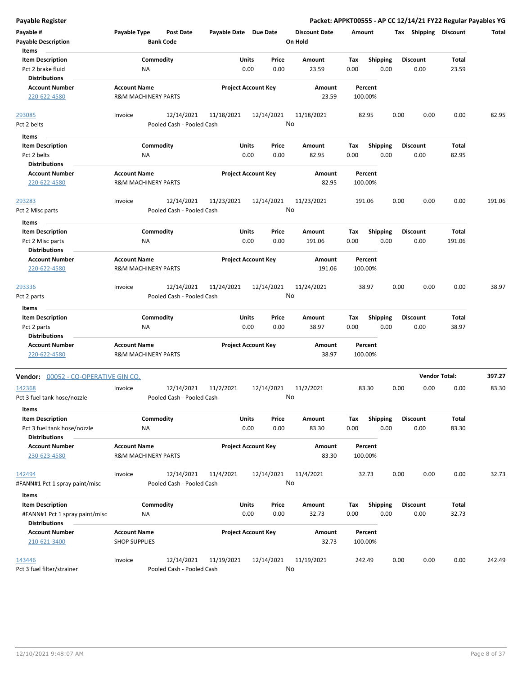| Payable Register                                      |                                                       |                                      |                       |                            |                                 |                    |                  | Packet: APPKT00555 - AP CC 12/14/21 FY22 Regular Payables YG |                      |        |
|-------------------------------------------------------|-------------------------------------------------------|--------------------------------------|-----------------------|----------------------------|---------------------------------|--------------------|------------------|--------------------------------------------------------------|----------------------|--------|
| Payable #<br><b>Payable Description</b>               | Payable Type                                          | <b>Post Date</b><br><b>Bank Code</b> | Payable Date Due Date |                            | <b>Discount Date</b><br>On Hold | Amount             |                  | Tax Shipping Discount                                        |                      | Total  |
| Items<br><b>Item Description</b><br>Pct 2 brake fluid | ΝA                                                    | Commodity                            | Units<br>0.00         | Price<br>0.00              | <b>Amount</b><br>23.59          | Tax<br>0.00        | Shipping<br>0.00 | <b>Discount</b><br>0.00                                      | Total<br>23.59       |        |
| <b>Distributions</b>                                  |                                                       |                                      |                       |                            |                                 |                    |                  |                                                              |                      |        |
| <b>Account Number</b><br>220-622-4580                 | <b>Account Name</b><br><b>R&amp;M MACHINERY PARTS</b> |                                      |                       | <b>Project Account Key</b> | Amount<br>23.59                 | Percent<br>100.00% |                  |                                                              |                      |        |
| 293085                                                | Invoice                                               | 12/14/2021                           | 11/18/2021            | 12/14/2021                 | 11/18/2021                      | 82.95              |                  | 0.00<br>0.00                                                 | 0.00                 | 82.95  |
| Pct 2 belts                                           |                                                       | Pooled Cash - Pooled Cash            |                       |                            | No                              |                    |                  |                                                              |                      |        |
| <b>Items</b>                                          |                                                       |                                      |                       |                            |                                 |                    |                  |                                                              |                      |        |
| <b>Item Description</b>                               |                                                       | Commodity                            | Units                 | Price                      | Amount                          | Tax                | <b>Shipping</b>  | Discount                                                     | Total                |        |
| Pct 2 belts                                           | <b>NA</b>                                             |                                      | 0.00                  | 0.00                       | 82.95                           | 0.00               | 0.00             | 0.00                                                         | 82.95                |        |
| <b>Distributions</b>                                  |                                                       |                                      |                       |                            |                                 |                    |                  |                                                              |                      |        |
| <b>Account Number</b><br>220-622-4580                 | <b>Account Name</b><br><b>R&amp;M MACHINERY PARTS</b> |                                      |                       | <b>Project Account Key</b> | Amount<br>82.95                 | Percent<br>100.00% |                  |                                                              |                      |        |
| 293283                                                | Invoice                                               | 12/14/2021                           | 11/23/2021            | 12/14/2021                 | 11/23/2021                      | 191.06             |                  | 0.00<br>0.00                                                 | 0.00                 | 191.06 |
| Pct 2 Misc parts                                      |                                                       | Pooled Cash - Pooled Cash            |                       |                            | No                              |                    |                  |                                                              |                      |        |
| Items                                                 |                                                       |                                      |                       |                            |                                 |                    |                  |                                                              |                      |        |
| <b>Item Description</b>                               |                                                       | Commodity                            | Units                 | Price                      | Amount                          | Tax                | <b>Shipping</b>  | <b>Discount</b>                                              | Total                |        |
| Pct 2 Misc parts                                      | ΝA                                                    |                                      | 0.00                  | 0.00                       | 191.06                          | 0.00               | 0.00             | 0.00                                                         | 191.06               |        |
| <b>Distributions</b>                                  |                                                       |                                      |                       |                            |                                 |                    |                  |                                                              |                      |        |
| <b>Account Number</b>                                 | <b>Account Name</b>                                   |                                      |                       | <b>Project Account Key</b> | <b>Amount</b>                   | Percent            |                  |                                                              |                      |        |
| 220-622-4580                                          | <b>R&amp;M MACHINERY PARTS</b>                        |                                      |                       |                            | 191.06                          | 100.00%            |                  |                                                              |                      |        |
| 293336                                                | Invoice                                               | 12/14/2021                           | 11/24/2021            | 12/14/2021                 | 11/24/2021                      | 38.97              |                  | 0.00<br>0.00                                                 | 0.00                 | 38.97  |
| Pct 2 parts                                           |                                                       | Pooled Cash - Pooled Cash            |                       |                            | No                              |                    |                  |                                                              |                      |        |
| Items                                                 |                                                       |                                      |                       |                            |                                 |                    |                  |                                                              |                      |        |
| <b>Item Description</b>                               |                                                       | Commodity                            | <b>Units</b>          | Price                      | Amount                          | Tax                | <b>Shipping</b>  | <b>Discount</b>                                              | Total                |        |
| Pct 2 parts                                           | <b>NA</b>                                             |                                      | 0.00                  | 0.00                       | 38.97                           | 0.00               | 0.00             | 0.00                                                         | 38.97                |        |
| <b>Distributions</b>                                  |                                                       |                                      |                       |                            |                                 |                    |                  |                                                              |                      |        |
| <b>Account Number</b>                                 | <b>Account Name</b>                                   |                                      |                       | <b>Project Account Key</b> | Amount                          | Percent            |                  |                                                              |                      |        |
| 220-622-4580                                          | <b>R&amp;M MACHINERY PARTS</b>                        |                                      |                       |                            | 38.97                           | 100.00%            |                  |                                                              |                      |        |
| Vendor: 00052 - CO-OPERATIVE GIN CO.                  |                                                       |                                      |                       |                            |                                 |                    |                  |                                                              | <b>Vendor Total:</b> | 397.27 |
| 142368                                                | Invoice                                               | 12/14/2021                           | 11/2/2021             | 12/14/2021                 | 11/2/2021                       | 83.30              |                  | 0.00<br>0.00                                                 | 0.00                 | 83.30  |
| Pct 3 fuel tank hose/nozzle<br>Items                  |                                                       | Pooled Cash - Pooled Cash            |                       |                            | No                              |                    |                  |                                                              |                      |        |
| <b>Item Description</b>                               |                                                       | Commodity                            | <b>Units</b>          | Price                      | Amount                          | Tax                | <b>Shipping</b>  | <b>Discount</b>                                              | Total                |        |
| Pct 3 fuel tank hose/nozzle                           | ΝA                                                    |                                      | 0.00                  | 0.00                       | 83.30                           | 0.00               | 0.00             | 0.00                                                         | 83.30                |        |
| <b>Distributions</b>                                  |                                                       |                                      |                       |                            |                                 |                    |                  |                                                              |                      |        |
| <b>Account Number</b>                                 | <b>Account Name</b>                                   |                                      |                       | <b>Project Account Key</b> | Amount                          | Percent            |                  |                                                              |                      |        |
| 230-623-4580                                          | <b>R&amp;M MACHINERY PARTS</b>                        |                                      |                       |                            | 83.30                           | 100.00%            |                  |                                                              |                      |        |
| 142494                                                | Invoice                                               | 12/14/2021                           | 11/4/2021             | 12/14/2021                 | 11/4/2021                       | 32.73              |                  | 0.00<br>0.00                                                 | 0.00                 | 32.73  |
| #FANN#1 Pct 1 spray paint/misc                        |                                                       | Pooled Cash - Pooled Cash            |                       |                            | No                              |                    |                  |                                                              |                      |        |
| Items                                                 |                                                       |                                      |                       |                            |                                 |                    |                  |                                                              |                      |        |
| <b>Item Description</b>                               |                                                       | Commodity                            | Units                 | Price                      | Amount                          | Tax                | <b>Shipping</b>  | <b>Discount</b>                                              | Total                |        |
| #FANN#1 Pct 1 spray paint/misc                        | ΝA                                                    |                                      | 0.00                  | 0.00                       | 32.73                           | 0.00               | 0.00             | 0.00                                                         | 32.73                |        |
| <b>Distributions</b>                                  |                                                       |                                      |                       |                            |                                 |                    |                  |                                                              |                      |        |
| <b>Account Number</b><br>210-621-3400                 | <b>Account Name</b><br><b>SHOP SUPPLIES</b>           |                                      |                       | <b>Project Account Key</b> | Amount<br>32.73                 | Percent<br>100.00% |                  |                                                              |                      |        |
| 143446                                                | Invoice                                               | 12/14/2021                           | 11/19/2021            | 12/14/2021                 | 11/19/2021                      | 242.49             |                  | 0.00<br>0.00                                                 | 0.00                 | 242.49 |
| Pct 3 fuel filter/strainer                            |                                                       | Pooled Cash - Pooled Cash            |                       |                            | No                              |                    |                  |                                                              |                      |        |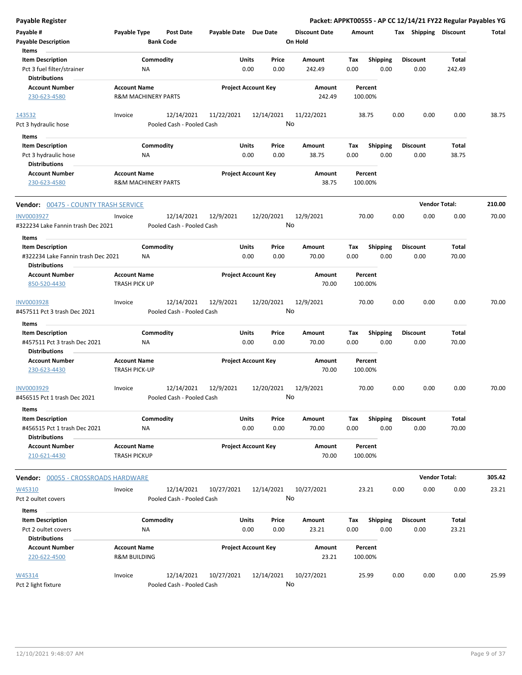| <b>Payable Register</b>                                                |                                                       |                                         |                       |                            |                                 |                    |                         | Packet: APPKT00555 - AP CC 12/14/21 FY22 Regular Payables YG |                      |        |
|------------------------------------------------------------------------|-------------------------------------------------------|-----------------------------------------|-----------------------|----------------------------|---------------------------------|--------------------|-------------------------|--------------------------------------------------------------|----------------------|--------|
| Payable #<br><b>Payable Description</b>                                | Payable Type                                          | <b>Post Date</b><br><b>Bank Code</b>    | Payable Date Due Date |                            | <b>Discount Date</b><br>On Hold | Amount             |                         | Tax Shipping Discount                                        |                      | Total  |
| Items<br><b>Item Description</b><br>Pct 3 fuel filter/strainer         | ΝA                                                    | Commodity                               | Units<br>0.00         | Price<br>0.00              | Amount<br>242.49                | Tax<br>0.00        | <b>Shipping</b><br>0.00 | <b>Discount</b><br>0.00                                      | Total<br>242.49      |        |
| <b>Distributions</b><br><b>Account Number</b><br>230-623-4580          | <b>Account Name</b><br><b>R&amp;M MACHINERY PARTS</b> |                                         |                       | <b>Project Account Key</b> | Amount<br>242.49                | Percent<br>100.00% |                         |                                                              |                      |        |
| 143532                                                                 | Invoice                                               | 12/14/2021                              | 11/22/2021            | 12/14/2021                 | 11/22/2021                      | 38.75              |                         | 0.00<br>0.00                                                 | 0.00                 | 38.75  |
| Pct 3 hydraulic hose                                                   |                                                       | Pooled Cash - Pooled Cash               |                       |                            | No                              |                    |                         |                                                              |                      |        |
| Items                                                                  |                                                       |                                         |                       |                            |                                 |                    |                         |                                                              |                      |        |
| <b>Item Description</b><br>Pct 3 hydraulic hose                        | ΝA                                                    | Commodity                               | Units<br>0.00         | Price<br>0.00              | Amount<br>38.75                 | Tax<br>0.00        | <b>Shipping</b><br>0.00 | <b>Discount</b><br>0.00                                      | Total<br>38.75       |        |
| <b>Distributions</b><br><b>Account Number</b><br>230-623-4580          | <b>Account Name</b><br><b>R&amp;M MACHINERY PARTS</b> |                                         |                       | <b>Project Account Key</b> | Amount<br>38.75                 | Percent<br>100.00% |                         |                                                              |                      |        |
| <b>Vendor: 00475 - COUNTY TRASH SERVICE</b>                            |                                                       |                                         |                       |                            |                                 |                    |                         |                                                              | <b>Vendor Total:</b> | 210.00 |
| <b>INV0003927</b><br>#322234 Lake Fannin trash Dec 2021                | Invoice                                               | 12/14/2021<br>Pooled Cash - Pooled Cash | 12/9/2021             | 12/20/2021                 | 12/9/2021<br>No                 | 70.00              |                         | 0.00<br>0.00                                                 | 0.00                 | 70.00  |
| Items                                                                  |                                                       |                                         |                       |                            |                                 |                    |                         |                                                              |                      |        |
| <b>Item Description</b><br>#322234 Lake Fannin trash Dec 2021          | ΝA                                                    | Commodity                               | Units<br>0.00         | Price<br>0.00              | Amount<br>70.00                 | Tax<br>0.00        | <b>Shipping</b><br>0.00 | <b>Discount</b><br>0.00                                      | Total<br>70.00       |        |
| <b>Distributions</b>                                                   |                                                       |                                         |                       |                            |                                 |                    |                         |                                                              |                      |        |
| <b>Account Number</b><br>850-520-4430                                  | <b>Account Name</b><br><b>TRASH PICK UP</b>           |                                         |                       | <b>Project Account Key</b> | Amount<br>70.00                 | Percent<br>100.00% |                         |                                                              |                      |        |
| INV0003928<br>#457511 Pct 3 trash Dec 2021                             | Invoice                                               | 12/14/2021<br>Pooled Cash - Pooled Cash | 12/9/2021             | 12/20/2021                 | 12/9/2021<br>No                 | 70.00              |                         | 0.00<br>0.00                                                 | 0.00                 | 70.00  |
| Items                                                                  |                                                       |                                         |                       |                            |                                 |                    |                         |                                                              |                      |        |
| <b>Item Description</b><br>#457511 Pct 3 trash Dec 2021                | ΝA                                                    | Commodity                               | Units<br>0.00         | Price<br>0.00              | Amount<br>70.00                 | Tax<br>0.00        | <b>Shipping</b><br>0.00 | <b>Discount</b><br>0.00                                      | Total<br>70.00       |        |
| <b>Distributions</b>                                                   |                                                       |                                         |                       |                            |                                 |                    |                         |                                                              |                      |        |
| <b>Account Number</b><br>230-623-4430                                  | <b>Account Name</b><br><b>TRASH PICK-UP</b>           |                                         |                       | <b>Project Account Key</b> | Amount<br>70.00                 | Percent<br>100.00% |                         |                                                              |                      |        |
| INV0003929<br>#456515 Pct 1 trash Dec 2021                             | Invoice                                               | 12/14/2021<br>Pooled Cash - Pooled Cash | 12/9/2021             | 12/20/2021                 | 12/9/2021<br>No                 | 70.00              |                         | 0.00<br>0.00                                                 | 0.00                 | 70.00  |
| Items                                                                  |                                                       |                                         |                       |                            |                                 |                    |                         |                                                              |                      |        |
| <b>Item Description</b><br>#456515 Pct 1 trash Dec 2021                | NA                                                    | Commodity                               | Units<br>0.00         | Price<br>0.00              | Amount<br>70.00                 | Tax<br>0.00        | <b>Shipping</b><br>0.00 | <b>Discount</b><br>0.00                                      | Total<br>70.00       |        |
| <b>Distributions</b><br><b>Account Number</b><br>210-621-4430          | <b>Account Name</b><br><b>TRASH PICKUP</b>            |                                         |                       | <b>Project Account Key</b> | Amount<br>70.00                 | Percent<br>100.00% |                         |                                                              |                      |        |
| <b>Vendor: 00055 - CROSSROADS HARDWARE</b>                             |                                                       |                                         |                       |                            |                                 |                    |                         |                                                              | <b>Vendor Total:</b> | 305.42 |
| W45310                                                                 | Invoice                                               | 12/14/2021                              | 10/27/2021            | 12/14/2021                 | 10/27/2021                      | 23.21              |                         | 0.00<br>0.00                                                 | 0.00                 | 23.21  |
| Pct 2 oultet covers                                                    |                                                       | Pooled Cash - Pooled Cash               |                       |                            | No                              |                    |                         |                                                              |                      |        |
| Items                                                                  |                                                       |                                         |                       |                            |                                 |                    |                         |                                                              |                      |        |
| <b>Item Description</b><br>Pct 2 oultet covers<br><b>Distributions</b> | ΝA                                                    | Commodity                               | Units<br>0.00         | Price<br>0.00              | Amount<br>23.21                 | Tax<br>0.00        | <b>Shipping</b><br>0.00 | <b>Discount</b><br>0.00                                      | Total<br>23.21       |        |
| <b>Account Number</b><br>220-622-4500                                  | <b>Account Name</b><br><b>R&amp;M BUILDING</b>        |                                         |                       | <b>Project Account Key</b> | Amount<br>23.21                 | Percent<br>100.00% |                         |                                                              |                      |        |
| W45314<br>Pct 2 light fixture                                          | Invoice                                               | 12/14/2021<br>Pooled Cash - Pooled Cash | 10/27/2021            | 12/14/2021                 | 10/27/2021<br>No                | 25.99              |                         | 0.00<br>0.00                                                 | 0.00                 | 25.99  |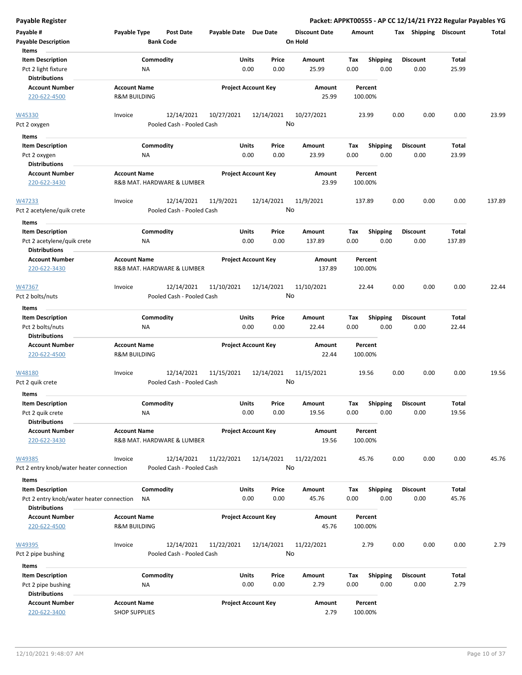| <b>Payable Register</b>                                                       |                                                   |                                         |                       |                            |                                 |                    |                         |                         |                       | Packet: APPKT00555 - AP CC 12/14/21 FY22 Regular Payables YG |
|-------------------------------------------------------------------------------|---------------------------------------------------|-----------------------------------------|-----------------------|----------------------------|---------------------------------|--------------------|-------------------------|-------------------------|-----------------------|--------------------------------------------------------------|
| Payable #<br><b>Payable Description</b>                                       | Payable Type<br><b>Bank Code</b>                  | <b>Post Date</b>                        | Payable Date Due Date |                            | <b>Discount Date</b><br>On Hold | Amount             |                         |                         | Tax Shipping Discount | Total                                                        |
| Items                                                                         |                                                   |                                         |                       |                            |                                 |                    |                         |                         |                       |                                                              |
| <b>Item Description</b><br>Pct 2 light fixture                                | Commodity<br>NA                                   |                                         | Units                 | Price<br>0.00<br>0.00      | Amount<br>25.99                 | Tax<br>0.00        | Shipping<br>0.00        | <b>Discount</b><br>0.00 | Total<br>25.99        |                                                              |
| <b>Distributions</b>                                                          |                                                   |                                         |                       |                            |                                 |                    |                         |                         |                       |                                                              |
| <b>Account Number</b><br>220-622-4500                                         | <b>Account Name</b><br><b>R&amp;M BUILDING</b>    |                                         |                       | <b>Project Account Key</b> | Amount<br>25.99                 | Percent<br>100.00% |                         |                         |                       |                                                              |
| W45330                                                                        | Invoice                                           | 12/14/2021                              | 10/27/2021            | 12/14/2021                 | 10/27/2021                      | 23.99              |                         | 0.00                    | 0.00<br>0.00          | 23.99                                                        |
| Pct 2 oxygen                                                                  |                                                   | Pooled Cash - Pooled Cash               |                       |                            | No                              |                    |                         |                         |                       |                                                              |
| Items                                                                         |                                                   |                                         |                       |                            |                                 |                    |                         |                         |                       |                                                              |
| <b>Item Description</b>                                                       | Commodity                                         |                                         | Units                 | Price                      | Amount                          | Tax                | <b>Shipping</b>         | <b>Discount</b>         | Total                 |                                                              |
| Pct 2 oxygen                                                                  | NA                                                |                                         |                       | 0.00<br>0.00               | 23.99                           | 0.00               | 0.00                    | 0.00                    | 23.99                 |                                                              |
| <b>Distributions</b>                                                          |                                                   |                                         |                       |                            |                                 |                    |                         |                         |                       |                                                              |
| <b>Account Number</b><br>220-622-3430                                         | <b>Account Name</b><br>R&B MAT. HARDWARE & LUMBER |                                         |                       | <b>Project Account Key</b> | Amount<br>23.99                 | Percent<br>100.00% |                         |                         |                       |                                                              |
| W47233<br>Pct 2 acetylene/quik crete                                          | Invoice                                           | 12/14/2021<br>Pooled Cash - Pooled Cash | 11/9/2021             | 12/14/2021                 | 11/9/2021<br>No                 | 137.89             |                         | 0.00                    | 0.00<br>0.00          | 137.89                                                       |
| Items                                                                         |                                                   |                                         |                       |                            |                                 |                    |                         |                         |                       |                                                              |
| <b>Item Description</b><br>Pct 2 acetylene/quik crete<br><b>Distributions</b> | Commodity<br>ΝA                                   |                                         | Units                 | Price<br>0.00<br>0.00      | Amount<br>137.89                | Tax<br>0.00        | <b>Shipping</b><br>0.00 | <b>Discount</b><br>0.00 | Total<br>137.89       |                                                              |
| <b>Account Number</b><br>220-622-3430                                         | <b>Account Name</b><br>R&B MAT. HARDWARE & LUMBER |                                         |                       | <b>Project Account Key</b> | Amount<br>137.89                | Percent<br>100.00% |                         |                         |                       |                                                              |
| W47367                                                                        | Invoice                                           | 12/14/2021                              | 11/10/2021            | 12/14/2021                 | 11/10/2021                      | 22.44              |                         | 0.00                    | 0.00<br>0.00          | 22.44                                                        |
| Pct 2 bolts/nuts                                                              |                                                   | Pooled Cash - Pooled Cash               |                       |                            | No                              |                    |                         |                         |                       |                                                              |
| Items                                                                         |                                                   |                                         |                       |                            |                                 |                    |                         |                         |                       |                                                              |
| <b>Item Description</b>                                                       | Commodity                                         |                                         | Units                 | Price                      | Amount                          | Tax                | <b>Shipping</b>         | <b>Discount</b>         | Total                 |                                                              |
| Pct 2 bolts/nuts<br><b>Distributions</b>                                      | ΝA                                                |                                         |                       | 0.00<br>0.00               | 22.44                           | 0.00               | 0.00                    | 0.00                    | 22.44                 |                                                              |
| <b>Account Number</b><br>220-622-4500                                         | <b>Account Name</b><br><b>R&amp;M BUILDING</b>    |                                         |                       | <b>Project Account Key</b> | Amount<br>22.44                 | Percent<br>100.00% |                         |                         |                       |                                                              |
| W48180                                                                        | Invoice                                           | 12/14/2021                              |                       | 12/14/2021                 | 11/15/2021                      | 19.56              |                         | 0.00                    | 0.00<br>0.00          | 19.56                                                        |
| Pct 2 quik crete                                                              |                                                   | Pooled Cash - Pooled Cash               | 11/15/2021            |                            | No                              |                    |                         |                         |                       |                                                              |
| Items                                                                         |                                                   |                                         |                       |                            |                                 |                    |                         |                         |                       |                                                              |
| <b>Item Description</b>                                                       | Commodity                                         |                                         | Units                 | Price                      | Amount                          | Tax                | Shipping                | <b>Discount</b>         | Total                 |                                                              |
| Pct 2 quik crete                                                              | ΝA                                                |                                         |                       | 0.00<br>0.00               | 19.56                           | 0.00               | 0.00                    | 0.00                    | 19.56                 |                                                              |
| <b>Distributions</b>                                                          |                                                   |                                         |                       |                            |                                 |                    |                         |                         |                       |                                                              |
| <b>Account Number</b><br>220-622-3430                                         | <b>Account Name</b><br>R&B MAT. HARDWARE & LUMBER |                                         |                       | <b>Project Account Key</b> | Amount<br>19.56                 | Percent<br>100.00% |                         |                         |                       |                                                              |
|                                                                               |                                                   |                                         |                       |                            |                                 |                    |                         |                         |                       |                                                              |
| W49385<br>Pct 2 entry knob/water heater connection                            | Invoice                                           | 12/14/2021<br>Pooled Cash - Pooled Cash | 11/22/2021            | 12/14/2021                 | 11/22/2021<br>No                | 45.76              |                         | 0.00                    | 0.00<br>0.00          | 45.76                                                        |
|                                                                               |                                                   |                                         |                       |                            |                                 |                    |                         |                         |                       |                                                              |
| Items<br><b>Item Description</b>                                              | Commodity                                         |                                         | Units                 | Price                      | Amount                          | Tax                | Shipping                | <b>Discount</b>         | Total                 |                                                              |
| Pct 2 entry knob/water heater connection<br><b>Distributions</b>              | <b>NA</b>                                         |                                         |                       | 0.00<br>0.00               | 45.76                           | 0.00               | 0.00                    | 0.00                    | 45.76                 |                                                              |
| <b>Account Number</b>                                                         | <b>Account Name</b>                               |                                         |                       | <b>Project Account Key</b> | Amount                          | Percent            |                         |                         |                       |                                                              |
| 220-622-4500                                                                  | <b>R&amp;M BUILDING</b>                           |                                         |                       |                            | 45.76                           | 100.00%            |                         |                         |                       |                                                              |
| W49395                                                                        | Invoice                                           | 12/14/2021                              | 11/22/2021            | 12/14/2021                 | 11/22/2021                      | 2.79               |                         | 0.00                    | 0.00<br>0.00          | 2.79                                                         |
| Pct 2 pipe bushing                                                            |                                                   | Pooled Cash - Pooled Cash               |                       |                            | No                              |                    |                         |                         |                       |                                                              |
| Items                                                                         |                                                   |                                         |                       |                            |                                 |                    |                         |                         |                       |                                                              |
| <b>Item Description</b>                                                       | Commodity                                         |                                         | Units                 | Price                      | Amount                          | Tax                | <b>Shipping</b>         | <b>Discount</b>         | Total                 |                                                              |
| Pct 2 pipe bushing<br><b>Distributions</b>                                    | ΝA                                                |                                         |                       | 0.00<br>0.00               | 2.79                            | 0.00               | 0.00                    | 0.00                    | 2.79                  |                                                              |
| <b>Account Number</b>                                                         | <b>Account Name</b>                               |                                         |                       | <b>Project Account Key</b> | Amount                          | Percent            |                         |                         |                       |                                                              |
| 220-622-3400                                                                  | <b>SHOP SUPPLIES</b>                              |                                         |                       |                            | 2.79                            | 100.00%            |                         |                         |                       |                                                              |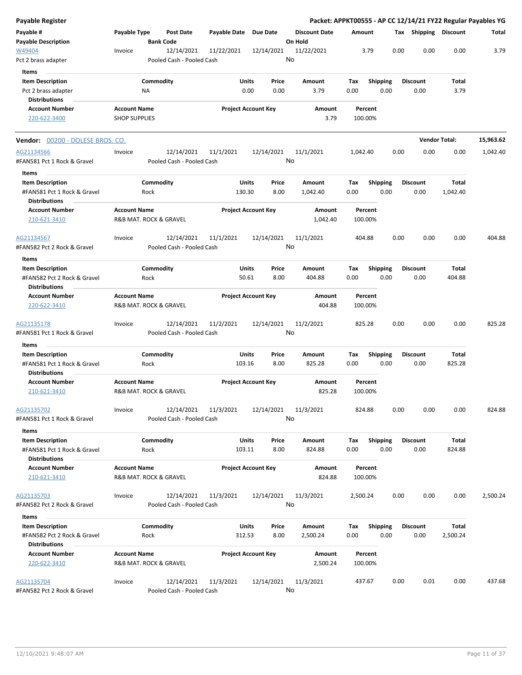| <b>Payable Register</b>                                |                      |                                       |                                         |                       |                            |               |                                 |             |                    |      |      |                         |                 | Packet: APPKT00555 - AP CC 12/14/21 FY22 Regular Payables YG |
|--------------------------------------------------------|----------------------|---------------------------------------|-----------------------------------------|-----------------------|----------------------------|---------------|---------------------------------|-------------|--------------------|------|------|-------------------------|-----------------|--------------------------------------------------------------|
| Payable #<br><b>Payable Description</b>                | Payable Type         | <b>Bank Code</b>                      | <b>Post Date</b>                        | Payable Date Due Date |                            |               | <b>Discount Date</b><br>On Hold | Amount      |                    |      |      | Tax Shipping Discount   |                 | Total                                                        |
| W49404                                                 | Invoice              |                                       | 12/14/2021                              | 11/22/2021            |                            | 12/14/2021    | 11/22/2021                      |             | 3.79               |      | 0.00 | 0.00                    | 0.00            | 3.79                                                         |
| Pct 2 brass adapter                                    |                      |                                       | Pooled Cash - Pooled Cash               |                       |                            |               | No                              |             |                    |      |      |                         |                 |                                                              |
| Items                                                  |                      |                                       |                                         |                       |                            |               |                                 |             |                    |      |      |                         |                 |                                                              |
| <b>Item Description</b>                                |                      | Commodity                             |                                         |                       | Units                      | Price         | Amount                          | Tax         | Shipping           |      |      | <b>Discount</b>         | Total           |                                                              |
| Pct 2 brass adapter                                    |                      | ΝA                                    |                                         |                       | 0.00                       | 0.00          | 3.79                            | 0.00        |                    | 0.00 |      | 0.00                    | 3.79            |                                                              |
| <b>Distributions</b>                                   |                      |                                       |                                         |                       |                            |               |                                 |             |                    |      |      |                         |                 |                                                              |
| <b>Account Number</b>                                  | <b>Account Name</b>  |                                       |                                         |                       | <b>Project Account Key</b> |               | Amount                          |             | Percent            |      |      |                         |                 |                                                              |
| 220-622-3400                                           | <b>SHOP SUPPLIES</b> |                                       |                                         |                       |                            |               | 3.79                            | 100.00%     |                    |      |      |                         |                 |                                                              |
| <b>Vendor:</b> 00200 - DOLESE BROS. CO.                |                      |                                       |                                         |                       |                            |               |                                 |             |                    |      |      | <b>Vendor Total:</b>    |                 | 15,963.62                                                    |
| AG21134566                                             | Invoice              |                                       | 12/14/2021                              | 11/1/2021             |                            | 12/14/2021    | 11/1/2021                       | 1,042.40    |                    |      | 0.00 | 0.00                    | 0.00            | 1,042.40                                                     |
| #FAN581 Pct 1 Rock & Gravel                            |                      |                                       | Pooled Cash - Pooled Cash               |                       |                            |               | No                              |             |                    |      |      |                         |                 |                                                              |
| Items                                                  |                      |                                       |                                         |                       |                            |               |                                 |             |                    |      |      |                         |                 |                                                              |
| <b>Item Description</b>                                |                      | Commodity                             |                                         |                       | Units                      | Price         | Amount                          | Tax         | <b>Shipping</b>    |      |      | <b>Discount</b>         | Total           |                                                              |
| #FAN581 Pct 1 Rock & Gravel<br><b>Distributions</b>    |                      | Rock                                  |                                         |                       | 130.30                     | 8.00          | 1,042.40                        | 0.00        |                    | 0.00 |      | 0.00                    | 1,042.40        |                                                              |
| <b>Account Number</b><br>210-621-3410                  | <b>Account Name</b>  | <b>R&amp;B MAT. ROCK &amp; GRAVEL</b> |                                         |                       | <b>Project Account Key</b> |               | Amount<br>1,042.40              |             | Percent<br>100.00% |      |      |                         |                 |                                                              |
|                                                        |                      |                                       |                                         |                       |                            |               |                                 |             |                    |      |      |                         |                 |                                                              |
| AG21134567<br>#FAN582 Pct 2 Rock & Gravel              | Invoice              |                                       | 12/14/2021<br>Pooled Cash - Pooled Cash | 11/1/2021             |                            | 12/14/2021    | 11/1/2021<br>No                 | 404.88      |                    |      | 0.00 | 0.00                    | 0.00            | 404.88                                                       |
|                                                        |                      |                                       |                                         |                       |                            |               |                                 |             |                    |      |      |                         |                 |                                                              |
| Items                                                  |                      |                                       |                                         |                       |                            |               |                                 |             |                    |      |      |                         |                 |                                                              |
| <b>Item Description</b>                                |                      | Commodity                             |                                         |                       | Units                      | Price         | Amount                          | Tax         | <b>Shipping</b>    |      |      | <b>Discount</b>         | <b>Total</b>    |                                                              |
| #FAN582 Pct 2 Rock & Gravel<br><b>Distributions</b>    |                      | Rock                                  |                                         |                       | 50.61                      | 8.00          | 404.88                          | 0.00        |                    | 0.00 |      | 0.00                    | 404.88          |                                                              |
| <b>Account Number</b><br>220-622-3410                  | <b>Account Name</b>  | R&B MAT. ROCK & GRAVEL                |                                         |                       | <b>Project Account Key</b> |               | Amount<br>404.88                |             | Percent<br>100.00% |      |      |                         |                 |                                                              |
| AG21135178                                             | Invoice              |                                       | 12/14/2021                              | 11/2/2021             |                            | 12/14/2021    | 11/2/2021                       | 825.28      |                    |      | 0.00 | 0.00                    | 0.00            | 825.28                                                       |
| #FAN581 Pct 1 Rock & Gravel                            |                      |                                       | Pooled Cash - Pooled Cash               |                       |                            |               | No                              |             |                    |      |      |                         |                 |                                                              |
| Items                                                  |                      |                                       |                                         |                       |                            |               |                                 |             |                    |      |      |                         |                 |                                                              |
| <b>Item Description</b>                                |                      | Commodity                             |                                         |                       | <b>Units</b>               | Price         | Amount                          | Tax         | <b>Shipping</b>    |      |      | <b>Discount</b>         | Total           |                                                              |
| #FAN581 Pct 1 Rock & Gravel<br><b>Distributions</b>    |                      | Rock                                  |                                         |                       | 103.16                     | 8.00          | 825.28                          | 0.00        |                    | 0.00 |      | 0.00                    | 825.28          |                                                              |
| <b>Account Number</b><br>210-621-3410                  | <b>Account Name</b>  | R&B MAT. ROCK & GRAVEL                |                                         |                       | <b>Project Account Key</b> |               | Amount<br>825.28                |             | Percent<br>100.00% |      |      |                         |                 |                                                              |
|                                                        |                      |                                       |                                         |                       |                            |               |                                 |             |                    |      |      |                         |                 |                                                              |
| AG21135702<br>#FAN581 Pct 1 Rock & Gravel              | Invoice              |                                       | 12/14/2021<br>Pooled Cash - Pooled Cash | 11/3/2021             |                            | 12/14/2021    | 11/3/2021<br>No                 | 824.88      |                    |      | 0.00 | 0.00                    | 0.00            | 824.88                                                       |
|                                                        |                      |                                       |                                         |                       |                            |               |                                 |             |                    |      |      |                         |                 |                                                              |
| Items                                                  |                      |                                       |                                         |                       |                            |               |                                 |             |                    |      |      |                         |                 |                                                              |
| <b>Item Description</b><br>#FAN581 Pct 1 Rock & Gravel |                      | Commodity<br>Rock                     |                                         |                       | Units<br>103.11            | Price<br>8.00 | Amount<br>824.88                | Tax<br>0.00 | <b>Shipping</b>    | 0.00 |      | <b>Discount</b><br>0.00 | Total<br>824.88 |                                                              |
| <b>Distributions</b>                                   |                      |                                       |                                         |                       |                            |               |                                 |             |                    |      |      |                         |                 |                                                              |
| <b>Account Number</b><br>210-621-3410                  | <b>Account Name</b>  | R&B MAT. ROCK & GRAVEL                |                                         |                       | <b>Project Account Key</b> |               | Amount<br>824.88                | 100.00%     | Percent            |      |      |                         |                 |                                                              |
| AG21135703                                             | Invoice              |                                       | 12/14/2021                              | 11/3/2021             |                            | 12/14/2021    | 11/3/2021                       | 2,500.24    |                    |      | 0.00 | 0.00                    | 0.00            | 2,500.24                                                     |
| #FAN582 Pct 2 Rock & Gravel                            |                      |                                       | Pooled Cash - Pooled Cash               |                       |                            |               | No                              |             |                    |      |      |                         |                 |                                                              |
| Items                                                  |                      |                                       |                                         |                       |                            |               |                                 |             |                    |      |      |                         |                 |                                                              |
| <b>Item Description</b>                                |                      | Commodity                             |                                         |                       | Units                      | Price         | Amount                          | Tax         | <b>Shipping</b>    |      |      | <b>Discount</b>         | Total           |                                                              |
| #FAN582 Pct 2 Rock & Gravel<br><b>Distributions</b>    |                      | Rock                                  |                                         |                       | 312.53                     | 8.00          | 2,500.24                        | 0.00        |                    | 0.00 |      | 0.00                    | 2,500.24        |                                                              |
| <b>Account Number</b>                                  | <b>Account Name</b>  |                                       |                                         |                       | <b>Project Account Key</b> |               | Amount                          |             | Percent            |      |      |                         |                 |                                                              |
| 220-622-3410                                           |                      | R&B MAT. ROCK & GRAVEL                |                                         |                       |                            |               | 2,500.24                        | 100.00%     |                    |      |      |                         |                 |                                                              |
| AG21135704                                             | Invoice              |                                       | 12/14/2021                              | 11/3/2021             |                            | 12/14/2021    | 11/3/2021                       | 437.67      |                    |      | 0.00 | 0.01                    | 0.00            | 437.68                                                       |
| #FAN582 Pct 2 Rock & Gravel                            |                      |                                       | Pooled Cash - Pooled Cash               |                       |                            |               | No                              |             |                    |      |      |                         |                 |                                                              |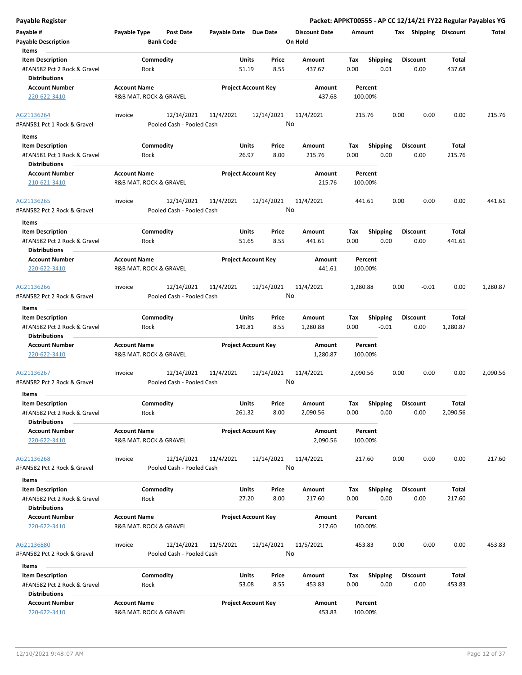| <b>Payable Register</b>                                                        |                                               |                                         |                        |                            |                                 |             |                         |      |                         |                       | Packet: APPKT00555 - AP CC 12/14/21 FY22 Regular Payables YG |
|--------------------------------------------------------------------------------|-----------------------------------------------|-----------------------------------------|------------------------|----------------------------|---------------------------------|-------------|-------------------------|------|-------------------------|-----------------------|--------------------------------------------------------------|
| Payable #<br><b>Payable Description</b>                                        | Payable Type                                  | <b>Post Date</b><br><b>Bank Code</b>    | Payable Date Due Date  |                            | <b>Discount Date</b><br>On Hold | Amount      |                         |      |                         | Tax Shipping Discount | Total                                                        |
| Items<br><b>Item Description</b><br>#FAN582 Pct 2 Rock & Gravel                | Commodity<br>Rock                             |                                         | Units<br>51.19         | Price<br>8.55              | Amount<br>437.67                | Tax<br>0.00 | <b>Shipping</b><br>0.01 |      | <b>Discount</b><br>0.00 | Total<br>437.68       |                                                              |
| <b>Distributions</b><br><b>Account Number</b><br>220-622-3410                  | <b>Account Name</b><br>R&B MAT. ROCK & GRAVEL |                                         |                        | <b>Project Account Key</b> | Amount<br>437.68                |             | Percent<br>100.00%      |      |                         |                       |                                                              |
| AG21136264<br>#FAN581 Pct 1 Rock & Gravel                                      | Invoice                                       | 12/14/2021<br>Pooled Cash - Pooled Cash | 11/4/2021              | 12/14/2021                 | 11/4/2021<br>No                 |             | 215.76                  | 0.00 | 0.00                    | 0.00                  | 215.76                                                       |
|                                                                                |                                               |                                         |                        |                            |                                 |             |                         |      |                         |                       |                                                              |
| Items<br><b>Item Description</b>                                               | Commodity                                     |                                         | Units                  | Price                      | Amount                          | Tax         | <b>Shipping</b>         |      | <b>Discount</b>         | Total                 |                                                              |
| #FAN581 Pct 1 Rock & Gravel<br><b>Distributions</b>                            | Rock                                          |                                         | 26.97                  | 8.00                       | 215.76                          | 0.00        | 0.00                    |      | 0.00                    | 215.76                |                                                              |
| <b>Account Number</b><br>210-621-3410                                          | <b>Account Name</b><br>R&B MAT. ROCK & GRAVEL |                                         |                        | <b>Project Account Key</b> | Amount<br>215.76                |             | Percent<br>100.00%      |      |                         |                       |                                                              |
| AG21136265<br>#FAN582 Pct 2 Rock & Gravel                                      | Invoice                                       | 12/14/2021<br>Pooled Cash - Pooled Cash | 11/4/2021              | 12/14/2021                 | 11/4/2021<br>No                 |             | 441.61                  | 0.00 | 0.00                    | 0.00                  | 441.61                                                       |
| Items<br><b>Item Description</b><br>#FAN582 Pct 2 Rock & Gravel                | Commodity<br>Rock                             |                                         | Units<br>51.65         | Price<br>8.55              | Amount<br>441.61                | Tax<br>0.00 | <b>Shipping</b><br>0.00 |      | <b>Discount</b><br>0.00 | Total<br>441.61       |                                                              |
| <b>Distributions</b>                                                           |                                               |                                         |                        |                            |                                 |             |                         |      |                         |                       |                                                              |
| <b>Account Number</b><br>220-622-3410                                          | <b>Account Name</b><br>R&B MAT. ROCK & GRAVEL |                                         |                        | <b>Project Account Key</b> | <b>Amount</b><br>441.61         |             | Percent<br>100.00%      |      |                         |                       |                                                              |
| AG21136266<br>#FAN582 Pct 2 Rock & Gravel                                      | Invoice                                       | 12/14/2021<br>Pooled Cash - Pooled Cash | 11/4/2021              | 12/14/2021                 | 11/4/2021<br>No                 | 1,280.88    |                         | 0.00 | $-0.01$                 | 0.00                  | 1,280.87                                                     |
| Items                                                                          |                                               |                                         |                        |                            |                                 |             |                         |      |                         |                       |                                                              |
| <b>Item Description</b>                                                        | Commodity                                     |                                         | Units                  | Price                      | Amount                          | Tax         | <b>Shipping</b>         |      | <b>Discount</b>         | Total                 |                                                              |
| #FAN582 Pct 2 Rock & Gravel<br><b>Distributions</b>                            | Rock                                          |                                         | 149.81                 | 8.55                       | 1,280.88                        | 0.00        | $-0.01$                 |      | 0.00                    | 1,280.87              |                                                              |
| <b>Account Number</b><br>220-622-3410                                          | <b>Account Name</b><br>R&B MAT. ROCK & GRAVEL |                                         |                        | <b>Project Account Key</b> | Amount<br>1,280.87              |             | Percent<br>100.00%      |      |                         |                       |                                                              |
| AG21136267<br>#FAN582 Pct 2 Rock & Gravel                                      | Invoice                                       | 12/14/2021<br>Pooled Cash - Pooled Cash | 11/4/2021              | 12/14/2021                 | 11/4/2021<br>No                 | 2,090.56    |                         | 0.00 | 0.00                    | 0.00                  | 2,090.56                                                     |
| Items                                                                          |                                               |                                         |                        |                            |                                 |             |                         |      |                         |                       |                                                              |
| <b>Item Description</b><br>#FAN582 Pct 2 Rock & Gravel<br><b>Distributions</b> | Commodity<br>Rock                             |                                         | <b>Units</b><br>261.32 | Price<br>8.00              | Amount<br>2,090.56              | Tax<br>0.00 | Shipping<br>0.00        |      | <b>Discount</b><br>0.00 | Total<br>2,090.56     |                                                              |
| <b>Account Number</b><br>220-622-3410                                          | <b>Account Name</b><br>R&B MAT. ROCK & GRAVEL |                                         |                        | <b>Project Account Key</b> | Amount<br>2,090.56              |             | Percent<br>100.00%      |      |                         |                       |                                                              |
| AG21136268                                                                     | Invoice                                       | 12/14/2021                              | 11/4/2021              | 12/14/2021                 | 11/4/2021                       |             | 217.60                  | 0.00 | 0.00                    | 0.00                  | 217.60                                                       |
| #FAN582 Pct 2 Rock & Gravel                                                    |                                               | Pooled Cash - Pooled Cash               |                        |                            | No                              |             |                         |      |                         |                       |                                                              |
| Items<br><b>Item Description</b>                                               | Commodity                                     |                                         | Units                  | Price                      | Amount                          | Tax         | Shipping                |      | <b>Discount</b>         | Total                 |                                                              |
| #FAN582 Pct 2 Rock & Gravel<br><b>Distributions</b>                            | Rock                                          |                                         | 27.20                  | 8.00                       | 217.60                          | 0.00        | 0.00                    |      | 0.00                    | 217.60                |                                                              |
| <b>Account Number</b><br>220-622-3410                                          | <b>Account Name</b><br>R&B MAT. ROCK & GRAVEL |                                         |                        | <b>Project Account Key</b> | Amount<br>217.60                |             | Percent<br>100.00%      |      |                         |                       |                                                              |
| AG21136880<br>#FAN582 Pct 2 Rock & Gravel                                      | Invoice                                       | 12/14/2021<br>Pooled Cash - Pooled Cash | 11/5/2021              | 12/14/2021                 | 11/5/2021<br>No                 | 453.83      |                         | 0.00 | 0.00                    | 0.00                  | 453.83                                                       |
| Items                                                                          |                                               |                                         |                        |                            |                                 |             |                         |      |                         |                       |                                                              |
| <b>Item Description</b><br>#FAN582 Pct 2 Rock & Gravel<br><b>Distributions</b> | Commodity<br>Rock                             |                                         | Units<br>53.08         | Price<br>8.55              | Amount<br>453.83                | Tax<br>0.00 | <b>Shipping</b><br>0.00 |      | <b>Discount</b><br>0.00 | Total<br>453.83       |                                                              |
| <b>Account Number</b><br>220-622-3410                                          | <b>Account Name</b><br>R&B MAT. ROCK & GRAVEL |                                         |                        | <b>Project Account Key</b> | Amount<br>453.83                |             | Percent<br>100.00%      |      |                         |                       |                                                              |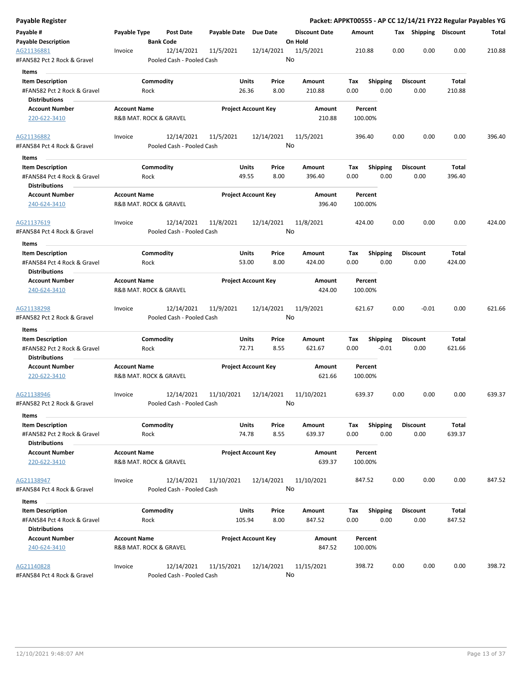| Payable Register                                    |                     |                                         |                       |                            |                      |         |                         |      |                       | Packet: APPKT00555 - AP CC 12/14/21 FY22 Regular Payables YG |        |
|-----------------------------------------------------|---------------------|-----------------------------------------|-----------------------|----------------------------|----------------------|---------|-------------------------|------|-----------------------|--------------------------------------------------------------|--------|
| Payable #                                           | Payable Type        | Post Date                               | Payable Date Due Date |                            | <b>Discount Date</b> | Amount  |                         |      | Tax Shipping Discount |                                                              | Total  |
| <b>Payable Description</b>                          |                     | <b>Bank Code</b>                        |                       |                            | On Hold              |         |                         |      |                       |                                                              |        |
| AG21136881<br>#FAN582 Pct 2 Rock & Gravel           | Invoice             | 12/14/2021<br>Pooled Cash - Pooled Cash | 11/5/2021             | 12/14/2021                 | 11/5/2021<br>No      | 210.88  |                         | 0.00 | 0.00                  | 0.00                                                         | 210.88 |
| Items                                               |                     |                                         |                       |                            |                      |         |                         |      |                       |                                                              |        |
| <b>Item Description</b>                             |                     | Commodity                               | Units                 | Price                      | Amount               | Tax     | <b>Shipping</b>         |      | <b>Discount</b>       | Total                                                        |        |
| #FAN582 Pct 2 Rock & Gravel                         |                     | Rock                                    | 26.36                 | 8.00                       | 210.88               | 0.00    | 0.00                    |      | 0.00                  | 210.88                                                       |        |
| <b>Distributions</b>                                |                     |                                         |                       |                            |                      |         |                         |      |                       |                                                              |        |
| <b>Account Number</b>                               | <b>Account Name</b> |                                         |                       | <b>Project Account Key</b> | Amount               |         | Percent                 |      |                       |                                                              |        |
| 220-622-3410                                        |                     | R&B MAT. ROCK & GRAVEL                  |                       |                            | 210.88               | 100.00% |                         |      |                       |                                                              |        |
| AG21136882                                          | Invoice             | 12/14/2021                              | 11/5/2021             | 12/14/2021                 | 11/5/2021            | 396.40  |                         | 0.00 | 0.00                  | 0.00                                                         | 396.40 |
| #FAN584 Pct 4 Rock & Gravel<br>Items                |                     | Pooled Cash - Pooled Cash               |                       |                            | No                   |         |                         |      |                       |                                                              |        |
| <b>Item Description</b>                             |                     | Commodity                               | <b>Units</b>          | Price                      | Amount               | Tax     |                         |      | <b>Discount</b>       | Total                                                        |        |
| #FAN584 Pct 4 Rock & Gravel                         |                     | Rock                                    | 49.55                 | 8.00                       | 396.40               | 0.00    | <b>Shipping</b><br>0.00 |      | 0.00                  | 396.40                                                       |        |
| <b>Distributions</b>                                |                     |                                         |                       |                            |                      |         |                         |      |                       |                                                              |        |
| <b>Account Number</b>                               | <b>Account Name</b> |                                         |                       | <b>Project Account Key</b> | Amount               |         | Percent                 |      |                       |                                                              |        |
| 240-624-3410                                        |                     | R&B MAT. ROCK & GRAVEL                  |                       |                            | 396.40               | 100.00% |                         |      |                       |                                                              |        |
| AG21137619                                          | Invoice             | 12/14/2021                              | 11/8/2021             | 12/14/2021                 | 11/8/2021            | 424.00  |                         | 0.00 | 0.00                  | 0.00                                                         | 424.00 |
| #FAN584 Pct 4 Rock & Gravel                         |                     | Pooled Cash - Pooled Cash               |                       |                            | No                   |         |                         |      |                       |                                                              |        |
| Items                                               |                     |                                         |                       |                            |                      |         |                         |      |                       |                                                              |        |
| <b>Item Description</b>                             |                     | Commodity                               | Units                 | Price                      | <b>Amount</b>        | Тах     | <b>Shipping</b>         |      | <b>Discount</b>       | Total                                                        |        |
| #FAN584 Pct 4 Rock & Gravel<br><b>Distributions</b> |                     | Rock                                    | 53.00                 | 8.00                       | 424.00               | 0.00    | 0.00                    |      | 0.00                  | 424.00                                                       |        |
| <b>Account Number</b>                               | <b>Account Name</b> |                                         |                       | <b>Project Account Key</b> | Amount               |         | Percent                 |      |                       |                                                              |        |
| 240-624-3410                                        |                     | R&B MAT. ROCK & GRAVEL                  |                       |                            | 424.00               | 100.00% |                         |      |                       |                                                              |        |
| AG21138298                                          | Invoice             | 12/14/2021                              | 11/9/2021             | 12/14/2021                 | 11/9/2021            | 621.67  |                         | 0.00 | $-0.01$               | 0.00                                                         | 621.66 |
| #FAN582 Pct 2 Rock & Gravel                         |                     | Pooled Cash - Pooled Cash               |                       |                            | No                   |         |                         |      |                       |                                                              |        |
| Items                                               |                     |                                         |                       |                            |                      |         |                         |      |                       |                                                              |        |
| <b>Item Description</b>                             |                     | Commodity                               | Units                 | Price                      | Amount               | Tax     | <b>Shipping</b>         |      | <b>Discount</b>       | Total                                                        |        |
| #FAN582 Pct 2 Rock & Gravel                         |                     | Rock                                    | 72.71                 | 8.55                       | 621.67               | 0.00    | $-0.01$                 |      | 0.00                  | 621.66                                                       |        |
| Distributions                                       |                     |                                         |                       |                            |                      |         |                         |      |                       |                                                              |        |
| <b>Account Number</b><br>220-622-3410               | <b>Account Name</b> | R&B MAT. ROCK & GRAVEL                  |                       | <b>Project Account Key</b> | Amount<br>621.66     | 100.00% | Percent                 |      |                       |                                                              |        |
|                                                     |                     |                                         |                       |                            |                      |         |                         |      |                       |                                                              |        |
| AG21138946                                          | Invoice             | 12/14/2021                              | 11/10/2021            | 12/14/2021                 | 11/10/2021           | 639.37  |                         | 0.00 | 0.00                  | 0.00                                                         | 639.37 |
| #FAN582 Pct 2 Rock & Gravel<br>Items                |                     | Pooled Cash - Pooled Cash               |                       |                            | No                   |         |                         |      |                       |                                                              |        |
| <b>Item Description</b>                             |                     | Commodity                               | <b>Units</b>          | Price                      | Amount               | Tax     | <b>Shipping</b>         |      | <b>Discount</b>       | Total                                                        |        |
| #FAN582 Pct 2 Rock & Gravel                         |                     | Rock                                    | 74.78                 | 8.55                       | 639.37               | 0.00    | 0.00                    |      | 0.00                  | 639.37                                                       |        |
| <b>Distributions</b>                                |                     |                                         |                       | <b>Project Account Key</b> |                      |         |                         |      |                       |                                                              |        |
| <b>Account Number</b><br>220-622-3410               | <b>Account Name</b> | R&B MAT. ROCK & GRAVEL                  |                       |                            | Amount<br>639.37     | 100.00% | Percent                 |      |                       |                                                              |        |
| AG21138947                                          | Invoice             | 12/14/2021                              | 11/10/2021            | 12/14/2021                 | 11/10/2021           | 847.52  |                         | 0.00 | 0.00                  | 0.00                                                         | 847.52 |
| #FAN584 Pct 4 Rock & Gravel                         |                     | Pooled Cash - Pooled Cash               |                       |                            | No                   |         |                         |      |                       |                                                              |        |
| Items                                               |                     |                                         |                       |                            |                      |         |                         |      |                       |                                                              |        |
| <b>Item Description</b>                             |                     | Commodity                               | <b>Units</b>          | Price                      | Amount               | Tax     | Shipping                |      | <b>Discount</b>       | Total                                                        |        |
| #FAN584 Pct 4 Rock & Gravel                         |                     | Rock                                    | 105.94                | 8.00                       | 847.52               | 0.00    | 0.00                    |      | 0.00                  | 847.52                                                       |        |
| <b>Distributions</b>                                |                     |                                         |                       |                            |                      |         |                         |      |                       |                                                              |        |
| <b>Account Number</b>                               | <b>Account Name</b> |                                         |                       | <b>Project Account Key</b> | Amount               |         | Percent                 |      |                       |                                                              |        |
| 240-624-3410                                        |                     | R&B MAT. ROCK & GRAVEL                  |                       |                            | 847.52               | 100.00% |                         |      |                       |                                                              |        |
| AG21140828                                          | Invoice             | 12/14/2021                              | 11/15/2021            | 12/14/2021                 | 11/15/2021           | 398.72  |                         | 0.00 | 0.00                  | 0.00                                                         | 398.72 |
| #FAN584 Pct 4 Rock & Gravel                         |                     | Pooled Cash - Pooled Cash               |                       |                            | No                   |         |                         |      |                       |                                                              |        |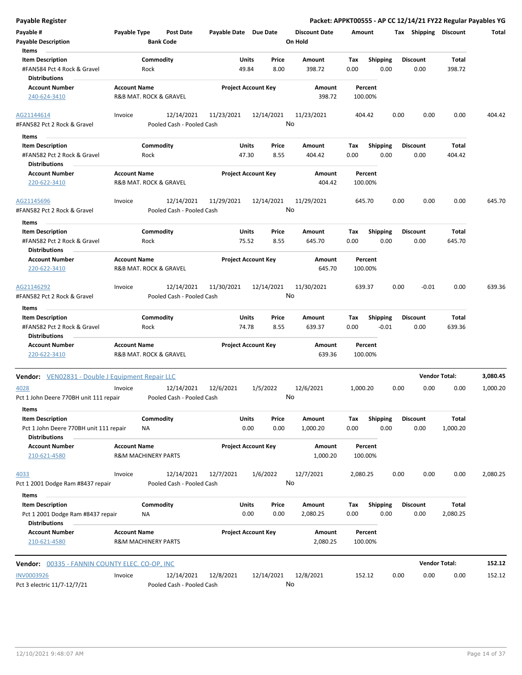| Payable Register                                             |                                               |                                         |                       |                            |                                 | Packet: APPKT00555 - AP CC 12/14/21 FY22 Regular Payables YG |         |                         |                      |          |
|--------------------------------------------------------------|-----------------------------------------------|-----------------------------------------|-----------------------|----------------------------|---------------------------------|--------------------------------------------------------------|---------|-------------------------|----------------------|----------|
| Payable #<br><b>Payable Description</b>                      | Payable Type                                  | <b>Post Date</b><br><b>Bank Code</b>    | Payable Date Due Date |                            | <b>Discount Date</b><br>On Hold | Amount                                                       |         | Tax Shipping Discount   |                      | Total    |
| Items<br><b>Item Description</b>                             |                                               | Commodity                               | Units                 | Price                      | Amount                          | <b>Shipping</b><br>Tax                                       |         | <b>Discount</b>         | Total                |          |
| #FAN584 Pct 4 Rock & Gravel<br><b>Distributions</b>          | Rock                                          |                                         | 49.84                 | 8.00                       | 398.72                          | 0.00                                                         | 0.00    | 0.00                    | 398.72               |          |
| <b>Account Number</b>                                        | <b>Account Name</b>                           |                                         |                       | <b>Project Account Key</b> | Amount                          | Percent                                                      |         |                         |                      |          |
| 240-624-3410                                                 | R&B MAT. ROCK & GRAVEL                        |                                         |                       |                            | 398.72                          | 100.00%                                                      |         |                         |                      |          |
| AG21144614                                                   | Invoice                                       | 12/14/2021                              | 11/23/2021            | 12/14/2021                 | 11/23/2021                      | 404.42                                                       | 0.00    | 0.00                    | 0.00                 | 404.42   |
| #FAN582 Pct 2 Rock & Gravel                                  |                                               | Pooled Cash - Pooled Cash               |                       |                            | No                              |                                                              |         |                         |                      |          |
| Items                                                        |                                               |                                         |                       |                            |                                 |                                                              |         |                         |                      |          |
| <b>Item Description</b><br>#FAN582 Pct 2 Rock & Gravel       | Rock                                          | Commodity                               | Units<br>47.30        | Price<br>8.55              | Amount<br>404.42                | Shipping<br>Tax<br>0.00                                      | 0.00    | <b>Discount</b><br>0.00 | Total<br>404.42      |          |
| <b>Distributions</b><br><b>Account Number</b>                |                                               |                                         |                       |                            | Amount                          | Percent                                                      |         |                         |                      |          |
| 220-622-3410                                                 | <b>Account Name</b><br>R&B MAT. ROCK & GRAVEL |                                         |                       | <b>Project Account Key</b> | 404.42                          | 100.00%                                                      |         |                         |                      |          |
| AG21145696<br>#FAN582 Pct 2 Rock & Gravel                    | Invoice                                       | 12/14/2021<br>Pooled Cash - Pooled Cash | 11/29/2021            | 12/14/2021                 | 11/29/2021<br>No                | 645.70                                                       | 0.00    | 0.00                    | 0.00                 | 645.70   |
|                                                              |                                               |                                         |                       |                            |                                 |                                                              |         |                         |                      |          |
| Items<br><b>Item Description</b>                             |                                               | Commodity                               | Units                 | Price                      | Amount                          | Tax<br><b>Shipping</b>                                       |         | <b>Discount</b>         | Total                |          |
| #FAN582 Pct 2 Rock & Gravel<br><b>Distributions</b>          | Rock                                          |                                         | 75.52                 | 8.55                       | 645.70                          | 0.00                                                         | 0.00    | 0.00                    | 645.70               |          |
| <b>Account Number</b><br>220-622-3410                        | <b>Account Name</b><br>R&B MAT. ROCK & GRAVEL |                                         |                       | <b>Project Account Key</b> | Amount<br>645.70                | Percent<br>100.00%                                           |         |                         |                      |          |
|                                                              |                                               |                                         |                       |                            |                                 |                                                              |         |                         |                      |          |
| AG21146292<br>#FAN582 Pct 2 Rock & Gravel                    | Invoice                                       | 12/14/2021<br>Pooled Cash - Pooled Cash | 11/30/2021            | 12/14/2021                 | 11/30/2021<br>No                | 639.37                                                       | 0.00    | $-0.01$                 | 0.00                 | 639.36   |
| Items                                                        |                                               |                                         |                       |                            |                                 |                                                              |         |                         |                      |          |
| <b>Item Description</b>                                      |                                               | Commodity                               | Units                 | Price                      | Amount                          | <b>Shipping</b><br>Tax                                       |         | <b>Discount</b>         | Total                |          |
| #FAN582 Pct 2 Rock & Gravel<br><b>Distributions</b>          | Rock                                          |                                         | 74.78                 | 8.55                       | 639.37                          | 0.00                                                         | $-0.01$ | 0.00                    | 639.36               |          |
| <b>Account Number</b><br>220-622-3410                        | <b>Account Name</b><br>R&B MAT. ROCK & GRAVEL |                                         |                       | <b>Project Account Key</b> | Amount<br>639.36                | Percent<br>100.00%                                           |         |                         |                      |          |
| Vendor: VEN02831 - Double J Equipment Repair LLC             |                                               |                                         |                       |                            |                                 |                                                              |         |                         | <b>Vendor Total:</b> | 3,080.45 |
| 4028                                                         | Invoice                                       | 12/14/2021                              | 12/6/2021             | 1/5/2022                   | 12/6/2021                       | 1,000.20                                                     | 0.00    | 0.00                    | 0.00                 | 1,000.20 |
| Pct 1 John Deere 770BH unit 111 repair                       |                                               | Pooled Cash - Pooled Cash               |                       |                            | No                              |                                                              |         |                         |                      |          |
| Items<br><b>Item Description</b>                             |                                               | Commodity                               | Units                 | Price                      | Amount                          | <b>Shipping</b><br>Tax                                       |         | <b>Discount</b>         | Total                |          |
| Pct 1 John Deere 770BH unit 111 repair                       | ΝA                                            |                                         |                       | 0.00<br>0.00               | 1,000.20                        | 0.00                                                         | 0.00    | 0.00                    | 1,000.20             |          |
| <b>Distributions</b><br><b>Account Number</b>                | <b>Account Name</b>                           |                                         |                       | <b>Project Account Key</b> | Amount                          | Percent                                                      |         |                         |                      |          |
| 210-621-4580                                                 | <b>R&amp;M MACHINERY PARTS</b>                |                                         |                       |                            | 1,000.20                        | 100.00%                                                      |         |                         |                      |          |
| 4033                                                         | Invoice                                       | 12/14/2021                              | 12/7/2021             | 1/6/2022                   | 12/7/2021                       | 2,080.25                                                     | 0.00    | 0.00                    | 0.00                 | 2,080.25 |
| Pct 1 2001 Dodge Ram #8437 repair                            |                                               | Pooled Cash - Pooled Cash               |                       |                            | No                              |                                                              |         |                         |                      |          |
| Items                                                        |                                               |                                         |                       |                            |                                 |                                                              |         |                         |                      |          |
| <b>Item Description</b><br>Pct 1 2001 Dodge Ram #8437 repair | ΝA                                            | Commodity                               | Units                 | Price<br>0.00<br>0.00      | Amount<br>2,080.25              | <b>Shipping</b><br>Tax<br>0.00                               | 0.00    | <b>Discount</b><br>0.00 | Total<br>2,080.25    |          |
| <b>Distributions</b><br><b>Account Number</b>                | <b>Account Name</b>                           |                                         |                       | <b>Project Account Key</b> | Amount                          | Percent                                                      |         |                         |                      |          |
| 210-621-4580                                                 | <b>R&amp;M MACHINERY PARTS</b>                |                                         |                       |                            | 2,080.25                        | 100.00%                                                      |         |                         |                      |          |
| <b>Vendor: 00335 - FANNIN COUNTY ELEC. CO-OP, INC</b>        |                                               |                                         |                       |                            |                                 |                                                              |         |                         | <b>Vendor Total:</b> | 152.12   |
| <b>INV0003926</b>                                            | Invoice                                       | 12/14/2021                              | 12/8/2021             | 12/14/2021                 | 12/8/2021                       | 152.12                                                       | 0.00    | 0.00                    | 0.00                 | 152.12   |
| Pct 3 electric 11/7-12/7/21                                  |                                               | Pooled Cash - Pooled Cash               |                       |                            | No                              |                                                              |         |                         |                      |          |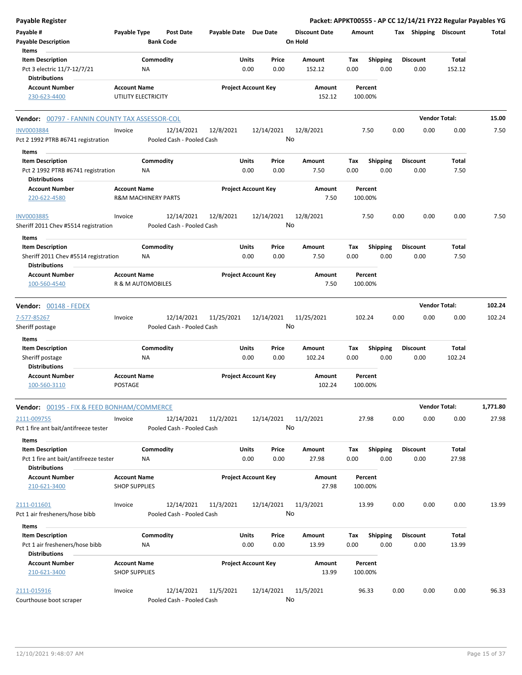| <b>Payable Register</b>                                          |                                                       |                                         |                            |               |               |                                 |             |                         |      |                         | Packet: APPKT00555 - AP CC 12/14/21 FY22 Regular Payables YG |          |
|------------------------------------------------------------------|-------------------------------------------------------|-----------------------------------------|----------------------------|---------------|---------------|---------------------------------|-------------|-------------------------|------|-------------------------|--------------------------------------------------------------|----------|
| Payable #<br><b>Payable Description</b>                          | Payable Type                                          | <b>Post Date</b><br><b>Bank Code</b>    | Payable Date Due Date      |               |               | <b>Discount Date</b><br>On Hold | Amount      |                         |      | Tax Shipping Discount   |                                                              | Total    |
| Items                                                            |                                                       |                                         |                            |               |               |                                 |             |                         |      |                         |                                                              |          |
| <b>Item Description</b><br>Pct 3 electric 11/7-12/7/21           | NA                                                    | Commodity                               |                            | Units<br>0.00 | Price<br>0.00 | Amount<br>152.12                | Tax<br>0.00 | <b>Shipping</b><br>0.00 |      | <b>Discount</b><br>0.00 | Total<br>152.12                                              |          |
| <b>Distributions</b><br><b>Account Number</b>                    |                                                       |                                         | <b>Project Account Key</b> |               |               |                                 |             | Percent                 |      |                         |                                                              |          |
| 230-623-4400                                                     | <b>Account Name</b><br>UTILITY ELECTRICITY            |                                         |                            |               |               | Amount<br>152.12                |             | 100.00%                 |      |                         |                                                              |          |
| <b>Vendor: 00797 - FANNIN COUNTY TAX ASSESSOR-COL</b>            |                                                       |                                         |                            |               |               |                                 |             |                         |      |                         | <b>Vendor Total:</b>                                         | 15.00    |
| <b>INV0003884</b><br>Pct 2 1992 PTRB #6741 registration          | Invoice                                               | 12/14/2021<br>Pooled Cash - Pooled Cash | 12/8/2021                  | 12/14/2021    |               | 12/8/2021<br>No                 |             | 7.50                    | 0.00 | 0.00                    | 0.00                                                         | 7.50     |
| Items                                                            |                                                       |                                         |                            |               |               |                                 |             |                         |      |                         |                                                              |          |
| <b>Item Description</b>                                          |                                                       | Commodity                               |                            | Units         | Price         | Amount                          | Tax         | <b>Shipping</b>         |      | <b>Discount</b>         | Total                                                        |          |
| Pct 2 1992 PTRB #6741 registration<br><b>Distributions</b>       | <b>NA</b>                                             |                                         |                            | 0.00          | 0.00          | 7.50                            | 0.00        | 0.00                    |      | 0.00                    | 7.50                                                         |          |
| <b>Account Number</b><br>220-622-4580                            | <b>Account Name</b><br><b>R&amp;M MACHINERY PARTS</b> |                                         | <b>Project Account Key</b> |               |               | Amount<br>7.50                  |             | Percent<br>100.00%      |      |                         |                                                              |          |
| <b>INV0003885</b>                                                | Invoice                                               | 12/14/2021                              | 12/8/2021                  | 12/14/2021    |               | 12/8/2021                       |             | 7.50                    | 0.00 | 0.00                    | 0.00                                                         | 7.50     |
| Sheriff 2011 Chev #5514 registration<br>Items                    |                                                       | Pooled Cash - Pooled Cash               |                            |               |               | No                              |             |                         |      |                         |                                                              |          |
| <b>Item Description</b>                                          |                                                       | Commodity                               |                            | Units         | Price         | Amount                          | Tax         | Shipping                |      | <b>Discount</b>         | Total                                                        |          |
| Sheriff 2011 Chev #5514 registration<br><b>Distributions</b>     | ΝA                                                    |                                         |                            | 0.00          | 0.00          | 7.50                            | 0.00        | 0.00                    |      | 0.00                    | 7.50                                                         |          |
| <b>Account Number</b>                                            | <b>Account Name</b>                                   |                                         | <b>Project Account Key</b> |               |               | Amount                          |             | Percent                 |      |                         |                                                              |          |
| 100-560-4540                                                     | R & M AUTOMOBILES                                     |                                         |                            |               |               | 7.50                            |             | 100.00%                 |      |                         |                                                              |          |
| Vendor: 00148 - FEDEX                                            |                                                       |                                         |                            |               |               |                                 |             |                         |      |                         | <b>Vendor Total:</b>                                         | 102.24   |
| 7-577-85267                                                      | Invoice                                               | 12/14/2021                              | 11/25/2021                 | 12/14/2021    |               | 11/25/2021                      |             | 102.24                  | 0.00 | 0.00                    | 0.00                                                         | 102.24   |
| Sheriff postage<br>Items                                         |                                                       | Pooled Cash - Pooled Cash               |                            |               |               | No                              |             |                         |      |                         |                                                              |          |
| <b>Item Description</b>                                          |                                                       | Commodity                               |                            | Units         | Price         | <b>Amount</b>                   | Tax         | <b>Shipping</b>         |      | <b>Discount</b>         | <b>Total</b>                                                 |          |
| Sheriff postage                                                  | <b>NA</b>                                             |                                         |                            | 0.00          | 0.00          | 102.24                          | 0.00        | 0.00                    |      | 0.00                    | 102.24                                                       |          |
| <b>Distributions</b><br><b>Account Number</b><br>100-560-3110    | <b>Account Name</b><br><b>POSTAGE</b>                 |                                         | <b>Project Account Key</b> |               |               | Amount<br>102.24                |             | Percent<br>100.00%      |      |                         |                                                              |          |
|                                                                  |                                                       |                                         |                            |               |               |                                 |             |                         |      |                         |                                                              |          |
| <b>Vendor: 00195 - FIX &amp; FEED BONHAM/COMMERCE</b>            |                                                       |                                         |                            |               |               |                                 |             |                         |      |                         | <b>Vendor Total:</b>                                         | 1,771.80 |
| 2111-009755<br>Pct 1 fire ant bait/antifreeze tester             | Invoice                                               | 12/14/2021<br>Pooled Cash - Pooled Cash | 11/2/2021                  |               |               | 12/14/2021 11/2/2021<br>No      |             | 27.98                   | 0.00 | 0.00                    | 0.00                                                         | 27.98    |
| Items                                                            |                                                       |                                         |                            |               |               |                                 |             |                         |      |                         |                                                              |          |
| <b>Item Description</b><br>Pct 1 fire ant bait/antifreeze tester | NA                                                    | Commodity                               |                            | Units<br>0.00 | Price<br>0.00 | Amount<br>27.98                 | Tax<br>0.00 | <b>Shipping</b><br>0.00 |      | <b>Discount</b><br>0.00 | Total<br>27.98                                               |          |
| <b>Distributions</b><br><b>Account Number</b>                    | <b>Account Name</b>                                   |                                         |                            |               |               |                                 |             | Percent                 |      |                         |                                                              |          |
| 210-621-3400                                                     | <b>SHOP SUPPLIES</b>                                  |                                         | <b>Project Account Key</b> |               |               | Amount<br>27.98                 |             | 100.00%                 |      |                         |                                                              |          |
| 2111-011601<br>Pct 1 air fresheners/hose bibb                    | Invoice                                               | 12/14/2021<br>Pooled Cash - Pooled Cash | 11/3/2021                  | 12/14/2021    |               | 11/3/2021<br>No                 |             | 13.99                   | 0.00 | 0.00                    | 0.00                                                         | 13.99    |
|                                                                  |                                                       |                                         |                            |               |               |                                 |             |                         |      |                         |                                                              |          |
| Items<br><b>Item Description</b>                                 |                                                       | Commodity                               |                            | Units         | Price         | Amount                          | Tax         | <b>Shipping</b>         |      | <b>Discount</b>         | Total                                                        |          |
| Pct 1 air fresheners/hose bibb<br><b>Distributions</b>           | NA                                                    |                                         |                            | 0.00          | 0.00          | 13.99                           | 0.00        | 0.00                    |      | 0.00                    | 13.99                                                        |          |
| <b>Account Number</b><br>210-621-3400                            | <b>Account Name</b><br><b>SHOP SUPPLIES</b>           |                                         | <b>Project Account Key</b> |               |               | Amount<br>13.99                 |             | Percent<br>100.00%      |      |                         |                                                              |          |
| 2111-015916                                                      | Invoice                                               | 12/14/2021                              | 11/5/2021                  | 12/14/2021    |               | 11/5/2021                       |             | 96.33                   | 0.00 | 0.00                    | 0.00                                                         | 96.33    |
| Courthouse boot scraper                                          |                                                       | Pooled Cash - Pooled Cash               |                            |               |               | No                              |             |                         |      |                         |                                                              |          |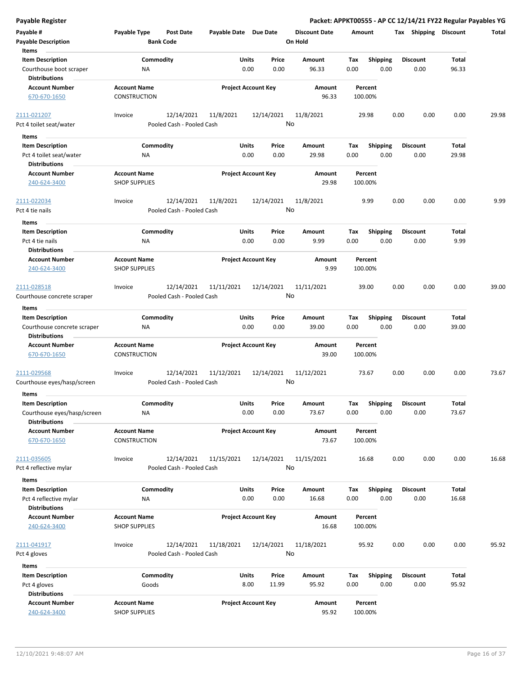| <b>Payable Register</b>                                            |                                            |                                      |                       |                            |               |                                 |             |                         |      |                         |               | Packet: APPKT00555 - AP CC 12/14/21 FY22 Regular Payables YG |
|--------------------------------------------------------------------|--------------------------------------------|--------------------------------------|-----------------------|----------------------------|---------------|---------------------------------|-------------|-------------------------|------|-------------------------|---------------|--------------------------------------------------------------|
| Payable #<br><b>Payable Description</b>                            | Payable Type                               | <b>Post Date</b><br><b>Bank Code</b> | Payable Date Due Date |                            |               | <b>Discount Date</b><br>On Hold | Amount      |                         |      | Tax Shipping Discount   |               | Total                                                        |
| Items<br><b>Item Description</b>                                   | Commodity                                  |                                      |                       | Units                      | Price         | <b>Amount</b>                   | Tax         | <b>Shipping</b>         |      | <b>Discount</b>         | Total         |                                                              |
| Courthouse boot scraper<br><b>Distributions</b>                    | ΝA                                         |                                      |                       | 0.00                       | 0.00          | 96.33                           | 0.00        | 0.00                    |      | 0.00                    | 96.33         |                                                              |
| <b>Account Number</b><br>670-670-1650                              | <b>Account Name</b><br><b>CONSTRUCTION</b> |                                      |                       | <b>Project Account Key</b> |               | Amount<br>96.33                 |             | Percent<br>100.00%      |      |                         |               |                                                              |
| 2111-021207                                                        | Invoice                                    | 12/14/2021                           | 11/8/2021             | 12/14/2021                 |               | 11/8/2021                       |             | 29.98                   | 0.00 | 0.00                    | 0.00          | 29.98                                                        |
| Pct 4 toilet seat/water                                            |                                            | Pooled Cash - Pooled Cash            |                       |                            |               | No                              |             |                         |      |                         |               |                                                              |
| Items                                                              |                                            |                                      |                       |                            |               |                                 |             |                         |      |                         |               |                                                              |
| <b>Item Description</b>                                            | Commodity                                  |                                      |                       | Units                      | Price         | Amount                          | Tax         | <b>Shipping</b>         |      | <b>Discount</b>         | Total         |                                                              |
| Pct 4 toilet seat/water<br><b>Distributions</b>                    | ΝA                                         |                                      |                       | 0.00                       | 0.00          | 29.98                           | 0.00        | 0.00                    |      | 0.00                    | 29.98         |                                                              |
| <b>Account Number</b>                                              | <b>Account Name</b>                        |                                      |                       | <b>Project Account Key</b> |               | Amount                          |             | Percent                 |      |                         |               |                                                              |
| 240-624-3400                                                       | <b>SHOP SUPPLIES</b>                       |                                      |                       |                            |               | 29.98                           |             | 100.00%                 |      |                         |               |                                                              |
| 2111-022034                                                        | Invoice                                    | 12/14/2021                           | 11/8/2021             | 12/14/2021                 |               | 11/8/2021                       |             | 9.99                    | 0.00 | 0.00                    | 0.00          | 9.99                                                         |
| Pct 4 tie nails                                                    |                                            | Pooled Cash - Pooled Cash            |                       |                            |               | No                              |             |                         |      |                         |               |                                                              |
| Items                                                              |                                            |                                      |                       |                            |               |                                 |             |                         |      |                         |               |                                                              |
| <b>Item Description</b><br>Pct 4 tie nails<br><b>Distributions</b> | Commodity<br>NA                            |                                      |                       | Units<br>0.00              | Price<br>0.00 | <b>Amount</b><br>9.99           | Tax<br>0.00 | <b>Shipping</b><br>0.00 |      | <b>Discount</b><br>0.00 | Total<br>9.99 |                                                              |
| <b>Account Number</b>                                              | <b>Account Name</b>                        |                                      |                       | <b>Project Account Key</b> |               | Amount                          |             | Percent                 |      |                         |               |                                                              |
| 240-624-3400                                                       | <b>SHOP SUPPLIES</b>                       |                                      |                       |                            |               | 9.99                            |             | 100.00%                 |      |                         |               |                                                              |
| 2111-028518                                                        | Invoice                                    | 12/14/2021                           | 11/11/2021            | 12/14/2021                 |               | 11/11/2021                      |             | 39.00                   | 0.00 | 0.00                    | 0.00          | 39.00                                                        |
| Courthouse concrete scraper                                        |                                            | Pooled Cash - Pooled Cash            |                       |                            |               | No                              |             |                         |      |                         |               |                                                              |
| Items                                                              |                                            |                                      |                       |                            |               |                                 |             |                         |      |                         |               |                                                              |
| <b>Item Description</b>                                            | Commodity                                  |                                      |                       | Units                      | Price         | Amount                          | Tax         | <b>Shipping</b>         |      | <b>Discount</b>         | Total         |                                                              |
| Courthouse concrete scraper<br><b>Distributions</b>                | ΝA                                         |                                      |                       | 0.00                       | 0.00          | 39.00                           | 0.00        | 0.00                    |      | 0.00                    | 39.00         |                                                              |
| <b>Account Number</b>                                              | <b>Account Name</b>                        |                                      |                       | <b>Project Account Key</b> |               | <b>Amount</b>                   |             | Percent                 |      |                         |               |                                                              |
| 670-670-1650                                                       | <b>CONSTRUCTION</b>                        |                                      |                       |                            |               | 39.00                           |             | 100.00%                 |      |                         |               |                                                              |
| 2111-029568                                                        | Invoice                                    | 12/14/2021                           | 11/12/2021            | 12/14/2021                 |               | 11/12/2021                      |             | 73.67                   | 0.00 | 0.00                    | 0.00          | 73.67                                                        |
| Courthouse eyes/hasp/screen                                        |                                            | Pooled Cash - Pooled Cash            |                       |                            |               | No                              |             |                         |      |                         |               |                                                              |
| Items                                                              |                                            |                                      |                       |                            |               |                                 |             |                         |      |                         |               |                                                              |
| <b>Item Description</b>                                            | Commodity                                  |                                      |                       | Units                      | Price         | Amount                          | Tax         | Shipping                |      | <b>Discount</b>         | Total         |                                                              |
| Courthouse eyes/hasp/screen                                        | NA                                         |                                      |                       | 0.00                       | 0.00          | 73.67                           | 0.00        | 0.00                    |      | 0.00                    | 73.67         |                                                              |
| <b>Distributions</b>                                               |                                            |                                      |                       |                            |               |                                 |             |                         |      |                         |               |                                                              |
| <b>Account Number</b><br>670-670-1650                              | <b>Account Name</b><br>CONSTRUCTION        |                                      |                       | <b>Project Account Key</b> |               | Amount<br>73.67                 |             | Percent<br>100.00%      |      |                         |               |                                                              |
| 2111-035605                                                        | Invoice                                    | 12/14/2021                           | 11/15/2021            | 12/14/2021                 |               | 11/15/2021                      |             | 16.68                   | 0.00 | 0.00                    | 0.00          | 16.68                                                        |
| Pct 4 reflective mylar                                             |                                            | Pooled Cash - Pooled Cash            |                       |                            |               | No                              |             |                         |      |                         |               |                                                              |
| Items                                                              |                                            |                                      |                       |                            |               |                                 |             |                         |      |                         |               |                                                              |
| <b>Item Description</b>                                            | Commodity                                  |                                      |                       | Units                      | Price         | Amount                          | Tax         | <b>Shipping</b>         |      | <b>Discount</b>         | Total         |                                                              |
| Pct 4 reflective mylar                                             | ΝA                                         |                                      |                       | 0.00                       | 0.00          | 16.68                           | 0.00        | 0.00                    |      | 0.00                    | 16.68         |                                                              |
| <b>Distributions</b>                                               |                                            |                                      |                       |                            |               |                                 |             |                         |      |                         |               |                                                              |
| <b>Account Number</b>                                              | <b>Account Name</b>                        |                                      |                       | <b>Project Account Key</b> |               | Amount                          |             | Percent                 |      |                         |               |                                                              |
| 240-624-3400                                                       | <b>SHOP SUPPLIES</b>                       |                                      |                       |                            |               | 16.68                           |             | 100.00%                 |      |                         |               |                                                              |
|                                                                    |                                            |                                      |                       |                            |               |                                 |             |                         |      |                         |               |                                                              |
| 2111-041917                                                        | Invoice                                    | 12/14/2021                           | 11/18/2021            | 12/14/2021                 |               | 11/18/2021<br>No                |             | 95.92                   | 0.00 | 0.00                    | 0.00          | 95.92                                                        |
| Pct 4 gloves                                                       |                                            | Pooled Cash - Pooled Cash            |                       |                            |               |                                 |             |                         |      |                         |               |                                                              |
| Items                                                              |                                            |                                      |                       |                            |               |                                 |             |                         |      |                         |               |                                                              |
| <b>Item Description</b>                                            | Commodity                                  |                                      |                       | Units                      | Price         | Amount                          | Tax         | Shipping                |      | <b>Discount</b>         | Total         |                                                              |
| Pct 4 gloves<br><b>Distributions</b>                               | Goods                                      |                                      |                       | 8.00                       | 11.99         | 95.92                           | 0.00        | 0.00                    |      | 0.00                    | 95.92         |                                                              |
| <b>Account Number</b>                                              | <b>Account Name</b>                        |                                      |                       | <b>Project Account Key</b> |               | Amount                          |             | Percent                 |      |                         |               |                                                              |
| 240-624-3400                                                       | <b>SHOP SUPPLIES</b>                       |                                      |                       |                            |               | 95.92                           |             | 100.00%                 |      |                         |               |                                                              |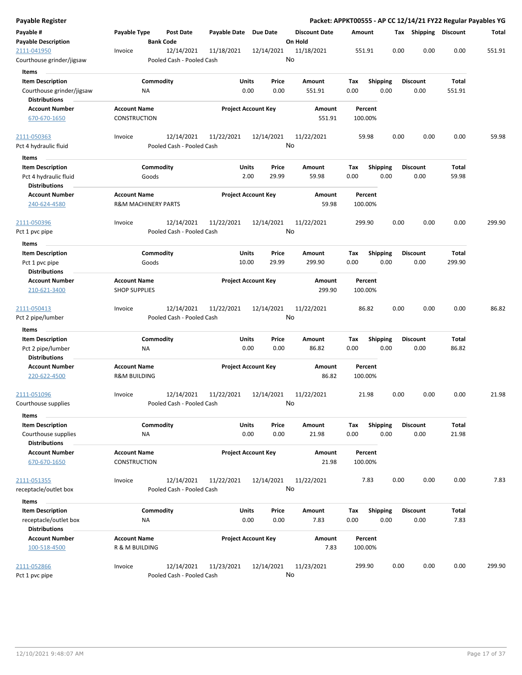| Payable Register                     |                                |                                         |                       |                            |                      |         |                 |      |                       |        | Packet: APPKT00555 - AP CC 12/14/21 FY22 Regular Payables YG |
|--------------------------------------|--------------------------------|-----------------------------------------|-----------------------|----------------------------|----------------------|---------|-----------------|------|-----------------------|--------|--------------------------------------------------------------|
| Payable #                            | Payable Type                   | Post Date                               | Payable Date Due Date |                            | <b>Discount Date</b> | Amount  |                 |      | Tax Shipping Discount |        | Total                                                        |
| <b>Payable Description</b>           |                                | <b>Bank Code</b>                        |                       |                            | On Hold              |         |                 |      |                       |        |                                                              |
| 2111-041950                          | Invoice                        | 12/14/2021                              | 11/18/2021            | 12/14/2021                 | 11/18/2021           | 551.91  |                 | 0.00 | 0.00                  | 0.00   | 551.91                                                       |
| Courthouse grinder/jigsaw            |                                | Pooled Cash - Pooled Cash               |                       |                            | No                   |         |                 |      |                       |        |                                                              |
| Items                                |                                |                                         |                       |                            |                      |         |                 |      |                       |        |                                                              |
| <b>Item Description</b>              | Commodity                      |                                         | Units                 | Price                      | Amount               | Tax     | <b>Shipping</b> |      | <b>Discount</b>       | Total  |                                                              |
| Courthouse grinder/jigsaw            | ΝA                             |                                         |                       | 0.00<br>0.00               | 551.91               | 0.00    | 0.00            |      | 0.00                  | 551.91 |                                                              |
| <b>Distributions</b>                 |                                |                                         |                       |                            |                      |         |                 |      |                       |        |                                                              |
| <b>Account Number</b>                | <b>Account Name</b>            |                                         |                       | <b>Project Account Key</b> | Amount               | Percent |                 |      |                       |        |                                                              |
| 670-670-1650                         | CONSTRUCTION                   |                                         |                       |                            | 551.91               | 100.00% |                 |      |                       |        |                                                              |
| 2111-050363                          | Invoice                        | 12/14/2021                              | 11/22/2021            | 12/14/2021                 | 11/22/2021           | 59.98   |                 | 0.00 | 0.00                  | 0.00   | 59.98                                                        |
| Pct 4 hydraulic fluid                |                                | Pooled Cash - Pooled Cash               |                       |                            | No                   |         |                 |      |                       |        |                                                              |
| Items                                |                                |                                         |                       |                            |                      |         |                 |      |                       |        |                                                              |
| <b>Item Description</b>              | Commodity                      |                                         | Units                 | Price                      | Amount               | Tax     | <b>Shipping</b> |      | <b>Discount</b>       | Total  |                                                              |
| Pct 4 hydraulic fluid                | Goods                          |                                         |                       | 2.00<br>29.99              | 59.98                | 0.00    | 0.00            |      | 0.00                  | 59.98  |                                                              |
| <b>Distributions</b>                 |                                |                                         |                       |                            |                      |         |                 |      |                       |        |                                                              |
| <b>Account Number</b>                | <b>Account Name</b>            |                                         |                       | <b>Project Account Key</b> | Amount               | Percent |                 |      |                       |        |                                                              |
| 240-624-4580                         | <b>R&amp;M MACHINERY PARTS</b> |                                         |                       |                            | 59.98                | 100.00% |                 |      |                       |        |                                                              |
| 2111-050396                          | Invoice                        | 12/14/2021                              | 11/22/2021            | 12/14/2021                 | 11/22/2021           | 299.90  |                 | 0.00 | 0.00                  | 0.00   | 299.90                                                       |
| Pct 1 pvc pipe                       |                                | Pooled Cash - Pooled Cash               |                       |                            | No                   |         |                 |      |                       |        |                                                              |
| Items                                |                                |                                         |                       |                            |                      |         |                 |      |                       |        |                                                              |
| <b>Item Description</b>              | Commodity                      |                                         | Units                 | Price                      | Amount               | Tax     | <b>Shipping</b> |      | <b>Discount</b>       | Total  |                                                              |
| Pct 1 pvc pipe                       | Goods                          |                                         | 10.00                 | 29.99                      | 299.90               | 0.00    | 0.00            |      | 0.00                  | 299.90 |                                                              |
| <b>Distributions</b>                 |                                |                                         |                       |                            |                      |         |                 |      |                       |        |                                                              |
| <b>Account Number</b>                | <b>Account Name</b>            |                                         |                       | <b>Project Account Key</b> | Amount               | Percent |                 |      |                       |        |                                                              |
| 210-621-3400                         | <b>SHOP SUPPLIES</b>           |                                         |                       |                            | 299.90               | 100.00% |                 |      |                       |        |                                                              |
|                                      |                                |                                         |                       |                            |                      |         |                 |      |                       |        |                                                              |
| 2111-050413                          | Invoice                        | 12/14/2021                              | 11/22/2021            | 12/14/2021                 | 11/22/2021           | 86.82   |                 | 0.00 | 0.00                  | 0.00   | 86.82                                                        |
| Pct 2 pipe/lumber                    |                                | Pooled Cash - Pooled Cash               |                       |                            | No                   |         |                 |      |                       |        |                                                              |
| Items                                |                                |                                         |                       |                            |                      |         |                 |      |                       |        |                                                              |
| <b>Item Description</b>              | Commodity                      |                                         | Units                 | Price                      | Amount               | Tax     | Shipping        |      | <b>Discount</b>       | Total  |                                                              |
| Pct 2 pipe/lumber                    | ΝA                             |                                         |                       | 0.00<br>0.00               | 86.82                | 0.00    | 0.00            |      | 0.00                  | 86.82  |                                                              |
| <b>Distributions</b>                 |                                |                                         |                       |                            |                      |         |                 |      |                       |        |                                                              |
| <b>Account Number</b>                | <b>Account Name</b>            |                                         |                       | <b>Project Account Key</b> | Amount               | Percent |                 |      |                       |        |                                                              |
| 220-622-4500                         | <b>R&amp;M BUILDING</b>        |                                         |                       |                            | 86.82                | 100.00% |                 |      |                       |        |                                                              |
| 2111-051096                          | Invoice                        | 12/14/2021                              | 11/22/2021            | 12/14/2021                 | 11/22/2021           | 21.98   |                 | 0.00 | 0.00                  | 0.00   | 21.98                                                        |
| Courthouse supplies                  |                                | Pooled Cash - Pooled Cash               |                       |                            | No                   |         |                 |      |                       |        |                                                              |
| <b>Items</b>                         |                                |                                         |                       |                            |                      |         |                 |      |                       |        |                                                              |
| <b>Item Description</b>              | Commodity                      |                                         | Units                 | Price                      | Amount               | Tax     | Shipping        |      | <b>Discount</b>       | Total  |                                                              |
| Courthouse supplies                  | <b>NA</b>                      |                                         |                       | 0.00<br>0.00               | 21.98                | 0.00    | 0.00            |      | 0.00                  | 21.98  |                                                              |
| <b>Distributions</b>                 |                                |                                         |                       |                            |                      |         |                 |      |                       |        |                                                              |
| <b>Account Number</b>                | <b>Account Name</b>            |                                         |                       | <b>Project Account Key</b> | Amount               | Percent |                 |      |                       |        |                                                              |
| 670-670-1650                         | <b>CONSTRUCTION</b>            |                                         |                       |                            | 21.98                | 100.00% |                 |      |                       |        |                                                              |
|                                      |                                |                                         |                       |                            |                      | 7.83    |                 | 0.00 | 0.00                  | 0.00   | 7.83                                                         |
| 2111-051355<br>receptacle/outlet box | Invoice                        | 12/14/2021<br>Pooled Cash - Pooled Cash | 11/22/2021            | 12/14/2021                 | 11/22/2021<br>No     |         |                 |      |                       |        |                                                              |
|                                      |                                |                                         |                       |                            |                      |         |                 |      |                       |        |                                                              |
| Items                                |                                |                                         |                       |                            |                      |         |                 |      |                       |        |                                                              |
| <b>Item Description</b>              | Commodity                      |                                         | Units                 | Price                      | Amount               | Tax     | <b>Shipping</b> |      | <b>Discount</b>       | Total  |                                                              |
| receptacle/outlet box                | ΝA                             |                                         |                       | 0.00<br>0.00               | 7.83                 | 0.00    | 0.00            |      | 0.00                  | 7.83   |                                                              |
| <b>Distributions</b>                 |                                |                                         |                       |                            |                      |         |                 |      |                       |        |                                                              |
| <b>Account Number</b>                | <b>Account Name</b>            |                                         |                       | <b>Project Account Key</b> | Amount               | Percent |                 |      |                       |        |                                                              |
| 100-518-4500                         | R & M BUILDING                 |                                         |                       |                            | 7.83                 | 100.00% |                 |      |                       |        |                                                              |
| 2111-052866                          | Invoice                        | 12/14/2021                              | 11/23/2021            | 12/14/2021                 | 11/23/2021           | 299.90  |                 | 0.00 | 0.00                  | 0.00   | 299.90                                                       |
| Pct 1 pvc pipe                       |                                | Pooled Cash - Pooled Cash               |                       |                            | No                   |         |                 |      |                       |        |                                                              |
|                                      |                                |                                         |                       |                            |                      |         |                 |      |                       |        |                                                              |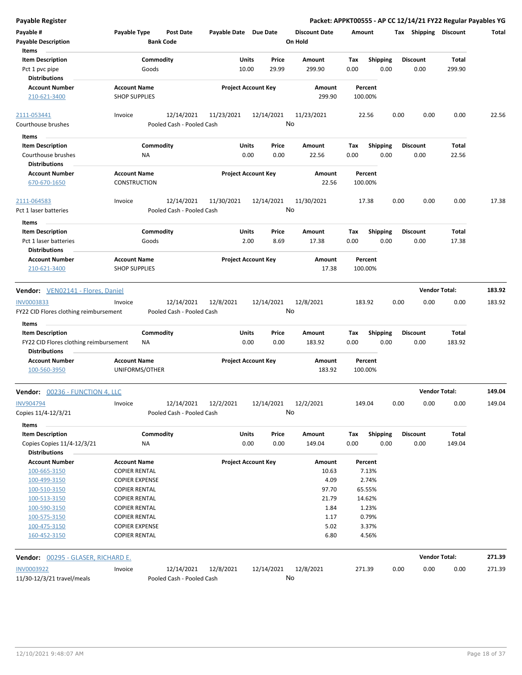| <b>Payable Register</b>                              |                                       |                                         |                       |                            |                                 |             |                    |                       |      | Packet: APPKT00555 - AP CC 12/14/21 FY22 Regular Payables YG |        |
|------------------------------------------------------|---------------------------------------|-----------------------------------------|-----------------------|----------------------------|---------------------------------|-------------|--------------------|-----------------------|------|--------------------------------------------------------------|--------|
| Payable #<br><b>Payable Description</b>              | Payable Type                          | <b>Post Date</b><br><b>Bank Code</b>    | Payable Date Due Date |                            | <b>Discount Date</b><br>On Hold | Amount      |                    | Tax Shipping Discount |      |                                                              | Total  |
| Items                                                | Commodity                             |                                         |                       |                            |                                 |             |                    | <b>Discount</b>       |      |                                                              |        |
| <b>Item Description</b><br>Pct 1 pvc pipe            | Goods                                 |                                         | Units<br>10.00        | Price<br>29.99             | Amount<br>299.90                | Tax<br>0.00 | Shipping<br>0.00   | 0.00                  |      | Total<br>299.90                                              |        |
| Distributions                                        |                                       |                                         |                       |                            |                                 |             |                    |                       |      |                                                              |        |
| <b>Account Number</b>                                | <b>Account Name</b>                   |                                         |                       | <b>Project Account Key</b> | Amount                          |             | Percent            |                       |      |                                                              |        |
| 210-621-3400                                         | <b>SHOP SUPPLIES</b>                  |                                         |                       |                            | 299.90                          |             | 100.00%            |                       |      |                                                              |        |
| 2111-053441                                          | Invoice                               | 12/14/2021                              | 11/23/2021            | 12/14/2021                 | 11/23/2021                      |             | 22.56              | 0.00                  | 0.00 | 0.00                                                         | 22.56  |
| Courthouse brushes                                   |                                       | Pooled Cash - Pooled Cash               |                       |                            | No                              |             |                    |                       |      |                                                              |        |
| Items                                                |                                       |                                         |                       |                            |                                 |             |                    |                       |      |                                                              |        |
| <b>Item Description</b>                              | Commodity                             |                                         | Units                 | Price                      | Amount                          | Tax         | <b>Shipping</b>    | <b>Discount</b>       |      | Total                                                        |        |
| Courthouse brushes                                   | ΝA                                    |                                         |                       | 0.00<br>0.00               | 22.56                           | 0.00        | 0.00               | 0.00                  |      | 22.56                                                        |        |
| <b>Distributions</b>                                 |                                       |                                         |                       |                            |                                 |             |                    |                       |      |                                                              |        |
| <b>Account Number</b>                                | <b>Account Name</b>                   |                                         |                       | <b>Project Account Key</b> | Amount                          |             | Percent            |                       |      |                                                              |        |
| 670-670-1650                                         | <b>CONSTRUCTION</b>                   |                                         |                       |                            | 22.56                           |             | 100.00%            |                       |      |                                                              |        |
| 2111-064583                                          | Invoice                               | 12/14/2021                              | 11/30/2021            | 12/14/2021                 | 11/30/2021                      |             | 17.38              | 0.00                  | 0.00 | 0.00                                                         | 17.38  |
| Pct 1 laser batteries                                |                                       | Pooled Cash - Pooled Cash               |                       |                            | No                              |             |                    |                       |      |                                                              |        |
| Items                                                |                                       |                                         |                       |                            |                                 |             |                    |                       |      |                                                              |        |
| <b>Item Description</b>                              | Commodity                             |                                         | Units                 | Price                      | Amount                          | Tax         | <b>Shipping</b>    | <b>Discount</b>       |      | Total                                                        |        |
| Pct 1 laser batteries                                | Goods                                 |                                         |                       | 2.00<br>8.69               | 17.38                           | 0.00        | 0.00               | 0.00                  |      | 17.38                                                        |        |
| <b>Distributions</b>                                 |                                       |                                         |                       |                            |                                 |             |                    |                       |      |                                                              |        |
| <b>Account Number</b>                                | <b>Account Name</b>                   |                                         |                       | <b>Project Account Key</b> | Amount                          |             | Percent            |                       |      |                                                              |        |
| 210-621-3400                                         | <b>SHOP SUPPLIES</b>                  |                                         |                       |                            | 17.38                           |             | 100.00%            |                       |      |                                                              |        |
| Vendor: VEN02141 - Flores, Daniel                    |                                       |                                         |                       |                            |                                 |             |                    |                       |      | <b>Vendor Total:</b>                                         | 183.92 |
|                                                      |                                       |                                         |                       | 12/14/2021                 | 12/8/2021                       |             |                    |                       |      |                                                              |        |
| INV0003833<br>FY22 CID Flores clothing reimbursement | Invoice                               | 12/14/2021<br>Pooled Cash - Pooled Cash | 12/8/2021             |                            | No                              |             | 183.92             | 0.00                  | 0.00 | 0.00                                                         | 183.92 |
|                                                      |                                       |                                         |                       |                            |                                 |             |                    |                       |      |                                                              |        |
| Items                                                |                                       |                                         |                       |                            |                                 |             |                    |                       |      |                                                              |        |
| <b>Item Description</b>                              | Commodity                             |                                         | Units                 | Price                      | Amount                          | Tax         | Shipping           | <b>Discount</b>       |      | Total                                                        |        |
| FY22 CID Flores clothing reimbursement               | NA                                    |                                         |                       | 0.00<br>0.00               | 183.92                          | 0.00        | 0.00               | 0.00                  |      | 183.92                                                       |        |
| Distributions                                        |                                       |                                         |                       |                            |                                 |             |                    |                       |      |                                                              |        |
| <b>Account Number</b><br>100-560-3950                | <b>Account Name</b><br>UNIFORMS/OTHER |                                         |                       | <b>Project Account Key</b> | Amount<br>183.92                |             | Percent<br>100.00% |                       |      |                                                              |        |
| Vendor: 00236 - FUNCTION 4, LLC                      |                                       |                                         |                       |                            |                                 |             |                    |                       |      | <b>Vendor Total:</b>                                         | 149.04 |
| <b>INV904794</b>                                     | Invoice                               | 12/14/2021                              | 12/2/2021             | 12/14/2021                 | 12/2/2021                       |             | 149.04             | 0.00                  | 0.00 | 0.00                                                         | 149.04 |
| Copies 11/4-12/3/21                                  |                                       | Pooled Cash - Pooled Cash               |                       |                            | No                              |             |                    |                       |      |                                                              |        |
| Items                                                |                                       |                                         |                       |                            |                                 |             |                    |                       |      |                                                              |        |
| <b>Item Description</b>                              | Commodity                             |                                         | Units                 | Price                      | Amount                          | Tax         | Shipping           | <b>Discount</b>       |      | Total                                                        |        |
| Copies Copies 11/4-12/3/21                           | NA                                    |                                         |                       | 0.00<br>0.00               | 149.04                          | 0.00        | 0.00               | 0.00                  |      | 149.04                                                       |        |
| <b>Distributions</b>                                 |                                       |                                         |                       |                            |                                 |             |                    |                       |      |                                                              |        |
| <b>Account Number</b>                                | <b>Account Name</b>                   |                                         |                       | <b>Project Account Key</b> | Amount                          |             | Percent            |                       |      |                                                              |        |
| 100-665-3150                                         | <b>COPIER RENTAL</b>                  |                                         |                       |                            | 10.63                           |             | 7.13%              |                       |      |                                                              |        |
| 100-499-3150                                         | <b>COPIER EXPENSE</b>                 |                                         |                       |                            | 4.09                            |             | 2.74%              |                       |      |                                                              |        |
| 100-510-3150                                         | <b>COPIER RENTAL</b>                  |                                         |                       |                            | 97.70                           |             | 65.55%             |                       |      |                                                              |        |
| 100-513-3150                                         | <b>COPIER RENTAL</b>                  |                                         |                       |                            | 21.79                           |             | 14.62%             |                       |      |                                                              |        |
| 100-590-3150                                         | <b>COPIER RENTAL</b>                  |                                         |                       |                            | 1.84                            |             | 1.23%              |                       |      |                                                              |        |
| 100-575-3150                                         | <b>COPIER RENTAL</b>                  |                                         |                       |                            | 1.17                            |             | 0.79%              |                       |      |                                                              |        |
| 100-475-3150                                         | <b>COPIER EXPENSE</b>                 |                                         |                       |                            | 5.02                            |             | 3.37%              |                       |      |                                                              |        |
| 160-452-3150                                         | <b>COPIER RENTAL</b>                  |                                         |                       |                            | 6.80                            |             | 4.56%              |                       |      |                                                              |        |
| Vendor: 00295 - GLASER, RICHARD E.                   |                                       |                                         |                       |                            |                                 |             |                    |                       |      | <b>Vendor Total:</b>                                         | 271.39 |
| INV0003922                                           | Invoice                               | 12/14/2021                              | 12/8/2021             | 12/14/2021                 | 12/8/2021                       |             | 271.39             | 0.00                  | 0.00 | 0.00                                                         | 271.39 |
| 11/30-12/3/21 travel/meals                           |                                       | Pooled Cash - Pooled Cash               |                       |                            | No                              |             |                    |                       |      |                                                              |        |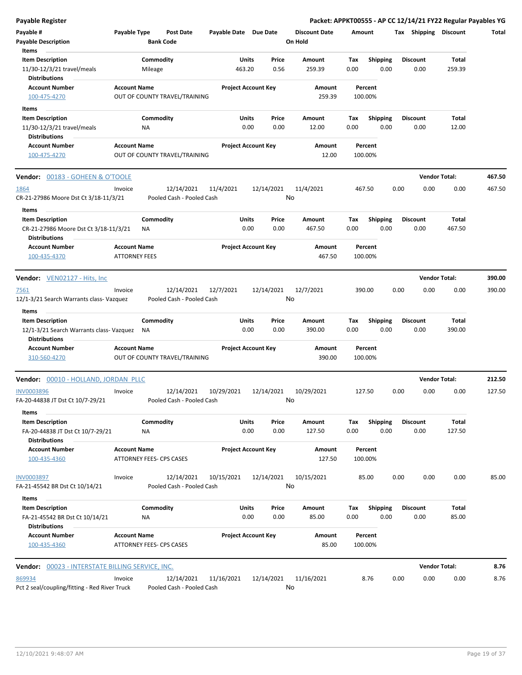| <b>Payable Register</b>                                       |                                             |           |                                         |                            |                            |                  |                      |        |                    |      |                       | Packet: APPKT00555 - AP CC 12/14/21 FY22 Regular Payables YG |              |
|---------------------------------------------------------------|---------------------------------------------|-----------|-----------------------------------------|----------------------------|----------------------------|------------------|----------------------|--------|--------------------|------|-----------------------|--------------------------------------------------------------|--------------|
| Payable #                                                     | Payable Type                                |           | Post Date                               | Payable Date Due Date      |                            |                  | <b>Discount Date</b> | Amount |                    |      | Tax Shipping Discount |                                                              | <b>Total</b> |
| <b>Payable Description</b>                                    |                                             |           | <b>Bank Code</b>                        |                            |                            |                  | On Hold              |        |                    |      |                       |                                                              |              |
| Items                                                         |                                             |           |                                         |                            |                            |                  |                      |        |                    |      |                       |                                                              |              |
| <b>Item Description</b>                                       |                                             | Commodity |                                         |                            | Units                      | Price            | Amount               | Tax    | <b>Shipping</b>    |      | <b>Discount</b>       | Total                                                        |              |
| 11/30-12/3/21 travel/meals<br><b>Distributions</b>            |                                             | Mileage   |                                         |                            | 463.20                     | 0.56             | 259.39               | 0.00   | 0.00               |      | 0.00                  | 259.39                                                       |              |
| <b>Account Number</b><br>100-475-4270                         | <b>Account Name</b>                         |           | OUT OF COUNTY TRAVEL/TRAINING           | <b>Project Account Key</b> |                            |                  | Amount<br>259.39     |        | Percent<br>100.00% |      |                       |                                                              |              |
|                                                               |                                             |           |                                         |                            |                            |                  |                      |        |                    |      |                       |                                                              |              |
| Items                                                         |                                             |           |                                         |                            |                            |                  |                      |        |                    |      |                       |                                                              |              |
| <b>Item Description</b>                                       |                                             | Commodity |                                         |                            | Units                      | Price            | Amount               | Tax    | <b>Shipping</b>    |      | Discount              | Total                                                        |              |
| 11/30-12/3/21 travel/meals                                    |                                             | <b>NA</b> |                                         |                            | 0.00                       | 0.00             | 12.00                | 0.00   | 0.00               |      | 0.00                  | 12.00                                                        |              |
| <b>Distributions</b>                                          |                                             |           |                                         |                            |                            |                  |                      |        |                    |      |                       |                                                              |              |
| <b>Account Number</b><br>100-475-4270                         | <b>Account Name</b>                         |           | OUT OF COUNTY TRAVEL/TRAINING           | <b>Project Account Key</b> |                            |                  | Amount<br>12.00      |        | Percent<br>100.00% |      |                       |                                                              |              |
| <b>Vendor: 00183 - GOHEEN &amp; O'TOOLE</b>                   |                                             |           |                                         |                            |                            |                  |                      |        |                    |      |                       | <b>Vendor Total:</b>                                         | 467.50       |
| 1864                                                          | Invoice                                     |           | 12/14/2021                              | 11/4/2021                  |                            | 12/14/2021       | 11/4/2021            | 467.50 |                    | 0.00 | 0.00                  | 0.00                                                         | 467.50       |
| CR-21-27986 Moore Dst Ct 3/18-11/3/21<br><b>Items</b>         |                                             |           | Pooled Cash - Pooled Cash               |                            |                            | No               |                      |        |                    |      |                       |                                                              |              |
| <b>Item Description</b>                                       |                                             | Commodity |                                         |                            | Units                      | Price            | Amount               | Tax    | <b>Shipping</b>    |      | <b>Discount</b>       | Total                                                        |              |
| CR-21-27986 Moore Dst Ct 3/18-11/3/21<br><b>Distributions</b> |                                             | ΝA        |                                         |                            | 0.00                       | 0.00             | 467.50               | 0.00   | 0.00               |      | 0.00                  | 467.50                                                       |              |
| <b>Account Number</b><br>100-435-4370                         | <b>Account Name</b><br><b>ATTORNEY FEES</b> |           |                                         |                            | <b>Project Account Key</b> |                  | Amount<br>467.50     |        | Percent<br>100.00% |      |                       |                                                              |              |
| Vendor: VEN02127 - Hits, Inc.                                 |                                             |           |                                         |                            |                            |                  |                      |        |                    |      |                       | <b>Vendor Total:</b>                                         | 390.00       |
|                                                               |                                             |           |                                         |                            |                            |                  |                      |        |                    |      |                       |                                                              |              |
| 7561<br>12/1-3/21 Search Warrants class- Vazquez              | Invoice                                     |           | 12/14/2021<br>Pooled Cash - Pooled Cash | 12/7/2021                  |                            | 12/14/2021<br>No | 12/7/2021            |        | 390.00             | 0.00 | 0.00                  | 0.00                                                         | 390.00       |
| Items                                                         |                                             |           |                                         |                            |                            |                  |                      |        |                    |      |                       |                                                              |              |
| <b>Item Description</b>                                       |                                             | Commodity |                                         |                            | Units                      | Price            | Amount               | Tax    | <b>Shipping</b>    |      | <b>Discount</b>       | <b>Total</b>                                                 |              |
| 12/1-3/21 Search Warrants class- Vazquez                      |                                             | ΝA        |                                         |                            | 0.00                       | 0.00             | 390.00               | 0.00   | 0.00               |      | 0.00                  | 390.00                                                       |              |
| <b>Distributions</b>                                          |                                             |           |                                         |                            |                            |                  |                      |        |                    |      |                       |                                                              |              |
| <b>Account Number</b><br>310-560-4270                         | <b>Account Name</b>                         |           | OUT OF COUNTY TRAVEL/TRAINING           | <b>Project Account Key</b> |                            |                  | Amount<br>390.00     |        | Percent<br>100.00% |      |                       |                                                              |              |
| Vendor: 00010 - HOLLAND, JORDAN PLLC                          |                                             |           |                                         |                            |                            |                  |                      |        |                    |      |                       | <b>Vendor Total:</b>                                         | 212.50       |
| <b>INV0003896</b><br>FA-20-44838 JT Dst Ct 10/7-29/21         | Invoice                                     |           | 12/14/2021<br>Pooled Cash - Pooled Cash | 10/29/2021                 |                            | 12/14/2021<br>No | 10/29/2021           | 127.50 |                    | 0.00 | 0.00                  | 0.00                                                         | 127.50       |
| Items                                                         |                                             |           |                                         |                            |                            |                  |                      |        |                    |      |                       |                                                              |              |
| <b>Item Description</b>                                       |                                             | Commodity |                                         |                            | <b>Units</b>               | Price            | Amount               | Tax    | <b>Shipping</b>    |      | <b>Discount</b>       | Total                                                        |              |
| FA-20-44838 JT Dst Ct 10/7-29/21<br><b>Distributions</b>      |                                             | <b>NA</b> |                                         |                            | 0.00                       | 0.00             | 127.50               | 0.00   | 0.00               |      | 0.00                  | 127.50                                                       |              |
| <b>Account Number</b><br>100-435-4360                         | <b>Account Name</b>                         |           | ATTORNEY FEES- CPS CASES                |                            | <b>Project Account Key</b> |                  | Amount<br>127.50     |        | Percent<br>100.00% |      |                       |                                                              |              |
| <b>INV0003897</b>                                             | Invoice                                     |           | 12/14/2021                              | 10/15/2021                 |                            | 12/14/2021       | 10/15/2021           |        | 85.00              | 0.00 | 0.00                  | 0.00                                                         | 85.00        |
| FA-21-45542 BR Dst Ct 10/14/21<br>Items                       |                                             |           | Pooled Cash - Pooled Cash               |                            |                            | No               |                      |        |                    |      |                       |                                                              |              |
| <b>Item Description</b>                                       |                                             | Commodity |                                         |                            | <b>Units</b>               | Price            | Amount               | Tax    | Shipping           |      | <b>Discount</b>       | Total                                                        |              |
| FA-21-45542 BR Dst Ct 10/14/21<br><b>Distributions</b>        |                                             | NA        |                                         |                            | 0.00                       | 0.00             | 85.00                | 0.00   | 0.00               |      | 0.00                  | 85.00                                                        |              |
| <b>Account Number</b><br>100-435-4360                         | <b>Account Name</b>                         |           | ATTORNEY FEES- CPS CASES                | <b>Project Account Key</b> |                            |                  | Amount<br>85.00      |        | Percent<br>100.00% |      |                       |                                                              |              |
| Vendor: 00023 - INTERSTATE BILLING SERVICE, INC.              |                                             |           |                                         |                            |                            |                  |                      |        |                    |      |                       | <b>Vendor Total:</b>                                         | 8.76         |
| 869934                                                        | Invoice                                     |           | 12/14/2021                              | 11/16/2021                 |                            | 12/14/2021       | 11/16/2021           |        | 8.76               | 0.00 | 0.00                  | 0.00                                                         | 8.76         |
| Pct 2 seal/coupling/fitting - Red River Truck                 |                                             |           | Pooled Cash - Pooled Cash               |                            |                            | No               |                      |        |                    |      |                       |                                                              |              |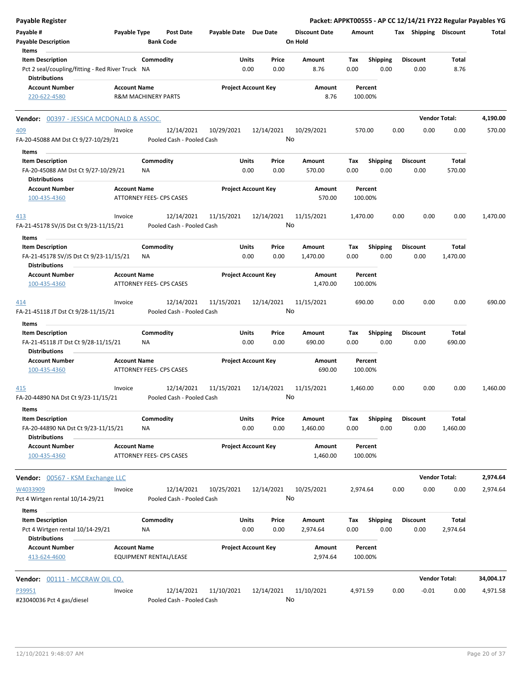| <b>Payable Register</b>                                                                                      |                                                        |                        |                                         |                            |               |                  |                                 |             |                         |      |                         |                          | Packet: APPKT00555 - AP CC 12/14/21 FY22 Regular Payables YG |
|--------------------------------------------------------------------------------------------------------------|--------------------------------------------------------|------------------------|-----------------------------------------|----------------------------|---------------|------------------|---------------------------------|-------------|-------------------------|------|-------------------------|--------------------------|--------------------------------------------------------------|
| Payable #<br><b>Payable Description</b>                                                                      | Payable Type                                           | <b>Bank Code</b>       | Post Date                               | Payable Date Due Date      |               |                  | <b>Discount Date</b><br>On Hold | Amount      |                         |      | Tax Shipping Discount   |                          | Total                                                        |
| Items<br><b>Item Description</b><br>Pct 2 seal/coupling/fitting - Red River Truck NA<br><b>Distributions</b> |                                                        | Commodity              |                                         |                            | Units<br>0.00 | Price<br>0.00    | Amount<br>8.76                  | Tax<br>0.00 | <b>Shipping</b><br>0.00 |      | <b>Discount</b><br>0.00 | Total<br>8.76            |                                                              |
| <b>Account Number</b><br>220-622-4580                                                                        | <b>Account Name</b><br><b>R&amp;M MACHINERY PARTS</b>  |                        |                                         | <b>Project Account Key</b> |               |                  | Amount<br>8.76                  |             | Percent<br>100.00%      |      |                         |                          |                                                              |
| <b>Vendor: 00397 - JESSICA MCDONALD &amp; ASSOC.</b>                                                         |                                                        |                        |                                         |                            |               |                  |                                 |             |                         |      |                         | <b>Vendor Total:</b>     | 4,190.00                                                     |
| <u>409</u><br>FA-20-45088 AM Dst Ct 9/27-10/29/21                                                            | Invoice                                                |                        | 12/14/2021<br>Pooled Cash - Pooled Cash | 10/29/2021                 |               | 12/14/2021<br>No | 10/29/2021                      |             | 570.00                  | 0.00 | 0.00                    | 0.00                     | 570.00                                                       |
| Items                                                                                                        |                                                        |                        |                                         |                            |               |                  |                                 |             |                         |      |                         |                          |                                                              |
| <b>Item Description</b><br>FA-20-45088 AM Dst Ct 9/27-10/29/21<br><b>Distributions</b>                       |                                                        | Commodity<br>ΝA        |                                         |                            | Units<br>0.00 | Price<br>0.00    | Amount<br>570.00                | Tax<br>0.00 | <b>Shipping</b><br>0.00 |      | <b>Discount</b><br>0.00 | Total<br>570.00          |                                                              |
| <b>Account Number</b><br>100-435-4360                                                                        | <b>Account Name</b><br><b>ATTORNEY FEES- CPS CASES</b> |                        |                                         | <b>Project Account Key</b> |               |                  | Amount<br>570.00                |             | Percent<br>100.00%      |      |                         |                          |                                                              |
| <u>413</u><br>FA-21-45178 SV/JS Dst Ct 9/23-11/15/21                                                         | Invoice                                                |                        | 12/14/2021<br>Pooled Cash - Pooled Cash | 11/15/2021                 |               | 12/14/2021<br>No | 11/15/2021                      | 1,470.00    |                         | 0.00 | 0.00                    | 0.00                     | 1,470.00                                                     |
| Items<br><b>Item Description</b>                                                                             |                                                        | Commodity              |                                         |                            | Units         | Price            | Amount                          | Tax         | Shipping                |      | <b>Discount</b>         | Total                    |                                                              |
| FA-21-45178 SV/JS Dst Ct 9/23-11/15/21<br><b>Distributions</b>                                               |                                                        | ΝA                     |                                         |                            | 0.00          | 0.00             | 1,470.00                        | 0.00        | 0.00                    |      | 0.00                    | 1,470.00                 |                                                              |
| <b>Account Number</b><br>100-435-4360                                                                        | <b>Account Name</b><br>ATTORNEY FEES- CPS CASES        |                        |                                         | <b>Project Account Key</b> |               |                  | Amount<br>1,470.00              |             | Percent<br>100.00%      |      |                         |                          |                                                              |
| 414<br>FA-21-45118 JT Dst Ct 9/28-11/15/21                                                                   | Invoice                                                |                        | 12/14/2021<br>Pooled Cash - Pooled Cash | 11/15/2021                 |               | 12/14/2021<br>No | 11/15/2021                      |             | 690.00                  | 0.00 | 0.00                    | 0.00                     | 690.00                                                       |
| Items<br><b>Item Description</b>                                                                             |                                                        | Commodity              |                                         |                            | Units         | Price            | Amount                          | Tax         | <b>Shipping</b>         |      | <b>Discount</b>         | Total                    |                                                              |
| FA-21-45118 JT Dst Ct 9/28-11/15/21<br><b>Distributions</b>                                                  |                                                        | ΝA                     |                                         |                            | 0.00          | 0.00             | 690.00                          | 0.00        | 0.00                    |      | 0.00                    | 690.00                   |                                                              |
| <b>Account Number</b><br>100-435-4360                                                                        | <b>Account Name</b><br>ATTORNEY FEES- CPS CASES        |                        |                                         | <b>Project Account Key</b> |               |                  | Amount<br>690.00                |             | Percent<br>100.00%      |      |                         |                          |                                                              |
| 415<br>FA-20-44890 NA Dst Ct 9/23-11/15/21                                                                   | Invoice                                                |                        | 12/14/2021<br>Pooled Cash - Pooled Cash | 11/15/2021                 |               | 12/14/2021<br>No | 11/15/2021                      | 1,460.00    |                         | 0.00 | 0.00                    | 0.00                     | 1,460.00                                                     |
| Items<br><b>Item Description</b><br>FA-20-44890 NA Dst Ct 9/23-11/15/21<br><b>Distributions</b>              |                                                        | Commodity<br>ΝA        |                                         |                            | Units<br>0.00 | Price<br>0.00    | Amount<br>1,460.00              | Tax<br>0.00 | <b>Shipping</b><br>0.00 |      | <b>Discount</b><br>0.00 | Total<br>1,460.00        |                                                              |
| <b>Account Number</b><br>100-435-4360                                                                        | <b>Account Name</b><br>ATTORNEY FEES- CPS CASES        |                        |                                         | <b>Project Account Key</b> |               |                  | Amount<br>1,460.00              |             | Percent<br>100.00%      |      |                         |                          |                                                              |
| <b>Vendor:</b> 00567 - KSM Exchange LLC                                                                      |                                                        |                        |                                         |                            |               |                  |                                 |             |                         |      |                         | <b>Vendor Total:</b>     | 2,974.64                                                     |
| W4033909<br>Pct 4 Wirtgen rental 10/14-29/21                                                                 | Invoice                                                |                        | 12/14/2021<br>Pooled Cash - Pooled Cash | 10/25/2021                 |               | 12/14/2021<br>No | 10/25/2021                      | 2,974.64    |                         | 0.00 | 0.00                    | 0.00                     | 2,974.64                                                     |
| Items<br><b>Item Description</b><br>Pct 4 Wirtgen rental 10/14-29/21                                         |                                                        | Commodity<br><b>NA</b> |                                         |                            | Units<br>0.00 | Price<br>0.00    | Amount<br>2,974.64              | Tax<br>0.00 | Shipping<br>0.00        |      | <b>Discount</b><br>0.00 | <b>Total</b><br>2,974.64 |                                                              |
| <b>Distributions</b><br><b>Account Number</b><br>413-624-4600                                                | <b>Account Name</b><br>EQUIPMENT RENTAL/LEASE          |                        |                                         | <b>Project Account Key</b> |               |                  | Amount<br>2,974.64              |             | Percent<br>100.00%      |      |                         |                          |                                                              |
| Vendor: 00111 - MCCRAW OIL CO.                                                                               |                                                        |                        |                                         |                            |               |                  |                                 |             |                         |      |                         | <b>Vendor Total:</b>     | 34,004.17                                                    |
| P39951<br>#23040036 Pct 4 gas/diesel                                                                         | Invoice                                                |                        | 12/14/2021<br>Pooled Cash - Pooled Cash | 11/10/2021                 |               | 12/14/2021<br>No | 11/10/2021                      | 4,971.59    |                         | 0.00 | $-0.01$                 | 0.00                     | 4,971.58                                                     |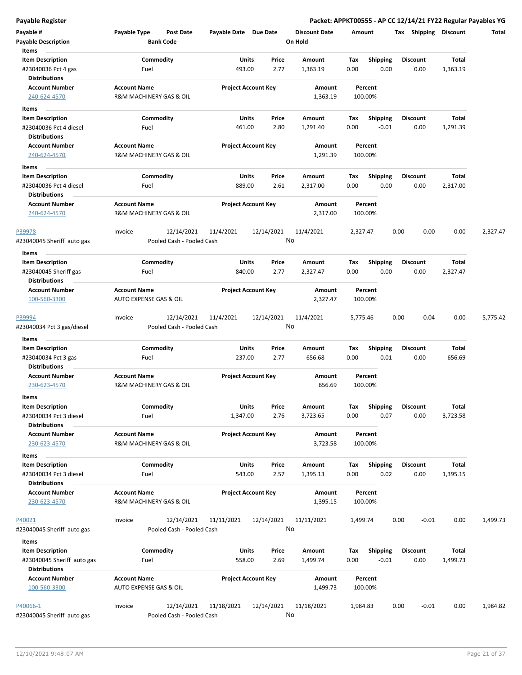#### **Payable Register Packet: APPKT00555 - AP CC 12/14/21 FY22 Regular Payables YG**

| Payable #<br><b>Payable Description</b>            | Payable Type                                   | <b>Post Date</b><br><b>Bank Code</b>    | Payable Date Due Date |                            | <b>Discount Date</b><br>On Hold | Amount             |                         | Tax<br>Shipping         | <b>Discount</b>          | Total    |
|----------------------------------------------------|------------------------------------------------|-----------------------------------------|-----------------------|----------------------------|---------------------------------|--------------------|-------------------------|-------------------------|--------------------------|----------|
| Items                                              |                                                |                                         |                       |                            |                                 |                    |                         |                         |                          |          |
| <b>Item Description</b><br>#23040036 Pct 4 gas     | Fuel                                           | Commodity                               | Units<br>493.00       | Price<br>2.77              | Amount<br>1,363.19              | Tax<br>0.00        | <b>Shipping</b><br>0.00 | <b>Discount</b><br>0.00 | Total<br>1,363.19        |          |
| Distributions                                      |                                                |                                         |                       |                            |                                 |                    |                         |                         |                          |          |
| <b>Account Number</b><br>240-624-4570              | <b>Account Name</b><br>R&M MACHINERY GAS & OIL |                                         |                       | <b>Project Account Key</b> | Amount<br>1,363.19              | Percent<br>100.00% |                         |                         |                          |          |
| Items                                              |                                                |                                         |                       |                            |                                 |                    |                         |                         |                          |          |
| <b>Item Description</b>                            |                                                | Commodity                               | Units                 | Price                      | Amount                          | Tax                | <b>Shipping</b>         | <b>Discount</b>         | <b>Total</b>             |          |
| #23040036 Pct 4 diesel                             | Fuel                                           |                                         | 461.00                | 2.80                       | 1,291.40                        | 0.00               | $-0.01$                 | 0.00                    | 1,291.39                 |          |
| Distributions                                      |                                                |                                         |                       |                            |                                 |                    |                         |                         |                          |          |
| <b>Account Number</b>                              | <b>Account Name</b>                            |                                         |                       | <b>Project Account Key</b> | Amount                          | Percent            |                         |                         |                          |          |
| 240-624-4570                                       | R&M MACHINERY GAS & OIL                        |                                         |                       |                            | 1,291.39                        | 100.00%            |                         |                         |                          |          |
| Items                                              |                                                |                                         |                       |                            |                                 |                    |                         |                         |                          |          |
| <b>Item Description</b>                            |                                                | Commodity                               | Units                 | Price                      | Amount                          | Tax                | <b>Shipping</b>         | <b>Discount</b>         | Total                    |          |
| #23040036 Pct 4 diesel                             | Fuel                                           |                                         | 889.00                | 2.61                       | 2,317.00                        | 0.00               | 0.00                    | 0.00                    | 2,317.00                 |          |
| <b>Distributions</b>                               |                                                |                                         |                       |                            |                                 |                    |                         |                         |                          |          |
| <b>Account Number</b><br>240-624-4570              | <b>Account Name</b><br>R&M MACHINERY GAS & OIL |                                         |                       | <b>Project Account Key</b> | Amount<br>2,317.00              | Percent<br>100.00% |                         |                         |                          |          |
| P39978                                             | Invoice                                        | 12/14/2021                              | 11/4/2021             | 12/14/2021                 | 11/4/2021                       | 2,327.47           |                         | 0.00<br>0.00            | 0.00                     | 2,327.47 |
| #23040045 Sheriff auto gas                         |                                                | Pooled Cash - Pooled Cash               |                       |                            | No                              |                    |                         |                         |                          |          |
| Items                                              |                                                |                                         |                       |                            |                                 |                    |                         |                         |                          |          |
| <b>Item Description</b>                            |                                                | Commodity                               | Units                 | Price                      | Amount                          | Tax                | <b>Shipping</b>         | <b>Discount</b>         | Total                    |          |
| #23040045 Sheriff gas                              | Fuel                                           |                                         | 840.00                | 2.77                       | 2,327.47                        | 0.00               | 0.00                    | 0.00                    | 2,327.47                 |          |
| <b>Distributions</b>                               |                                                |                                         |                       |                            |                                 |                    |                         |                         |                          |          |
| <b>Account Number</b>                              | <b>Account Name</b>                            |                                         |                       | <b>Project Account Key</b> | Amount                          | Percent            |                         |                         |                          |          |
| 100-560-3300                                       | AUTO EXPENSE GAS & OIL                         |                                         |                       |                            | 2,327.47                        | 100.00%            |                         |                         |                          |          |
| <u>P39994</u>                                      | Invoice                                        | 12/14/2021                              | 11/4/2021             | 12/14/2021                 | 11/4/2021                       | 5,775.46           |                         | 0.00<br>$-0.04$         | 0.00                     | 5,775.42 |
| #23040034 Pct 3 gas/diesel                         |                                                | Pooled Cash - Pooled Cash               |                       |                            | No                              |                    |                         |                         |                          |          |
| Items                                              |                                                |                                         |                       |                            |                                 |                    |                         |                         |                          |          |
| <b>Item Description</b>                            |                                                | Commodity                               | Units                 | Price                      | Amount                          | Tax                | <b>Shipping</b>         | <b>Discount</b>         | Total                    |          |
| #23040034 Pct 3 gas<br><b>Distributions</b>        | Fuel                                           |                                         | 237.00                | 2.77                       | 656.68                          | 0.00               | 0.01                    | 0.00                    | 656.69                   |          |
| <b>Account Number</b>                              | <b>Account Name</b>                            |                                         |                       | <b>Project Account Key</b> | Amount                          | Percent            |                         |                         |                          |          |
| 230-623-4570                                       | R&M MACHINERY GAS & OIL                        |                                         |                       |                            | 656.69                          | 100.00%            |                         |                         |                          |          |
| Items                                              |                                                |                                         |                       |                            |                                 |                    |                         |                         |                          |          |
| <b>Item Description</b>                            |                                                | Commodity                               | Units                 | Price                      | Amount                          | Тах                | Shipping                | Discount                | Total                    |          |
| #23040034 Pct 3 diesel                             | Fuel                                           |                                         | 1,347.00              | 2.76                       | 3,723.65                        | 0.00               | $-0.07$                 | 0.00                    | 3,723.58                 |          |
| <b>Distributions</b><br><b>Account Number</b>      | <b>Account Name</b>                            |                                         |                       |                            |                                 |                    |                         |                         |                          |          |
| 230-623-4570                                       | R&M MACHINERY GAS & OIL                        |                                         |                       | <b>Project Account Key</b> | Amount<br>3,723.58              | Percent<br>100.00% |                         |                         |                          |          |
| Items                                              |                                                |                                         |                       |                            |                                 |                    |                         |                         |                          |          |
| <b>Item Description</b><br>#23040034 Pct 3 diesel  | Fuel                                           | Commodity                               | Units<br>543.00       | Price<br>2.57              | Amount<br>1,395.13              | Tax<br>0.00        | <b>Shipping</b><br>0.02 | Discount<br>0.00        | <b>Total</b><br>1,395.15 |          |
| <b>Distributions</b>                               |                                                |                                         |                       |                            |                                 |                    |                         |                         |                          |          |
| <b>Account Number</b><br>230-623-4570              | <b>Account Name</b><br>R&M MACHINERY GAS & OIL |                                         |                       | <b>Project Account Key</b> | Amount<br>1,395.15              | Percent<br>100.00% |                         |                         |                          |          |
| P40021                                             | Invoice                                        | 12/14/2021                              | 11/11/2021            | 12/14/2021                 | 11/11/2021                      | 1,499.74           |                         | 0.00<br>$-0.01$         | 0.00                     | 1,499.73 |
| #23040045 Sheriff auto gas                         |                                                | Pooled Cash - Pooled Cash               |                       |                            | No                              |                    |                         |                         |                          |          |
| Items                                              |                                                |                                         |                       |                            |                                 |                    |                         |                         |                          |          |
| <b>Item Description</b>                            |                                                | Commodity                               | Units                 | Price                      | Amount                          | Тах                | Shipping                | <b>Discount</b>         | Total                    |          |
| #23040045 Sheriff auto gas<br><b>Distributions</b> | Fuel                                           |                                         | 558.00                | 2.69                       | 1,499.74                        | 0.00               | $-0.01$                 | 0.00                    | 1,499.73                 |          |
| <b>Account Number</b>                              | <b>Account Name</b>                            |                                         |                       | <b>Project Account Key</b> | Amount                          | Percent            |                         |                         |                          |          |
| 100-560-3300                                       | AUTO EXPENSE GAS & OIL                         |                                         |                       |                            | 1,499.73                        | 100.00%            |                         |                         |                          |          |
| P40066-1<br>#23040045 Sheriff auto gas             | Invoice                                        | 12/14/2021<br>Pooled Cash - Pooled Cash | 11/18/2021            | 12/14/2021                 | 11/18/2021<br>No                | 1,984.83           |                         | 0.00<br>$-0.01$         | 0.00                     | 1,984.82 |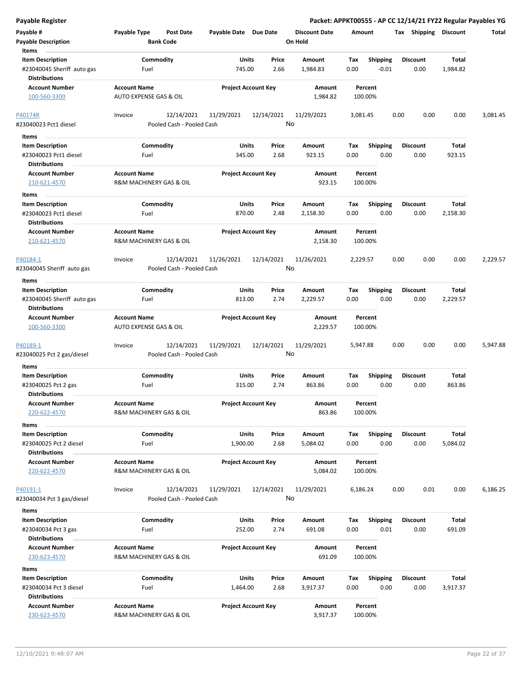| <b>Payable Register</b>                                                                |                                                      |                            |               |                                 |             |                            | Packet: APPKT00555 - AP CC 12/14/21 FY22 Regular Payables YG |                          |          |
|----------------------------------------------------------------------------------------|------------------------------------------------------|----------------------------|---------------|---------------------------------|-------------|----------------------------|--------------------------------------------------------------|--------------------------|----------|
| Payable #<br><b>Payable Description</b>                                                | Payable Type<br><b>Post Date</b><br><b>Bank Code</b> | Payable Date Due Date      |               | <b>Discount Date</b><br>On Hold | Amount      |                            | Tax Shipping Discount                                        |                          | Total    |
| Items<br><b>Item Description</b><br>#23040045 Sheriff auto gas<br><b>Distributions</b> | Commodity<br>Fuel                                    | Units<br>745.00            | Price<br>2.66 | Amount<br>1,984.83              | Tax<br>0.00 | <b>Shipping</b><br>$-0.01$ | <b>Discount</b><br>0.00                                      | <b>Total</b><br>1,984.82 |          |
| <b>Account Number</b><br>100-560-3300                                                  | <b>Account Name</b><br>AUTO EXPENSE GAS & OIL        | <b>Project Account Key</b> |               | Amount<br>1,984.82              | 100.00%     | Percent                    |                                                              |                          |          |
| P40174R<br>#23040023 Pct1 diesel                                                       | 12/14/2021<br>Invoice<br>Pooled Cash - Pooled Cash   | 11/29/2021                 | 12/14/2021    | 11/29/2021<br>No                | 3,081.45    |                            | 0.00<br>0.00                                                 | 0.00                     | 3,081.45 |
| Items<br><b>Item Description</b><br>#23040023 Pct1 diesel<br><b>Distributions</b>      | Commodity<br>Fuel                                    | <b>Units</b><br>345.00     | Price<br>2.68 | Amount<br>923.15                | Tax<br>0.00 | <b>Shipping</b><br>0.00    | <b>Discount</b><br>0.00                                      | Total<br>923.15          |          |
| <b>Account Number</b><br>210-621-4570                                                  | <b>Account Name</b><br>R&M MACHINERY GAS & OIL       | <b>Project Account Key</b> |               | Amount<br>923.15                | 100.00%     | Percent                    |                                                              |                          |          |
| Items<br><b>Item Description</b><br>#23040023 Pct1 diesel<br><b>Distributions</b>      | Commodity<br>Fuel                                    | Units<br>870.00            | Price<br>2.48 | Amount<br>2,158.30              | Tax<br>0.00 | <b>Shipping</b><br>0.00    | <b>Discount</b><br>0.00                                      | Total<br>2,158.30        |          |
| <b>Account Number</b><br>210-621-4570                                                  | <b>Account Name</b><br>R&M MACHINERY GAS & OIL       | <b>Project Account Key</b> |               | Amount<br>2,158.30              | 100.00%     | Percent                    |                                                              |                          |          |
| P40184-1<br>#23040045 Sheriff auto gas                                                 | 12/14/2021<br>Invoice<br>Pooled Cash - Pooled Cash   | 11/26/2021                 | 12/14/2021    | 11/26/2021<br>No                | 2,229.57    |                            | 0.00<br>0.00                                                 | 0.00                     | 2,229.57 |
| Items                                                                                  |                                                      |                            |               |                                 |             |                            |                                                              |                          |          |
| <b>Item Description</b><br>#23040045 Sheriff auto gas<br><b>Distributions</b>          | Commodity<br>Fuel                                    | Units<br>813.00            | Price<br>2.74 | Amount<br>2,229.57              | Tax<br>0.00 | <b>Shipping</b><br>0.00    | <b>Discount</b><br>0.00                                      | Total<br>2,229.57        |          |
| <b>Account Number</b><br>100-560-3300                                                  | <b>Account Name</b><br>AUTO EXPENSE GAS & OIL        | <b>Project Account Key</b> |               | Amount<br>2,229.57              | 100.00%     | Percent                    |                                                              |                          |          |
| P40189-1<br>#23040025 Pct 2 gas/diesel                                                 | 12/14/2021<br>Invoice<br>Pooled Cash - Pooled Cash   | 11/29/2021                 | 12/14/2021    | 11/29/2021<br>No                | 5,947.88    |                            | 0.00<br>0.00                                                 | 0.00                     | 5,947.88 |
| Items<br><b>Item Description</b>                                                       | Commodity                                            | Units                      | Price         | Amount                          | Tax         | <b>Shipping</b>            | <b>Discount</b>                                              | Total                    |          |
| #23040025 Pct 2 gas<br><b>Distributions</b>                                            | Fuel                                                 | 315.00                     | 2.74          | 863.86                          | 0.00        | 0.00                       | 0.00                                                         | 863.86                   |          |
| <b>Account Number</b><br>220-622-4570                                                  | <b>Account Name</b><br>R&M MACHINERY GAS & OIL       | <b>Project Account Key</b> |               | Amount<br>863.86                | 100.00%     | Percent                    |                                                              |                          |          |
| Items<br><b>Item Description</b><br>#23040025 Pct 2 diesel<br><b>Distributions</b>     | Commodity<br>Fuel                                    | Units<br>1,900.00          | Price<br>2.68 | Amount<br>5,084.02              | Tax<br>0.00 | Shipping<br>0.00           | <b>Discount</b><br>0.00                                      | <b>Total</b><br>5,084.02 |          |
| <b>Account Number</b><br>220-622-4570                                                  | <b>Account Name</b><br>R&M MACHINERY GAS & OIL       | <b>Project Account Key</b> |               | <b>Amount</b><br>5,084.02       | 100.00%     | Percent                    |                                                              |                          |          |
| P40191-1<br>#23040034 Pct 3 gas/diesel                                                 | 12/14/2021<br>Invoice<br>Pooled Cash - Pooled Cash   | 11/29/2021                 | 12/14/2021    | 11/29/2021<br>No                | 6,186.24    |                            | 0.00<br>0.01                                                 | 0.00                     | 6,186.25 |
| Items                                                                                  |                                                      |                            |               |                                 |             |                            |                                                              |                          |          |
| <b>Item Description</b><br>#23040034 Pct 3 gas<br><b>Distributions</b>                 | Commodity<br>Fuel                                    | <b>Units</b><br>252.00     | Price<br>2.74 | Amount<br>691.08                | Tax<br>0.00 | Shipping<br>0.01           | <b>Discount</b><br>0.00                                      | Total<br>691.09          |          |
| <b>Account Number</b><br>230-623-4570                                                  | <b>Account Name</b><br>R&M MACHINERY GAS & OIL       | <b>Project Account Key</b> |               | Amount<br>691.09                | 100.00%     | Percent                    |                                                              |                          |          |
| Items                                                                                  |                                                      |                            |               |                                 |             |                            |                                                              |                          |          |
| <b>Item Description</b><br>#23040034 Pct 3 diesel<br><b>Distributions</b>              | Commodity<br>Fuel                                    | Units<br>1,464.00          | Price<br>2.68 | Amount<br>3,917.37              | Tax<br>0.00 | <b>Shipping</b><br>0.00    | <b>Discount</b><br>0.00                                      | Total<br>3,917.37        |          |
| <b>Account Number</b><br>230-623-4570                                                  | <b>Account Name</b><br>R&M MACHINERY GAS & OIL       | <b>Project Account Key</b> |               | Amount<br>3,917.37              | 100.00%     | Percent                    |                                                              |                          |          |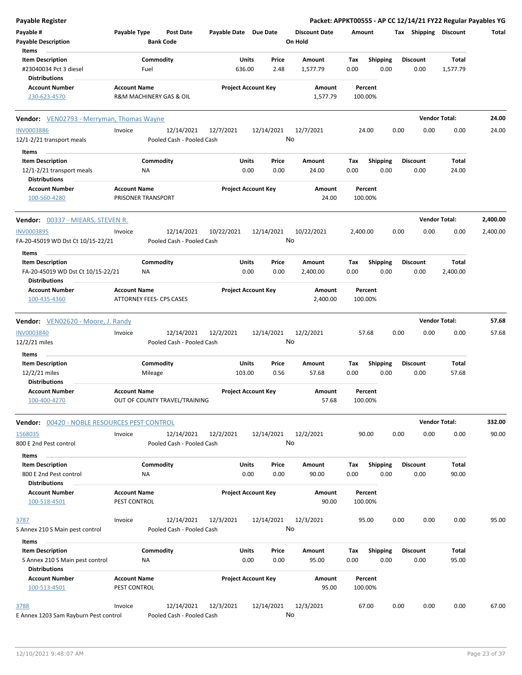| <b>Payable Register</b>                                                                       |                                                      |                            |               |                                 | Packet: APPKT00555 - AP CC 12/14/21 FY22 Regular Payables YG |                         |                      |          |
|-----------------------------------------------------------------------------------------------|------------------------------------------------------|----------------------------|---------------|---------------------------------|--------------------------------------------------------------|-------------------------|----------------------|----------|
| Payable #<br><b>Payable Description</b>                                                       | Payable Type<br><b>Post Date</b><br><b>Bank Code</b> | Payable Date Due Date      |               | <b>Discount Date</b><br>On Hold | Amount                                                       | Tax Shipping Discount   |                      | Total    |
| Items<br><b>Item Description</b><br>#23040034 Pct 3 diesel<br><b>Distributions</b>            | Commodity<br>Fuel                                    | Units<br>636.00            | Price<br>2.48 | Amount<br>1,577.79              | <b>Shipping</b><br>Tax<br>0.00<br>0.00                       | <b>Discount</b><br>0.00 | Total<br>1,577.79    |          |
| <b>Account Number</b><br>230-623-4570                                                         | <b>Account Name</b><br>R&M MACHINERY GAS & OIL       | <b>Project Account Key</b> |               | Amount<br>1,577.79              | Percent<br>100.00%                                           |                         |                      |          |
| <b>Vendor:</b> VEN02793 - Merryman, Thomas Wayne                                              |                                                      |                            |               |                                 |                                                              |                         | <b>Vendor Total:</b> | 24.00    |
| <b>INV0003886</b><br>12/1-2/21 transport meals                                                | Invoice<br>12/14/2021<br>Pooled Cash - Pooled Cash   | 12/7/2021                  | 12/14/2021    | 12/7/2021<br>No                 | 24.00                                                        | 0.00<br>0.00            | 0.00                 | 24.00    |
| Items<br><b>Item Description</b><br>12/1-2/21 transport meals<br><b>Distributions</b>         | Commodity<br>ΝA                                      | Units<br>0.00              | Price<br>0.00 | Amount<br>24.00                 | <b>Shipping</b><br>Tax<br>0.00<br>0.00                       | <b>Discount</b><br>0.00 | Total<br>24.00       |          |
| <b>Account Number</b><br>100-560-4280                                                         | <b>Account Name</b><br>PRISONER TRANSPORT            | <b>Project Account Key</b> |               | Amount<br>24.00                 | Percent<br>100.00%                                           |                         |                      |          |
| <b>Vendor:</b> 00337 - MIEARS, STEVEN R.                                                      |                                                      |                            |               |                                 |                                                              |                         | <b>Vendor Total:</b> | 2,400.00 |
| <b>INV0003895</b><br>FA-20-45019 WD Dst Ct 10/15-22/21                                        | 12/14/2021<br>Invoice<br>Pooled Cash - Pooled Cash   | 10/22/2021                 | 12/14/2021    | 10/22/2021<br>No                | 2,400.00                                                     | 0.00<br>0.00            | 0.00                 | 2,400.00 |
| Items<br><b>Item Description</b><br>FA-20-45019 WD Dst Ct 10/15-22/21<br><b>Distributions</b> | Commodity<br>ΝA                                      | Units<br>0.00              | Price<br>0.00 | Amount<br>2,400.00              | <b>Shipping</b><br>Tax<br>0.00<br>0.00                       | <b>Discount</b><br>0.00 | Total<br>2,400.00    |          |
| <b>Account Number</b><br>100-435-4360                                                         | <b>Account Name</b><br>ATTORNEY FEES- CPS CASES      | <b>Project Account Key</b> |               | Amount<br>2,400.00              | Percent<br>100.00%                                           |                         |                      |          |
| <b>Vendor:</b> VEN02620 - Moore, J. Randy                                                     |                                                      |                            |               |                                 |                                                              |                         | <b>Vendor Total:</b> | 57.68    |
| <b>INV0003840</b><br>12/2/21 miles                                                            | 12/14/2021<br>Invoice<br>Pooled Cash - Pooled Cash   | 12/2/2021                  | 12/14/2021    | 12/2/2021<br>No                 | 57.68                                                        | 0.00<br>0.00            | 0.00                 | 57.68    |
| Items<br><b>Item Description</b><br>12/2/21 miles                                             | Commodity<br>Mileage                                 | Units<br>103.00            | Price<br>0.56 | Amount<br>57.68                 | Shipping<br>Tax<br>0.00<br>0.00                              | <b>Discount</b><br>0.00 | Total<br>57.68       |          |
| <b>Distributions</b><br><b>Account Number</b><br>100-400-4270                                 | <b>Account Name</b><br>OUT OF COUNTY TRAVEL/TRAINING | <b>Project Account Key</b> |               | Amount<br>57.68                 | Percent<br>100.00%                                           |                         |                      |          |
| Vendor: 00420 - NOBLE RESOURCES PEST CONTROL                                                  |                                                      |                            |               |                                 |                                                              |                         | <b>Vendor Total:</b> | 332.00   |
| 1568035<br>800 E 2nd Pest control                                                             | 12/14/2021<br>Invoice<br>Pooled Cash - Pooled Cash   | 12/2/2021                  | 12/14/2021    | 12/2/2021<br>No                 | 90.00                                                        | 0.00<br>0.00            | 0.00                 | 90.00    |
| Items<br><b>Item Description</b><br>800 E 2nd Pest control<br><b>Distributions</b>            | Commodity<br>ΝA                                      | Units<br>0.00              | Price<br>0.00 | Amount<br>90.00                 | <b>Shipping</b><br>Tax<br>0.00<br>0.00                       | <b>Discount</b><br>0.00 | Total<br>90.00       |          |
| <b>Account Number</b><br>100-518-4501                                                         | <b>Account Name</b><br>PEST CONTROL                  | <b>Project Account Key</b> |               | Amount<br>90.00                 | Percent<br>100.00%                                           |                         |                      |          |
| 3787<br>S Annex 210 S Main pest control<br>Items                                              | 12/14/2021<br>Invoice<br>Pooled Cash - Pooled Cash   | 12/3/2021                  | 12/14/2021    | 12/3/2021<br>No                 | 95.00                                                        | 0.00<br>0.00            | 0.00                 | 95.00    |
| <b>Item Description</b><br>S Annex 210 S Main pest control<br><b>Distributions</b>            | Commodity<br>NA                                      | Units<br>0.00              | Price<br>0.00 | Amount<br>95.00                 | Tax<br><b>Shipping</b><br>0.00<br>0.00                       | <b>Discount</b><br>0.00 | Total<br>95.00       |          |
| <b>Account Number</b><br>100-513-4501                                                         | <b>Account Name</b><br>PEST CONTROL                  | <b>Project Account Key</b> |               | Amount<br>95.00                 | Percent<br>100.00%                                           |                         |                      |          |
| 3788<br>E Annex 1203 Sam Rayburn Pest control                                                 | 12/14/2021<br>Invoice<br>Pooled Cash - Pooled Cash   | 12/3/2021                  | 12/14/2021    | 12/3/2021<br>No                 | 67.00                                                        | 0.00<br>0.00            | 0.00                 | 67.00    |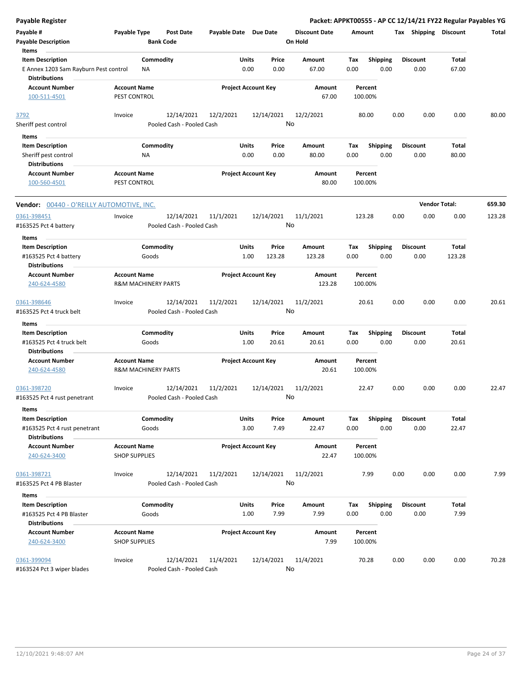| <b>Payable Register</b>                                                                           |                                                       |                                         |                       |                                  |                                 | Packet: APPKT00555 - AP CC 12/14/21 FY22 Regular Payables YG |      |                         |                      |        |
|---------------------------------------------------------------------------------------------------|-------------------------------------------------------|-----------------------------------------|-----------------------|----------------------------------|---------------------------------|--------------------------------------------------------------|------|-------------------------|----------------------|--------|
| Payable #<br><b>Payable Description</b>                                                           | Payable Type                                          | <b>Post Date</b><br><b>Bank Code</b>    | Payable Date Due Date |                                  | <b>Discount Date</b><br>On Hold | Amount                                                       |      | Tax Shipping Discount   |                      | Total  |
| Items<br><b>Item Description</b><br>E Annex 1203 Sam Rayburn Pest control<br><b>Distributions</b> | Commodity<br>ΝA                                       |                                         |                       | Units<br>Price<br>0.00<br>0.00   | Amount<br>67.00                 | <b>Shipping</b><br>Tax<br>0.00                               | 0.00 | <b>Discount</b><br>0.00 | Total<br>67.00       |        |
| <b>Account Number</b><br>100-511-4501                                                             | <b>Account Name</b><br>PEST CONTROL                   |                                         |                       | <b>Project Account Key</b>       | Amount<br>67.00                 | Percent<br>100.00%                                           |      |                         |                      |        |
| 3792<br>Sheriff pest control                                                                      | Invoice                                               | 12/14/2021<br>Pooled Cash - Pooled Cash | 12/2/2021             | 12/14/2021                       | 12/2/2021<br>No                 | 80.00                                                        | 0.00 | 0.00                    | 0.00                 | 80.00  |
| Items                                                                                             |                                                       |                                         |                       |                                  |                                 |                                                              |      |                         |                      |        |
| <b>Item Description</b><br>Sheriff pest control<br><b>Distributions</b>                           | Commodity<br>ΝA                                       |                                         |                       | Units<br>Price<br>0.00<br>0.00   | Amount<br>80.00                 | <b>Shipping</b><br>Tax<br>0.00                               | 0.00 | <b>Discount</b><br>0.00 | Total<br>80.00       |        |
| <b>Account Number</b><br>100-560-4501                                                             | <b>Account Name</b><br>PEST CONTROL                   |                                         |                       | <b>Project Account Key</b>       | Amount<br>80.00                 | Percent<br>100.00%                                           |      |                         |                      |        |
| <b>Vendor: 00440 - O'REILLY AUTOMOTIVE, INC.</b>                                                  |                                                       |                                         |                       |                                  |                                 |                                                              |      |                         | <b>Vendor Total:</b> | 659.30 |
| 0361-398451<br>#163525 Pct 4 battery                                                              | Invoice                                               | 12/14/2021<br>Pooled Cash - Pooled Cash | 11/1/2021             | 12/14/2021                       | 11/1/2021<br>No                 | 123.28                                                       | 0.00 | 0.00                    | 0.00                 | 123.28 |
| Items                                                                                             |                                                       |                                         |                       |                                  |                                 |                                                              |      |                         |                      |        |
| <b>Item Description</b><br>#163525 Pct 4 battery                                                  | Commodity<br>Goods                                    |                                         |                       | Units<br>Price<br>1.00<br>123.28 | Amount<br>123.28                | <b>Shipping</b><br>Tax<br>0.00                               | 0.00 | <b>Discount</b><br>0.00 | Total<br>123.28      |        |
| <b>Distributions</b><br><b>Account Number</b><br>240-624-4580                                     | <b>Account Name</b><br><b>R&amp;M MACHINERY PARTS</b> |                                         |                       | <b>Project Account Key</b>       | Amount<br>123.28                | Percent<br>100.00%                                           |      |                         |                      |        |
| 0361-398646<br>#163525 Pct 4 truck belt                                                           | Invoice                                               | 12/14/2021<br>Pooled Cash - Pooled Cash | 11/2/2021             | 12/14/2021                       | 11/2/2021<br>No                 | 20.61                                                        | 0.00 | 0.00                    | 0.00                 | 20.61  |
| Items                                                                                             |                                                       |                                         |                       |                                  |                                 |                                                              |      |                         |                      |        |
| <b>Item Description</b><br>#163525 Pct 4 truck belt<br><b>Distributions</b>                       | Commodity<br>Goods                                    |                                         | Units                 | Price<br>1.00<br>20.61           | Amount<br>20.61                 | Tax<br><b>Shipping</b><br>0.00                               | 0.00 | <b>Discount</b><br>0.00 | Total<br>20.61       |        |
| <b>Account Number</b><br>240-624-4580                                                             | <b>Account Name</b><br><b>R&amp;M MACHINERY PARTS</b> |                                         |                       | <b>Project Account Key</b>       | Amount<br>20.61                 | Percent<br>100.00%                                           |      |                         |                      |        |
| 0361-398720<br>#163525 Pct 4 rust penetrant                                                       | Invoice                                               | 12/14/2021<br>Pooled Cash - Pooled Cash | 11/2/2021             | 12/14/2021                       | 11/2/2021<br>No                 | 22.47                                                        | 0.00 | 0.00                    | 0.00                 | 22.47  |
| Items<br><b>Item Description</b><br>#163525 Pct 4 rust penetrant                                  | Commodity<br>Goods                                    |                                         |                       | Units<br>Price<br>3.00<br>7.49   | Amount<br>22.47                 | Shipping<br>Tax<br>0.00                                      | 0.00 | <b>Discount</b><br>0.00 | Total<br>22.47       |        |
| <b>Distributions</b><br><b>Account Number</b><br>240-624-3400                                     | <b>Account Name</b><br><b>SHOP SUPPLIES</b>           |                                         |                       | <b>Project Account Key</b>       | Amount<br>22.47                 | Percent<br>100.00%                                           |      |                         |                      |        |
| 0361-398721<br>#163525 Pct 4 PB Blaster                                                           | Invoice                                               | 12/14/2021<br>Pooled Cash - Pooled Cash | 11/2/2021             | 12/14/2021                       | 11/2/2021<br>No                 | 7.99                                                         | 0.00 | 0.00                    | 0.00                 | 7.99   |
| Items                                                                                             |                                                       |                                         |                       |                                  |                                 |                                                              |      |                         |                      |        |
| <b>Item Description</b><br>#163525 Pct 4 PB Blaster<br><b>Distributions</b>                       | Commodity<br>Goods                                    |                                         |                       | Units<br>Price<br>1.00<br>7.99   | Amount<br>7.99                  | <b>Shipping</b><br>Tax<br>0.00                               | 0.00 | <b>Discount</b><br>0.00 | Total<br>7.99        |        |
| <b>Account Number</b><br>240-624-3400                                                             | <b>Account Name</b><br><b>SHOP SUPPLIES</b>           |                                         |                       | <b>Project Account Key</b>       | Amount<br>7.99                  | Percent<br>100.00%                                           |      |                         |                      |        |
| 0361-399094<br>#163524 Pct 3 wiper blades                                                         | Invoice                                               | 12/14/2021<br>Pooled Cash - Pooled Cash | 11/4/2021             | 12/14/2021                       | 11/4/2021<br>No                 | 70.28                                                        | 0.00 | 0.00                    | 0.00                 | 70.28  |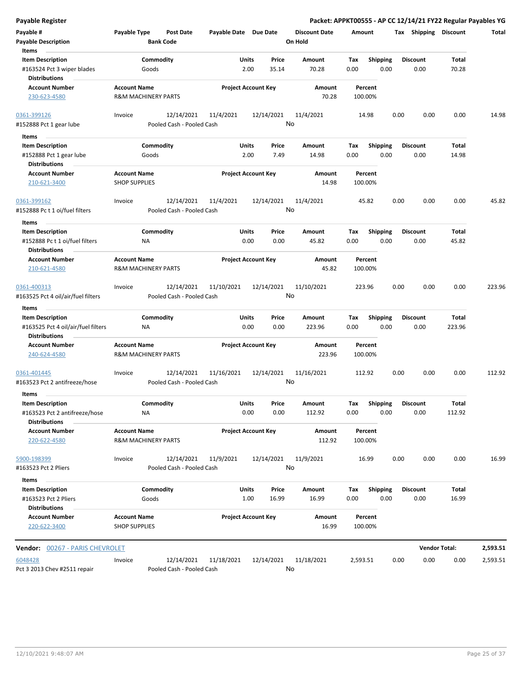| <b>Payable Register</b>                                |                                             |                                         |                       |                                |                      |             |                         |      |                         |                      | Packet: APPKT00555 - AP CC 12/14/21 FY22 Regular Payables YG |
|--------------------------------------------------------|---------------------------------------------|-----------------------------------------|-----------------------|--------------------------------|----------------------|-------------|-------------------------|------|-------------------------|----------------------|--------------------------------------------------------------|
| Payable #                                              | <b>Payable Type</b>                         | <b>Post Date</b>                        | Payable Date Due Date |                                | <b>Discount Date</b> | Amount      |                         |      | Tax Shipping Discount   |                      | Total                                                        |
| <b>Payable Description</b>                             |                                             | <b>Bank Code</b>                        |                       |                                | On Hold              |             |                         |      |                         |                      |                                                              |
| Items                                                  |                                             |                                         |                       |                                |                      |             |                         |      |                         |                      |                                                              |
| <b>Item Description</b>                                | Commodity                                   |                                         |                       | Price<br>Units                 | Amount               | Tax         | <b>Shipping</b>         |      | <b>Discount</b>         | Total                |                                                              |
| #163524 Pct 3 wiper blades<br><b>Distributions</b>     | Goods                                       |                                         |                       | 2.00<br>35.14                  | 70.28                | 0.00        | 0.00                    |      | 0.00                    | 70.28                |                                                              |
| <b>Account Number</b>                                  | <b>Account Name</b>                         |                                         |                       | <b>Project Account Key</b>     | Amount               |             | Percent                 |      |                         |                      |                                                              |
| 230-623-4580                                           | <b>R&amp;M MACHINERY PARTS</b>              |                                         |                       |                                | 70.28                |             | 100.00%                 |      |                         |                      |                                                              |
| 0361-399126                                            | Invoice                                     | 12/14/2021                              | 11/4/2021             | 12/14/2021                     | 11/4/2021            |             | 14.98                   | 0.00 | 0.00                    | 0.00                 | 14.98                                                        |
| #152888 Pct 1 gear lube                                |                                             | Pooled Cash - Pooled Cash               |                       |                                | No                   |             |                         |      |                         |                      |                                                              |
| Items                                                  |                                             |                                         |                       |                                |                      |             |                         |      |                         |                      |                                                              |
| <b>Item Description</b><br>#152888 Pct 1 gear lube     | Commodity<br>Goods                          |                                         |                       | Units<br>Price<br>2.00<br>7.49 | Amount<br>14.98      | Tax<br>0.00 | <b>Shipping</b><br>0.00 |      | <b>Discount</b><br>0.00 | Total<br>14.98       |                                                              |
| <b>Distributions</b><br><b>Account Number</b>          | <b>Account Name</b>                         |                                         |                       |                                |                      |             |                         |      |                         |                      |                                                              |
| 210-621-3400                                           | <b>SHOP SUPPLIES</b>                        |                                         |                       | <b>Project Account Key</b>     | Amount<br>14.98      |             | Percent<br>100.00%      |      |                         |                      |                                                              |
| 0361-399162                                            | Invoice                                     | 12/14/2021                              | 11/4/2021             | 12/14/2021                     | 11/4/2021            |             | 45.82                   | 0.00 | 0.00                    | 0.00                 | 45.82                                                        |
| #152888 Pc t 1 oi/fuel filters                         |                                             | Pooled Cash - Pooled Cash               |                       |                                | No                   |             |                         |      |                         |                      |                                                              |
| Items                                                  |                                             |                                         |                       |                                |                      |             |                         |      |                         |                      |                                                              |
| <b>Item Description</b>                                | Commodity                                   |                                         |                       | Units<br>Price                 | Amount               | Tax         | <b>Shipping</b>         |      | <b>Discount</b>         | Total                |                                                              |
| #152888 Pc t 1 oi/fuel filters<br><b>Distributions</b> | NA                                          |                                         |                       | 0.00<br>0.00                   | 45.82                | 0.00        | 0.00                    |      | 0.00                    | 45.82                |                                                              |
| <b>Account Number</b>                                  | <b>Account Name</b>                         |                                         |                       | <b>Project Account Key</b>     | Amount               |             | Percent                 |      |                         |                      |                                                              |
| 210-621-4580                                           | <b>R&amp;M MACHINERY PARTS</b>              |                                         |                       |                                | 45.82                |             | 100.00%                 |      |                         |                      |                                                              |
| 0361-400313                                            | Invoice                                     | 12/14/2021                              | 11/10/2021            | 12/14/2021                     | 11/10/2021           |             | 223.96                  | 0.00 | 0.00                    | 0.00                 | 223.96                                                       |
| #163525 Pct 4 oil/air/fuel filters                     |                                             | Pooled Cash - Pooled Cash               |                       |                                | No                   |             |                         |      |                         |                      |                                                              |
| Items                                                  |                                             |                                         |                       |                                |                      |             |                         |      |                         |                      |                                                              |
| <b>Item Description</b>                                | Commodity                                   |                                         |                       | Units<br>Price                 | Amount               | Tax         | <b>Shipping</b>         |      | <b>Discount</b>         | Total                |                                                              |
| #163525 Pct 4 oil/air/fuel filters                     | NA                                          |                                         |                       | 0.00<br>0.00                   | 223.96               | 0.00        | 0.00                    |      | 0.00                    | 223.96               |                                                              |
| <b>Distributions</b>                                   |                                             |                                         |                       |                                |                      |             |                         |      |                         |                      |                                                              |
| <b>Account Number</b>                                  | <b>Account Name</b>                         |                                         |                       | <b>Project Account Key</b>     | Amount               |             | Percent                 |      |                         |                      |                                                              |
| 240-624-4580                                           | <b>R&amp;M MACHINERY PARTS</b>              |                                         |                       |                                | 223.96               |             | 100.00%                 |      |                         |                      |                                                              |
| 0361-401445<br>#163523 Pct 2 antifreeze/hose           | Invoice                                     | 12/14/2021<br>Pooled Cash - Pooled Cash | 11/16/2021            | 12/14/2021                     | 11/16/2021<br>No     |             | 112.92                  | 0.00 | 0.00                    | 0.00                 | 112.92                                                       |
| Items                                                  |                                             |                                         |                       |                                |                      |             |                         |      |                         |                      |                                                              |
| <b>Item Description</b>                                | Commodity                                   |                                         |                       | Price<br>Units                 | Amount               | Tax         | Shipping                |      | <b>Discount</b>         | Total                |                                                              |
| #163523 Pct 2 antifreeze/hose                          | NA                                          |                                         |                       | 0.00<br>0.00                   | 112.92               | 0.00        | 0.00                    |      | 0.00                    | 112.92               |                                                              |
| <b>Distributions</b>                                   |                                             |                                         |                       |                                |                      |             |                         |      |                         |                      |                                                              |
| <b>Account Number</b>                                  | <b>Account Name</b>                         |                                         |                       | <b>Project Account Key</b>     | Amount               |             | Percent                 |      |                         |                      |                                                              |
| 220-622-4580                                           | <b>R&amp;M MACHINERY PARTS</b>              |                                         |                       |                                | 112.92               |             | 100.00%                 |      |                         |                      |                                                              |
| 5900-198399                                            | Invoice                                     | 12/14/2021                              | 11/9/2021             | 12/14/2021                     | 11/9/2021            |             | 16.99                   | 0.00 | 0.00                    | 0.00                 | 16.99                                                        |
| #163523 Pct 2 Pliers                                   |                                             | Pooled Cash - Pooled Cash               |                       |                                | No                   |             |                         |      |                         |                      |                                                              |
| Items                                                  |                                             |                                         |                       |                                |                      |             |                         |      |                         |                      |                                                              |
| <b>Item Description</b>                                | Commodity                                   |                                         |                       | Units<br>Price                 | Amount               | Tax         | <b>Shipping</b>         |      | <b>Discount</b>         | Total                |                                                              |
| #163523 Pct 2 Pliers                                   | Goods                                       |                                         |                       | 1.00<br>16.99                  | 16.99                | 0.00        | 0.00                    |      | 0.00                    | 16.99                |                                                              |
| <b>Distributions</b>                                   |                                             |                                         |                       |                                |                      |             |                         |      |                         |                      |                                                              |
| <b>Account Number</b><br>220-622-3400                  | <b>Account Name</b><br><b>SHOP SUPPLIES</b> |                                         |                       | <b>Project Account Key</b>     | Amount<br>16.99      |             | Percent<br>100.00%      |      |                         |                      |                                                              |
| Vendor: 00267 - PARIS CHEVROLET                        |                                             |                                         |                       |                                |                      |             |                         |      |                         | <b>Vendor Total:</b> | 2,593.51                                                     |
| 6048428                                                | Invoice                                     | 12/14/2021                              | 11/18/2021            | 12/14/2021                     | 11/18/2021           | 2,593.51    |                         | 0.00 | 0.00                    | 0.00                 | 2,593.51                                                     |
| Pct 3 2013 Chev #2511 repair                           |                                             | Pooled Cash - Pooled Cash               |                       |                                | No                   |             |                         |      |                         |                      |                                                              |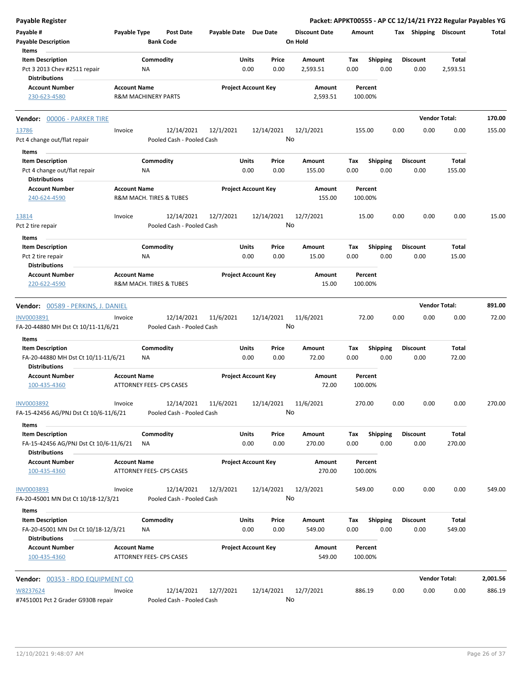| Payable Register                                                                       |                     |                                         |                       |                            |                                 | Packet: APPKT00555 - AP CC 12/14/21 FY22 Regular Payables YG |      |                         |                      |          |
|----------------------------------------------------------------------------------------|---------------------|-----------------------------------------|-----------------------|----------------------------|---------------------------------|--------------------------------------------------------------|------|-------------------------|----------------------|----------|
| Payable #<br><b>Payable Description</b>                                                | Payable Type        | Post Date<br><b>Bank Code</b>           | Payable Date Due Date |                            | <b>Discount Date</b><br>On Hold | Amount                                                       |      | Tax Shipping Discount   |                      | Total    |
| Items                                                                                  |                     |                                         |                       |                            |                                 |                                                              |      |                         |                      |          |
| <b>Item Description</b><br>Pct 3 2013 Chev #2511 repair<br><b>Distributions</b>        |                     | Commodity<br>ΝA                         | Units                 | Price<br>0.00<br>0.00      | Amount<br>2,593.51              | <b>Shipping</b><br>Tax<br>0.00<br>0.00                       |      | <b>Discount</b><br>0.00 | Total<br>2,593.51    |          |
| <b>Account Number</b><br>230-623-4580                                                  | <b>Account Name</b> | <b>R&amp;M MACHINERY PARTS</b>          |                       | <b>Project Account Key</b> | Amount<br>2,593.51              | Percent<br>100.00%                                           |      |                         |                      |          |
| Vendor: 00006 - PARKER TIRE                                                            |                     |                                         |                       |                            |                                 |                                                              |      |                         | <b>Vendor Total:</b> | 170.00   |
| 13786                                                                                  | Invoice             | 12/14/2021                              | 12/1/2021             | 12/14/2021                 | 12/1/2021                       | 155.00                                                       | 0.00 | 0.00                    | 0.00                 | 155.00   |
| Pct 4 change out/flat repair                                                           |                     | Pooled Cash - Pooled Cash               |                       |                            | No                              |                                                              |      |                         |                      |          |
| Items                                                                                  |                     |                                         |                       |                            |                                 |                                                              |      |                         |                      |          |
| <b>Item Description</b>                                                                |                     | Commodity                               | Units                 | Price                      | Amount                          | Tax<br><b>Shipping</b>                                       |      | <b>Discount</b>         | Total                |          |
| Pct 4 change out/flat repair<br><b>Distributions</b>                                   |                     | <b>NA</b>                               |                       | 0.00<br>0.00               | 155.00                          | 0.00<br>0.00                                                 |      | 0.00                    | 155.00               |          |
| <b>Account Number</b><br>240-624-4590                                                  | <b>Account Name</b> | R&M MACH. TIRES & TUBES                 |                       | <b>Project Account Key</b> | Amount<br>155.00                | Percent<br>100.00%                                           |      |                         |                      |          |
| 13814                                                                                  | Invoice             | 12/14/2021                              | 12/7/2021             | 12/14/2021                 | 12/7/2021                       | 15.00                                                        | 0.00 | 0.00                    | 0.00                 | 15.00    |
| Pct 2 tire repair                                                                      |                     | Pooled Cash - Pooled Cash               |                       |                            | No                              |                                                              |      |                         |                      |          |
| Items                                                                                  |                     |                                         |                       |                            |                                 |                                                              |      |                         |                      |          |
| <b>Item Description</b><br>Pct 2 tire repair                                           |                     | Commodity<br><b>NA</b>                  | Units                 | Price<br>0.00<br>0.00      | Amount<br>15.00                 | <b>Shipping</b><br>Tax<br>0.00<br>0.00                       |      | <b>Discount</b><br>0.00 | Total<br>15.00       |          |
| <b>Distributions</b><br><b>Account Number</b><br>220-622-4590                          | <b>Account Name</b> | R&M MACH. TIRES & TUBES                 |                       | <b>Project Account Key</b> | Amount<br>15.00                 | Percent<br>100.00%                                           |      |                         |                      |          |
|                                                                                        |                     |                                         |                       |                            |                                 |                                                              |      |                         | <b>Vendor Total:</b> | 891.00   |
| Vendor: 00589 - PERKINS, J. DANIEL                                                     |                     |                                         |                       |                            |                                 |                                                              |      |                         |                      |          |
| INV0003891<br>FA-20-44880 MH Dst Ct 10/11-11/6/21                                      | Invoice             | 12/14/2021<br>Pooled Cash - Pooled Cash | 11/6/2021             | 12/14/2021                 | 11/6/2021<br>No                 | 72.00                                                        | 0.00 | 0.00                    | 0.00                 | 72.00    |
| Items                                                                                  |                     |                                         |                       |                            |                                 |                                                              |      |                         |                      |          |
| <b>Item Description</b><br>FA-20-44880 MH Dst Ct 10/11-11/6/21                         |                     | Commodity<br><b>NA</b>                  | Units                 | Price<br>0.00<br>0.00      | Amount<br>72.00                 | <b>Shipping</b><br>Tax<br>0.00<br>0.00                       |      | <b>Discount</b><br>0.00 | Total<br>72.00       |          |
| <b>Distributions</b><br><b>Account Number</b>                                          | <b>Account Name</b> |                                         |                       | <b>Project Account Key</b> | Amount                          | Percent                                                      |      |                         |                      |          |
| 100-435-4360                                                                           |                     | <b>ATTORNEY FEES- CPS CASES</b>         |                       |                            | 72.00                           | 100.00%                                                      |      |                         |                      |          |
| INV0003892<br>FA-15-42456 AG/PNJ Dst Ct 10/6-11/6/21                                   | Invoice             | 12/14/2021<br>Pooled Cash - Pooled Cash | 11/6/2021             | 12/14/2021                 | 11/6/2021<br>No                 | 270.00                                                       | 0.00 | 0.00                    | 0.00                 | 270.00   |
| Items                                                                                  |                     |                                         |                       |                            |                                 |                                                              |      |                         |                      |          |
| <b>Item Description</b><br>FA-15-42456 AG/PNJ Dst Ct 10/6-11/6/21                      |                     | Commodity<br>ΝA                         | Units                 | Price<br>0.00<br>0.00      | Amount<br>270.00                | <b>Shipping</b><br>Tax<br>0.00<br>0.00                       |      | <b>Discount</b><br>0.00 | Total<br>270.00      |          |
| <b>Distributions</b><br><b>Account Number</b><br>100-435-4360                          | <b>Account Name</b> | ATTORNEY FEES- CPS CASES                |                       | <b>Project Account Key</b> | Amount<br>270.00                | Percent<br>100.00%                                           |      |                         |                      |          |
|                                                                                        |                     |                                         |                       |                            |                                 |                                                              |      |                         |                      |          |
| <b>INV0003893</b><br>FA-20-45001 MN Dst Ct 10/18-12/3/21                               | Invoice             | 12/14/2021<br>Pooled Cash - Pooled Cash | 12/3/2021             | 12/14/2021                 | 12/3/2021<br>No                 | 549.00                                                       | 0.00 | 0.00                    | 0.00                 | 549.00   |
| Items                                                                                  |                     |                                         |                       |                            |                                 |                                                              |      |                         |                      |          |
| <b>Item Description</b><br>FA-20-45001 MN Dst Ct 10/18-12/3/21<br><b>Distributions</b> |                     | Commodity<br>NA                         | Units                 | Price<br>0.00<br>0.00      | Amount<br>549.00                | <b>Shipping</b><br>Тах<br>0.00<br>0.00                       |      | <b>Discount</b><br>0.00 | Total<br>549.00      |          |
| <b>Account Number</b><br>100-435-4360                                                  | <b>Account Name</b> | ATTORNEY FEES- CPS CASES                |                       | <b>Project Account Key</b> | Amount<br>549.00                | Percent<br>100.00%                                           |      |                         |                      |          |
| Vendor: 00353 - RDO EQUIPMENT CO                                                       |                     |                                         |                       |                            |                                 |                                                              |      |                         | <b>Vendor Total:</b> | 2,001.56 |
| W8237624                                                                               | Invoice             | 12/14/2021                              | 12/7/2021             | 12/14/2021                 | 12/7/2021                       | 886.19                                                       | 0.00 | 0.00                    | 0.00                 | 886.19   |
| #7451001 Pct 2 Grader G930B repair                                                     |                     | Pooled Cash - Pooled Cash               |                       |                            | No                              |                                                              |      |                         |                      |          |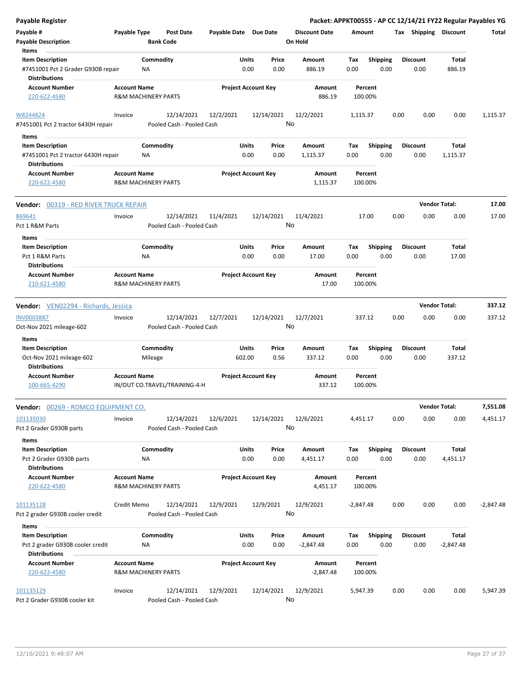| <b>Payable Register</b>                                                                        |                                                       |                                         |                       |                            |                                 |             |                         |                         | Packet: APPKT00555 - AP CC 12/14/21 FY22 Regular Payables YG |             |
|------------------------------------------------------------------------------------------------|-------------------------------------------------------|-----------------------------------------|-----------------------|----------------------------|---------------------------------|-------------|-------------------------|-------------------------|--------------------------------------------------------------|-------------|
| Payable #<br><b>Payable Description</b>                                                        | Payable Type                                          | <b>Post Date</b><br><b>Bank Code</b>    | Payable Date Due Date |                            | <b>Discount Date</b><br>On Hold | Amount      |                         |                         | Tax Shipping Discount                                        | Total       |
| Items<br><b>Item Description</b><br>#7451001 Pct 2 Grader G930B repair<br><b>Distributions</b> | NA                                                    | Commodity                               | Units                 | Price<br>0.00<br>0.00      | Amount<br>886.19                | Tax<br>0.00 | <b>Shipping</b><br>0.00 | <b>Discount</b><br>0.00 | <b>Total</b><br>886.19                                       |             |
| <b>Account Number</b><br>220-622-4580                                                          | <b>Account Name</b><br>R&M MACHINERY PARTS            |                                         |                       | <b>Project Account Key</b> | Amount<br>886.19                |             | Percent<br>100.00%      |                         |                                                              |             |
| W8244824<br>#7451001 Pct 2 tractor 6430H repair                                                | Invoice                                               | 12/14/2021<br>Pooled Cash - Pooled Cash | 12/2/2021             | 12/14/2021                 | 12/2/2021<br>No                 | 1,115.37    |                         | 0.00<br>0.00            | 0.00                                                         | 1,115.37    |
| Items                                                                                          |                                                       |                                         |                       |                            |                                 |             |                         |                         |                                                              |             |
| <b>Item Description</b><br>#7451001 Pct 2 tractor 6430H repair                                 | <b>NA</b>                                             | Commodity                               | Units                 | Price<br>0.00<br>0.00      | Amount<br>1,115.37              | Tax<br>0.00 | <b>Shipping</b><br>0.00 | <b>Discount</b><br>0.00 | Total<br>1,115.37                                            |             |
| <b>Distributions</b>                                                                           | <b>Account Name</b>                                   |                                         |                       |                            |                                 |             |                         |                         |                                                              |             |
| <b>Account Number</b><br>220-622-4580                                                          | R&M MACHINERY PARTS                                   |                                         |                       | <b>Project Account Key</b> | Amount<br>1,115.37              |             | Percent<br>100.00%      |                         |                                                              |             |
| <b>Vendor: 00319 - RED RIVER TRUCK REPAIR</b>                                                  |                                                       |                                         |                       |                            |                                 |             |                         |                         | <b>Vendor Total:</b>                                         | 17.00       |
| 869641<br>Pct 1 R&M Parts                                                                      | Invoice                                               | 12/14/2021<br>Pooled Cash - Pooled Cash | 11/4/2021             | 12/14/2021                 | 11/4/2021<br>No                 |             | 17.00                   | 0.00<br>0.00            | 0.00                                                         | 17.00       |
| Items                                                                                          |                                                       | Commodity                               | Units                 | Price                      | Amount                          | Tax         |                         | <b>Discount</b>         | <b>Total</b>                                                 |             |
| <b>Item Description</b><br>Pct 1 R&M Parts<br><b>Distributions</b>                             | <b>NA</b>                                             |                                         |                       | 0.00<br>0.00               | 17.00                           | 0.00        | Shipping<br>0.00        | 0.00                    | 17.00                                                        |             |
| <b>Account Number</b><br>210-621-4580                                                          | <b>Account Name</b><br><b>R&amp;M MACHINERY PARTS</b> |                                         |                       | <b>Project Account Key</b> | Amount<br>17.00                 |             | Percent<br>100.00%      |                         |                                                              |             |
| <b>Vendor:</b> VEN02294 - Richards, Jessica                                                    |                                                       |                                         |                       |                            |                                 |             |                         |                         | <b>Vendor Total:</b>                                         | 337.12      |
| <b>INV0003887</b>                                                                              | Invoice                                               | 12/14/2021                              | 12/7/2021             | 12/14/2021                 | 12/7/2021                       |             | 337.12                  | 0.00<br>0.00            | 0.00                                                         | 337.12      |
| Oct-Nov 2021 mileage-602<br>Items                                                              |                                                       | Pooled Cash - Pooled Cash               |                       |                            | No                              |             |                         |                         |                                                              |             |
| <b>Item Description</b>                                                                        |                                                       | Commodity                               | Units                 | Price                      | Amount                          | Tax         | <b>Shipping</b>         | <b>Discount</b>         | <b>Total</b>                                                 |             |
| Oct-Nov 2021 mileage-602<br><b>Distributions</b>                                               | Mileage                                               |                                         | 602.00                | 0.56                       | 337.12                          | 0.00        | 0.00                    | 0.00                    | 337.12                                                       |             |
| <b>Account Number</b><br>100-665-4290                                                          | <b>Account Name</b><br>IN/OUT CO.TRAVEL/TRAINING-4-H  |                                         |                       | <b>Project Account Key</b> | Amount<br>337.12                |             | Percent<br>100.00%      |                         |                                                              |             |
| Vendor: 00269 - ROMCO EQUIPMENT CO.                                                            |                                                       |                                         |                       |                            |                                 |             |                         |                         | <b>Vendor Total:</b>                                         | 7,551.08    |
| 101135030<br>Pct 2 Grader G930B parts                                                          | Invoice                                               | 12/14/2021<br>Pooled Cash - Pooled Cash | 12/6/2021             | 12/14/2021                 | 12/6/2021<br>No                 | 4,451.17    |                         | 0.00<br>0.00            | 0.00                                                         | 4,451.17    |
| Items<br><b>Item Description</b><br>Pct 2 Grader G930B parts                                   | ΝA                                                    | Commodity                               | Units                 | Price<br>0.00<br>0.00      | Amount<br>4,451.17              | Tax<br>0.00 | <b>Shipping</b><br>0.00 | <b>Discount</b><br>0.00 | Total<br>4,451.17                                            |             |
| <b>Distributions</b><br><b>Account Number</b><br>220-622-4580                                  | <b>Account Name</b><br>R&M MACHINERY PARTS            |                                         |                       | <b>Project Account Key</b> | Amount<br>4,451.17              |             | Percent<br>100.00%      |                         |                                                              |             |
| 101135128<br>Pct 2 grader G930B cooler credit                                                  | Credit Memo                                           | 12/14/2021<br>Pooled Cash - Pooled Cash | 12/9/2021             | 12/9/2021                  | 12/9/2021<br>No                 | $-2,847.48$ |                         | 0.00<br>0.00            | 0.00                                                         | $-2,847.48$ |
| Items                                                                                          |                                                       |                                         |                       |                            |                                 |             |                         |                         |                                                              |             |
| <b>Item Description</b><br>Pct 2 grader G930B cooler credit<br><b>Distributions</b>            | NA                                                    | Commodity                               | Units                 | Price<br>0.00<br>0.00      | Amount<br>$-2,847.48$           | Tax<br>0.00 | <b>Shipping</b><br>0.00 | <b>Discount</b><br>0.00 | <b>Total</b><br>$-2,847.48$                                  |             |
| <b>Account Number</b><br>220-622-4580                                                          | <b>Account Name</b><br>R&M MACHINERY PARTS            |                                         |                       | <b>Project Account Key</b> | Amount<br>$-2,847.48$           |             | Percent<br>100.00%      |                         |                                                              |             |
| 101135129<br>Pct 2 Grader G930B cooler kit                                                     | Invoice                                               | 12/14/2021<br>Pooled Cash - Pooled Cash | 12/9/2021             | 12/14/2021                 | 12/9/2021<br>No                 | 5,947.39    |                         | 0.00<br>0.00            | 0.00                                                         | 5,947.39    |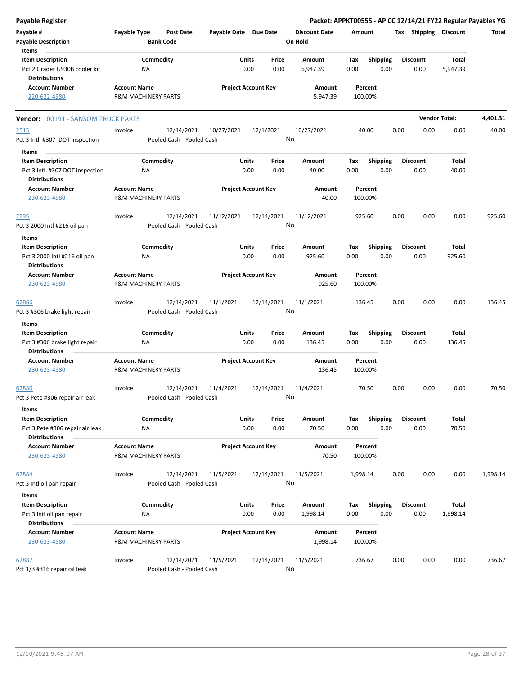| <b>Payable Register</b>                                                                     |                     |                                         |                       |                                |                                 |                    |                    |                         |      |                         |                        | Packet: APPKT00555 - AP CC 12/14/21 FY22 Regular Payables YG |
|---------------------------------------------------------------------------------------------|---------------------|-----------------------------------------|-----------------------|--------------------------------|---------------------------------|--------------------|--------------------|-------------------------|------|-------------------------|------------------------|--------------------------------------------------------------|
| Payable #<br><b>Payable Description</b>                                                     | Payable Type        | <b>Post Date</b><br><b>Bank Code</b>    | Payable Date Due Date |                                | <b>Discount Date</b><br>On Hold |                    | Amount             |                         |      | Tax Shipping Discount   |                        | Total                                                        |
| Items<br><b>Item Description</b><br>Pct 2 Grader G930B cooler kit                           |                     | Commodity<br>NA                         |                       | Units<br>Price<br>0.00<br>0.00 | Amount<br>5,947.39              |                    | Tax<br>0.00        | <b>Shipping</b><br>0.00 |      | <b>Discount</b><br>0.00 | Total<br>5,947.39      |                                                              |
| <b>Distributions</b><br><b>Account Number</b><br>220-622-4580                               | <b>Account Name</b> | <b>R&amp;M MACHINERY PARTS</b>          |                       | <b>Project Account Key</b>     |                                 | Amount<br>5,947.39 | Percent<br>100.00% |                         |      |                         |                        |                                                              |
| <b>Vendor: 00191 - SANSOM TRUCK PARTS</b>                                                   |                     |                                         |                       |                                |                                 |                    |                    |                         |      |                         | <b>Vendor Total:</b>   | 4,401.31                                                     |
| 2515<br>Pct 3 Intl. #307 DOT inspection                                                     | Invoice             | 12/14/2021<br>Pooled Cash - Pooled Cash | 10/27/2021            | 12/1/2021                      | 10/27/2021<br>No                |                    | 40.00              |                         | 0.00 | 0.00                    | 0.00                   | 40.00                                                        |
| Items<br><b>Item Description</b><br>Pct 3 Intl. #307 DOT inspection                         |                     | Commodity<br>ΝA                         |                       | Units<br>Price<br>0.00<br>0.00 | Amount                          | 40.00              | Tax<br>0.00        | <b>Shipping</b><br>0.00 |      | <b>Discount</b><br>0.00 | Total<br>40.00         |                                                              |
| <b>Distributions</b><br><b>Account Number</b><br>230-623-4580                               | <b>Account Name</b> | <b>R&amp;M MACHINERY PARTS</b>          |                       | <b>Project Account Key</b>     |                                 | Amount<br>40.00    | Percent<br>100.00% |                         |      |                         |                        |                                                              |
| 2795<br>Pct 3 2000 Intl #216 oil pan                                                        | Invoice             | 12/14/2021<br>Pooled Cash - Pooled Cash | 11/12/2021            | 12/14/2021                     | 11/12/2021<br>No                |                    | 925.60             |                         | 0.00 | 0.00                    | 0.00                   | 925.60                                                       |
| Items<br><b>Item Description</b><br>Pct 3 2000 Intl #216 oil pan<br>Distributions           |                     | Commodity<br>ΝA                         |                       | Units<br>Price<br>0.00<br>0.00 | Amount<br>925.60                |                    | Tax<br>0.00        | <b>Shipping</b><br>0.00 |      | <b>Discount</b><br>0.00 | <b>Total</b><br>925.60 |                                                              |
| <b>Account Number</b><br>230-623-4580                                                       | <b>Account Name</b> | <b>R&amp;M MACHINERY PARTS</b>          |                       | <b>Project Account Key</b>     |                                 | Amount<br>925.60   | Percent<br>100.00% |                         |      |                         |                        |                                                              |
| 62866<br>Pct 3 #306 brake light repair                                                      | Invoice             | 12/14/2021<br>Pooled Cash - Pooled Cash | 11/1/2021             | 12/14/2021                     | 11/1/2021<br>No                 |                    | 136.45             |                         | 0.00 | 0.00                    | 0.00                   | 136.45                                                       |
| Items<br><b>Item Description</b>                                                            |                     | Commodity                               |                       | Units<br>Price                 | Amount                          |                    | Tax                | <b>Shipping</b>         |      | <b>Discount</b>         | Total                  |                                                              |
| Pct 3 #306 brake light repair<br><b>Distributions</b>                                       |                     | ΝA                                      |                       | 0.00<br>0.00                   | 136.45                          |                    | 0.00               | 0.00                    |      | 0.00                    | 136.45                 |                                                              |
| <b>Account Number</b><br>230-623-4580                                                       | <b>Account Name</b> | <b>R&amp;M MACHINERY PARTS</b>          |                       | <b>Project Account Key</b>     |                                 | Amount<br>136.45   | Percent<br>100.00% |                         |      |                         |                        |                                                              |
| 62880<br>Pct 3 Pete #306 repair air leak                                                    | Invoice             | 12/14/2021<br>Pooled Cash - Pooled Cash | 11/4/2021             | 12/14/2021                     | 11/4/2021<br>No                 |                    | 70.50              |                         | 0.00 | 0.00                    | 0.00                   | 70.50                                                        |
| Items<br><b>Item Description</b><br>Pct 3 Pete #306 repair air leak<br><b>Distributions</b> |                     | Commodity<br>ΝA                         |                       | Units<br>Price<br>0.00<br>0.00 | Amount                          | 70.50              | Tax<br>0.00        | <b>Shipping</b><br>0.00 |      | <b>Discount</b><br>0.00 | Total<br>70.50         |                                                              |
| <b>Account Number</b><br>230-623-4580                                                       | <b>Account Name</b> | <b>R&amp;M MACHINERY PARTS</b>          |                       | <b>Project Account Key</b>     |                                 | Amount<br>70.50    | Percent<br>100.00% |                         |      |                         |                        |                                                              |
| 62884<br>Pct 3 Intl oil pan repair                                                          | Invoice             | 12/14/2021<br>Pooled Cash - Pooled Cash | 11/5/2021             | 12/14/2021                     | 11/5/2021<br>No                 |                    | 1,998.14           |                         | 0.00 | 0.00                    | 0.00                   | 1,998.14                                                     |
| Items<br><b>Item Description</b><br>Pct 3 Intl oil pan repair<br><b>Distributions</b>       |                     | Commodity<br>NA                         |                       | Units<br>Price<br>0.00<br>0.00 | Amount<br>1,998.14              |                    | Tax<br>0.00        | <b>Shipping</b><br>0.00 |      | <b>Discount</b><br>0.00 | Total<br>1,998.14      |                                                              |
| <b>Account Number</b><br>230-623-4580                                                       | <b>Account Name</b> | <b>R&amp;M MACHINERY PARTS</b>          |                       | <b>Project Account Key</b>     |                                 | Amount<br>1,998.14 | Percent<br>100.00% |                         |      |                         |                        |                                                              |
| 62887<br>Pct 1/3 #316 repair oil leak                                                       | Invoice             | 12/14/2021<br>Pooled Cash - Pooled Cash | 11/5/2021             | 12/14/2021                     | 11/5/2021<br>No                 |                    | 736.67             |                         | 0.00 | 0.00                    | 0.00                   | 736.67                                                       |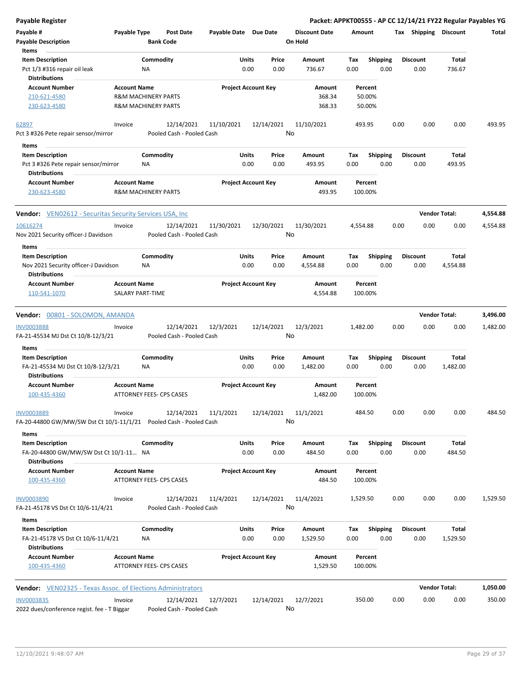| Payable Register                                                      |                                  |                       |                            |                      |          |                 | Packet: APPKT00555 - AP CC 12/14/21 FY22 Regular Payables YG |                      |          |
|-----------------------------------------------------------------------|----------------------------------|-----------------------|----------------------------|----------------------|----------|-----------------|--------------------------------------------------------------|----------------------|----------|
| Payable #                                                             | Payable Type<br><b>Post Date</b> | Payable Date Due Date |                            | <b>Discount Date</b> | Amount   |                 | Tax Shipping Discount                                        |                      | Total    |
| <b>Payable Description</b>                                            | <b>Bank Code</b>                 |                       |                            | On Hold              |          |                 |                                                              |                      |          |
| <b>Items</b>                                                          |                                  |                       |                            |                      |          |                 |                                                              |                      |          |
| <b>Item Description</b>                                               | Commodity                        | Units                 | Price                      | Amount               | Tax      | Shipping        | <b>Discount</b>                                              | Total                |          |
| Pct 1/3 #316 repair oil leak<br><b>Distributions</b>                  | ΝA                               |                       | 0.00<br>0.00               | 736.67               | 0.00     | 0.00            | 0.00                                                         | 736.67               |          |
|                                                                       |                                  |                       |                            |                      |          |                 |                                                              |                      |          |
| <b>Account Number</b>                                                 | <b>Account Name</b>              |                       | <b>Project Account Key</b> | Amount               | Percent  |                 |                                                              |                      |          |
| 210-621-4580                                                          | <b>R&amp;M MACHINERY PARTS</b>   |                       |                            | 368.34               | 50.00%   |                 |                                                              |                      |          |
| 230-623-4580                                                          | <b>R&amp;M MACHINERY PARTS</b>   |                       |                            | 368.33               | 50.00%   |                 |                                                              |                      |          |
| 62897                                                                 | 12/14/2021<br>Invoice            | 11/10/2021            | 12/14/2021                 | 11/10/2021           | 493.95   |                 | 0.00<br>0.00                                                 | 0.00                 | 493.95   |
| Pct 3 #326 Pete repair sensor/mirror                                  | Pooled Cash - Pooled Cash        |                       |                            | No                   |          |                 |                                                              |                      |          |
| Items                                                                 |                                  |                       |                            |                      |          |                 |                                                              |                      |          |
| <b>Item Description</b>                                               | Commodity                        | Units                 | Price                      | Amount               | Tax      | <b>Shipping</b> | <b>Discount</b>                                              | Total                |          |
| Pct 3 #326 Pete repair sensor/mirror                                  | ΝA                               |                       | 0.00<br>0.00               | 493.95               | 0.00     | 0.00            | 0.00                                                         | 493.95               |          |
| <b>Distributions</b>                                                  |                                  |                       |                            |                      |          |                 |                                                              |                      |          |
| <b>Account Number</b>                                                 | <b>Account Name</b>              |                       | <b>Project Account Key</b> | Amount               | Percent  |                 |                                                              |                      |          |
| 230-623-4580                                                          | <b>R&amp;M MACHINERY PARTS</b>   |                       |                            | 493.95               | 100.00%  |                 |                                                              |                      |          |
|                                                                       |                                  |                       |                            |                      |          |                 |                                                              |                      |          |
| <b>Vendor:</b> VEN02612 - Securitas Security Services USA, Inc.       |                                  |                       |                            |                      |          |                 |                                                              | <b>Vendor Total:</b> | 4,554.88 |
| 10616274                                                              | 12/14/2021<br>Invoice            | 11/30/2021            | 12/30/2021                 | 11/30/2021           | 4,554.88 |                 | 0.00<br>0.00                                                 | 0.00                 | 4,554.88 |
| Nov 2021 Security officer-J Davidson                                  | Pooled Cash - Pooled Cash        |                       |                            | No                   |          |                 |                                                              |                      |          |
| Items                                                                 |                                  |                       |                            |                      |          |                 |                                                              |                      |          |
| <b>Item Description</b>                                               | Commodity                        | Units                 | Price                      | Amount               | Tax      | <b>Shipping</b> | <b>Discount</b>                                              | Total                |          |
| Nov 2021 Security officer-J Davidson                                  | NA                               |                       | 0.00<br>0.00               | 4,554.88             | 0.00     | 0.00            | 0.00                                                         | 4,554.88             |          |
| <b>Distributions</b>                                                  |                                  |                       |                            |                      |          |                 |                                                              |                      |          |
| <b>Account Number</b>                                                 | <b>Account Name</b>              |                       | <b>Project Account Key</b> | Amount               | Percent  |                 |                                                              |                      |          |
| 110-541-1070                                                          | SALARY PART-TIME                 |                       |                            | 4,554.88             | 100.00%  |                 |                                                              |                      |          |
|                                                                       |                                  |                       |                            |                      |          |                 |                                                              |                      |          |
| Vendor: 00801 - SOLOMON, AMANDA                                       |                                  |                       |                            |                      |          |                 |                                                              | <b>Vendor Total:</b> | 3,496.00 |
| INV0003888                                                            | 12/14/2021<br>Invoice            | 12/3/2021             | 12/14/2021                 | 12/3/2021            | 1,482.00 |                 | 0.00<br>0.00                                                 | 0.00                 | 1,482.00 |
| FA-21-45534 MJ Dst Ct 10/8-12/3/21                                    | Pooled Cash - Pooled Cash        |                       |                            | No                   |          |                 |                                                              |                      |          |
| Items                                                                 |                                  |                       |                            |                      |          |                 |                                                              |                      |          |
| <b>Item Description</b>                                               | Commodity                        | Units                 | Price                      | Amount               | Tax      | <b>Shipping</b> | <b>Discount</b>                                              | Total                |          |
| FA-21-45534 MJ Dst Ct 10/8-12/3/21                                    | ΝA                               |                       | 0.00<br>0.00               | 1,482.00             | 0.00     | 0.00            | 0.00                                                         | 1,482.00             |          |
| <b>Distributions</b>                                                  |                                  |                       |                            |                      |          |                 |                                                              |                      |          |
| <b>Account Number</b>                                                 | <b>Account Name</b>              |                       | <b>Project Account Key</b> | Amount               | Percent  |                 |                                                              |                      |          |
| 100-435-4360                                                          | ATTORNEY FEES- CPS CASES         |                       |                            | 1,482.00             | 100.00%  |                 |                                                              |                      |          |
|                                                                       |                                  |                       |                            |                      |          |                 |                                                              |                      |          |
| <b>INV0003889</b>                                                     | 12/14/2021<br>Invoice            | 11/1/2021             | 12/14/2021                 | 11/1/2021            | 484.50   |                 | 0.00<br>0.00                                                 | 0.00                 | 484.50   |
| FA-20-44800 GW/MW/SW Dst Ct 10/1-11/1/21    Pooled Cash - Pooled Cash |                                  |                       |                            | No                   |          |                 |                                                              |                      |          |
| Items                                                                 |                                  |                       |                            |                      |          |                 |                                                              |                      |          |
| <b>Item Description</b>                                               | Commodity                        | Units                 | Price                      | Amount               | Tax      | Shipping        | <b>Discount</b>                                              | <b>Total</b>         |          |
| FA-20-44800 GW/MW/SW Dst Ct 10/1-11 NA                                |                                  |                       | 0.00<br>0.00               | 484.50               | 0.00     | 0.00            | 0.00                                                         | 484.50               |          |
| <b>Distributions</b>                                                  |                                  |                       |                            |                      |          |                 |                                                              |                      |          |
| <b>Account Number</b>                                                 | <b>Account Name</b>              |                       | <b>Project Account Key</b> | <b>Amount</b>        | Percent  |                 |                                                              |                      |          |
| 100-435-4360                                                          | <b>ATTORNEY FEES- CPS CASES</b>  |                       |                            | 484.50               | 100.00%  |                 |                                                              |                      |          |
|                                                                       |                                  |                       |                            |                      |          |                 |                                                              |                      |          |
| <b>INV0003890</b>                                                     | 12/14/2021<br>Invoice            | 11/4/2021             | 12/14/2021                 | 11/4/2021            | 1,529.50 |                 | 0.00<br>0.00                                                 | 0.00                 | 1,529.50 |
| FA-21-45178 VS Dst Ct 10/6-11/4/21                                    | Pooled Cash - Pooled Cash        |                       |                            | No                   |          |                 |                                                              |                      |          |
| <b>Items</b>                                                          |                                  |                       |                            |                      |          |                 |                                                              |                      |          |
| <b>Item Description</b>                                               | Commodity                        | Units                 | Price                      | Amount               | Tax      | <b>Shipping</b> | <b>Discount</b>                                              | Total                |          |
| FA-21-45178 VS Dst Ct 10/6-11/4/21                                    | NA                               |                       | 0.00<br>0.00               | 1,529.50             | 0.00     | 0.00            | 0.00                                                         | 1,529.50             |          |
| <b>Distributions</b>                                                  |                                  |                       |                            |                      |          |                 |                                                              |                      |          |
| <b>Account Number</b>                                                 | <b>Account Name</b>              |                       | <b>Project Account Key</b> | Amount               | Percent  |                 |                                                              |                      |          |
| 100-435-4360                                                          | <b>ATTORNEY FEES- CPS CASES</b>  |                       |                            | 1,529.50             | 100.00%  |                 |                                                              |                      |          |
|                                                                       |                                  |                       |                            |                      |          |                 |                                                              |                      |          |
| <b>Vendor:</b> VEN02325 - Texas Assoc. of Elections Administrators    |                                  |                       |                            |                      |          |                 |                                                              | <b>Vendor Total:</b> | 1,050.00 |
| <b>INV0003835</b>                                                     | Invoice<br>12/14/2021            | 12/7/2021             | 12/14/2021                 | 12/7/2021            | 350.00   |                 | 0.00<br>0.00                                                 | 0.00                 | 350.00   |
| 2022 dues/conference regist. fee - T Biggar                           | Pooled Cash - Pooled Cash        |                       |                            | No                   |          |                 |                                                              |                      |          |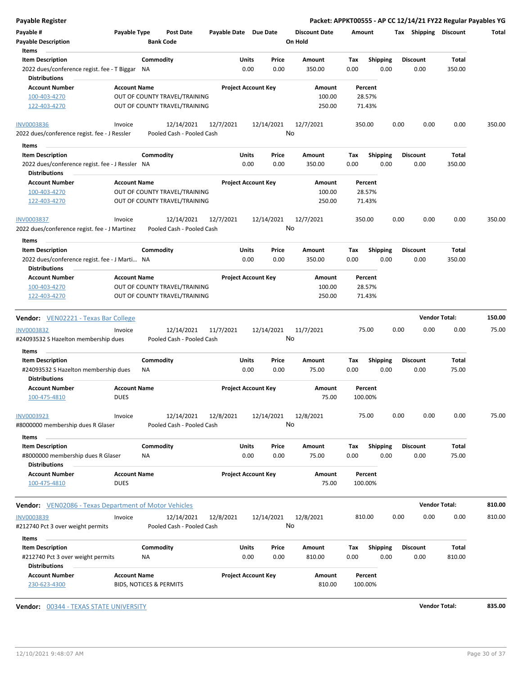| Payable Register                                                   |                                    |                                                                |                            |                            |                      |        |                    |      |                       | Packet: APPKT00555 - AP CC 12/14/21 FY22 Regular Payables YG |        |
|--------------------------------------------------------------------|------------------------------------|----------------------------------------------------------------|----------------------------|----------------------------|----------------------|--------|--------------------|------|-----------------------|--------------------------------------------------------------|--------|
| Payable #                                                          | Payable Type                       | <b>Post Date</b>                                               | Payable Date Due Date      |                            | <b>Discount Date</b> | Amount |                    |      | Tax Shipping Discount |                                                              | Total  |
| <b>Payable Description</b>                                         |                                    | <b>Bank Code</b>                                               |                            |                            | On Hold              |        |                    |      |                       |                                                              |        |
| Items                                                              |                                    |                                                                |                            |                            |                      |        |                    |      |                       |                                                              |        |
| <b>Item Description</b>                                            |                                    | Commodity                                                      | Units                      | Price                      | Amount               | Tax    | <b>Shipping</b>    |      | <b>Discount</b>       | Total                                                        |        |
| 2022 dues/conference regist. fee - T Biggar NA                     |                                    |                                                                | 0.00                       | 0.00                       | 350.00               | 0.00   | 0.00               |      | 0.00                  | 350.00                                                       |        |
| <b>Distributions</b>                                               |                                    |                                                                |                            |                            |                      |        |                    |      |                       |                                                              |        |
| <b>Account Number</b>                                              | <b>Account Name</b>                |                                                                | <b>Project Account Key</b> |                            | Amount               |        | Percent            |      |                       |                                                              |        |
| 100-403-4270                                                       |                                    | OUT OF COUNTY TRAVEL/TRAINING                                  |                            |                            | 100.00               |        | 28.57%             |      |                       |                                                              |        |
| 122-403-4270                                                       |                                    | OUT OF COUNTY TRAVEL/TRAINING                                  |                            |                            | 250.00               |        | 71.43%             |      |                       |                                                              |        |
| <b>INV0003836</b>                                                  | Invoice                            | 12/14/2021                                                     | 12/7/2021                  | 12/14/2021                 | 12/7/2021            |        | 350.00             | 0.00 | 0.00                  | 0.00                                                         | 350.00 |
| 2022 dues/conference regist. fee - J Ressler                       |                                    | Pooled Cash - Pooled Cash                                      |                            |                            | No                   |        |                    |      |                       |                                                              |        |
| Items                                                              |                                    |                                                                |                            |                            |                      |        |                    |      |                       |                                                              |        |
| <b>Item Description</b>                                            |                                    | Commodity                                                      | Units                      | Price                      | Amount               | Tax    | Shipping           |      | <b>Discount</b>       | Total                                                        |        |
| 2022 dues/conference regist. fee - J Ressler NA                    |                                    |                                                                | 0.00                       | 0.00                       | 350.00               | 0.00   | 0.00               |      | 0.00                  | 350.00                                                       |        |
| <b>Distributions</b>                                               |                                    |                                                                |                            |                            |                      |        |                    |      |                       |                                                              |        |
| <b>Account Number</b>                                              | <b>Account Name</b>                |                                                                | <b>Project Account Key</b> |                            | Amount               |        | Percent            |      |                       |                                                              |        |
| 100-403-4270                                                       |                                    | OUT OF COUNTY TRAVEL/TRAINING                                  |                            |                            | 100.00               |        | 28.57%             |      |                       |                                                              |        |
| 122-403-4270                                                       |                                    | OUT OF COUNTY TRAVEL/TRAINING                                  |                            |                            | 250.00               |        | 71.43%             |      |                       |                                                              |        |
| <b>INV0003837</b><br>2022 dues/conference regist. fee - J Martinez | Invoice                            | 12/14/2021<br>Pooled Cash - Pooled Cash                        | 12/7/2021                  | 12/14/2021                 | 12/7/2021<br>No      |        | 350.00             | 0.00 | 0.00                  | 0.00                                                         | 350.00 |
|                                                                    |                                    |                                                                |                            |                            |                      |        |                    |      |                       |                                                              |        |
| <b>Items</b>                                                       |                                    |                                                                |                            |                            |                      |        |                    |      |                       |                                                              |        |
| <b>Item Description</b>                                            |                                    | Commodity                                                      | Units                      | Price                      | Amount               | Tax    | <b>Shipping</b>    |      | <b>Discount</b>       | Total                                                        |        |
| 2022 dues/conference regist. fee - J Marti NA                      |                                    |                                                                | 0.00                       | 0.00                       | 350.00               | 0.00   | 0.00               |      | 0.00                  | 350.00                                                       |        |
| <b>Distributions</b>                                               |                                    |                                                                |                            |                            |                      |        |                    |      |                       |                                                              |        |
| <b>Account Number</b>                                              | <b>Account Name</b>                |                                                                |                            | <b>Project Account Key</b> | Amount               |        | Percent            |      |                       |                                                              |        |
| 100-403-4270<br>122-403-4270                                       |                                    | OUT OF COUNTY TRAVEL/TRAINING<br>OUT OF COUNTY TRAVEL/TRAINING |                            |                            | 100.00<br>250.00     |        | 28.57%<br>71.43%   |      |                       |                                                              |        |
|                                                                    |                                    |                                                                |                            |                            |                      |        |                    |      |                       |                                                              |        |
| <b>Vendor:</b> VEN02221 - Texas Bar College                        |                                    |                                                                |                            |                            |                      |        |                    |      |                       | <b>Vendor Total:</b>                                         | 150.00 |
|                                                                    |                                    |                                                                |                            |                            |                      |        |                    |      |                       |                                                              |        |
| INV0003832                                                         | Invoice                            | 12/14/2021                                                     | 11/7/2021                  | 12/14/2021                 | 11/7/2021<br>No      |        | 75.00              | 0.00 | 0.00                  | 0.00                                                         | 75.00  |
| #24093532 S Hazelton membership dues                               |                                    | Pooled Cash - Pooled Cash                                      |                            |                            |                      |        |                    |      |                       |                                                              |        |
| Items                                                              |                                    |                                                                |                            |                            |                      |        |                    |      |                       |                                                              |        |
| <b>Item Description</b>                                            |                                    | Commodity                                                      | Units                      | Price                      | Amount               | Tax    | <b>Shipping</b>    |      | <b>Discount</b>       | Total                                                        |        |
| #24093532 S Hazelton membership dues                               |                                    | ΝA                                                             | 0.00                       | 0.00                       | 75.00                | 0.00   | 0.00               |      | 0.00                  | 75.00                                                        |        |
| <b>Distributions</b>                                               |                                    |                                                                |                            |                            |                      |        |                    |      |                       |                                                              |        |
| <b>Account Number</b><br>100-475-4810                              | <b>Account Name</b><br><b>DUES</b> |                                                                | <b>Project Account Key</b> |                            | Amount<br>75.00      |        | Percent<br>100.00% |      |                       |                                                              |        |
|                                                                    |                                    |                                                                |                            |                            |                      |        |                    |      |                       |                                                              |        |
| <b>INV0003923</b>                                                  | Invoice                            | 12/14/2021                                                     | 12/8/2021                  | 12/14/2021                 | 12/8/2021<br>No      |        | 75.00              | 0.00 | 0.00                  | 0.00                                                         | 75.00  |
| #8000000 membership dues R Glaser                                  |                                    | Pooled Cash - Pooled Cash                                      |                            |                            |                      |        |                    |      |                       |                                                              |        |
| Items                                                              |                                    |                                                                |                            |                            |                      |        |                    |      |                       |                                                              |        |
| <b>Item Description</b>                                            |                                    | Commodity                                                      | Units                      | Price                      | Amount               | Tax    | <b>Shipping</b>    |      | <b>Discount</b>       | Total                                                        |        |
| #8000000 membership dues R Glaser                                  |                                    | ΝA                                                             | 0.00                       | 0.00                       | 75.00                | 0.00   | 0.00               |      | 0.00                  | 75.00                                                        |        |
| <b>Distributions</b><br><b>Account Number</b>                      | <b>Account Name</b>                |                                                                | <b>Project Account Key</b> |                            |                      |        | Percent            |      |                       |                                                              |        |
| 100-475-4810                                                       | <b>DUES</b>                        |                                                                |                            |                            | Amount<br>75.00      |        | 100.00%            |      |                       |                                                              |        |
|                                                                    |                                    |                                                                |                            |                            |                      |        |                    |      |                       |                                                              |        |
| <b>Vendor:</b> VEN02086 - Texas Department of Motor Vehicles       |                                    |                                                                |                            |                            |                      |        |                    |      |                       | <b>Vendor Total:</b>                                         | 810.00 |
| INV0003839                                                         | Invoice                            | 12/14/2021                                                     | 12/8/2021                  | 12/14/2021                 | 12/8/2021            |        | 810.00             | 0.00 | 0.00                  | 0.00                                                         | 810.00 |
| #212740 Pct 3 over weight permits                                  |                                    | Pooled Cash - Pooled Cash                                      |                            |                            | No                   |        |                    |      |                       |                                                              |        |
| Items                                                              |                                    |                                                                |                            |                            |                      |        |                    |      |                       |                                                              |        |
| <b>Item Description</b>                                            |                                    | Commodity                                                      | Units                      | Price                      | Amount               | Tax    | Shipping           |      | <b>Discount</b>       | Total                                                        |        |
| #212740 Pct 3 over weight permits                                  |                                    | <b>NA</b>                                                      | 0.00                       | 0.00                       | 810.00               | 0.00   | 0.00               |      | 0.00                  | 810.00                                                       |        |
| <b>Distributions</b>                                               |                                    |                                                                |                            |                            |                      |        |                    |      |                       |                                                              |        |
| <b>Account Number</b>                                              | <b>Account Name</b>                |                                                                | <b>Project Account Key</b> |                            | Amount               |        | Percent            |      |                       |                                                              |        |
| 230-623-4300                                                       |                                    | <b>BIDS, NOTICES &amp; PERMITS</b>                             |                            |                            | 810.00               |        | 100.00%            |      |                       |                                                              |        |
|                                                                    |                                    |                                                                |                            |                            |                      |        |                    |      |                       |                                                              |        |

**Vendor:** 00344 - TEXAS STATE UNIVERSITY **Vendor Total: 835.00**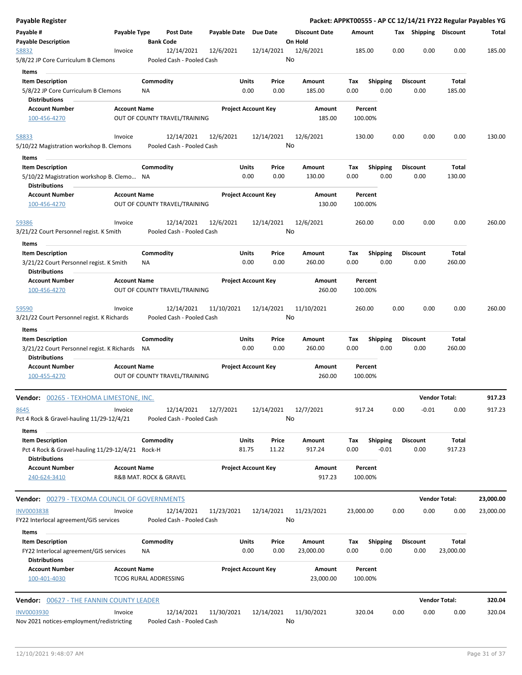| <b>Payable Register</b>                                                  |                     |                        |                               |                       |                            |               |                      |             |                         |      |                         |                           | Packet: APPKT00555 - AP CC 12/14/21 FY22 Regular Payables YG |
|--------------------------------------------------------------------------|---------------------|------------------------|-------------------------------|-----------------------|----------------------------|---------------|----------------------|-------------|-------------------------|------|-------------------------|---------------------------|--------------------------------------------------------------|
| Payable #                                                                | Payable Type        |                        | <b>Post Date</b>              | Payable Date Due Date |                            |               | <b>Discount Date</b> |             | Amount                  |      | Tax Shipping Discount   |                           | Total                                                        |
| <b>Payable Description</b>                                               |                     | <b>Bank Code</b>       |                               |                       |                            |               | On Hold              |             |                         |      |                         |                           |                                                              |
| 58832                                                                    | Invoice             |                        | 12/14/2021                    | 12/6/2021             |                            | 12/14/2021    | 12/6/2021            |             | 185.00                  | 0.00 | 0.00                    | 0.00                      | 185.00                                                       |
| 5/8/22 JP Core Curriculum B Clemons                                      |                     |                        | Pooled Cash - Pooled Cash     |                       |                            |               | No                   |             |                         |      |                         |                           |                                                              |
| Items                                                                    |                     |                        |                               |                       |                            |               |                      |             |                         |      |                         |                           |                                                              |
| <b>Item Description</b>                                                  |                     | Commodity              |                               |                       | Units                      | Price         | Amount               | Tax         | <b>Shipping</b>         |      | <b>Discount</b>         | <b>Total</b>              |                                                              |
| 5/8/22 JP Core Curriculum B Clemons                                      |                     | ΝA                     |                               |                       | 0.00                       | 0.00          | 185.00               | 0.00        | 0.00                    |      | 0.00                    | 185.00                    |                                                              |
| <b>Distributions</b>                                                     |                     |                        |                               |                       |                            |               |                      |             |                         |      |                         |                           |                                                              |
| <b>Account Number</b>                                                    | <b>Account Name</b> |                        |                               |                       | <b>Project Account Key</b> |               | Amount               |             | Percent                 |      |                         |                           |                                                              |
| 100-456-4270                                                             |                     |                        | OUT OF COUNTY TRAVEL/TRAINING |                       |                            |               | 185.00               |             | 100.00%                 |      |                         |                           |                                                              |
| 58833                                                                    | Invoice             |                        | 12/14/2021                    | 12/6/2021             |                            | 12/14/2021    | 12/6/2021            |             | 130.00                  | 0.00 | 0.00                    | 0.00                      | 130.00                                                       |
| 5/10/22 Magistration workshop B. Clemons                                 |                     |                        | Pooled Cash - Pooled Cash     |                       |                            |               | No                   |             |                         |      |                         |                           |                                                              |
| Items                                                                    |                     |                        |                               |                       |                            |               |                      |             |                         |      |                         |                           |                                                              |
| <b>Item Description</b>                                                  |                     | Commodity              |                               |                       | Units                      | Price         | Amount               | Tax         | Shipping                |      | <b>Discount</b>         | Total                     |                                                              |
| 5/10/22 Magistration workshop B. Clemo NA<br><b>Distributions</b>        |                     |                        |                               |                       | 0.00                       | 0.00          | 130.00               | 0.00        | 0.00                    |      | 0.00                    | 130.00                    |                                                              |
| <b>Account Number</b>                                                    | <b>Account Name</b> |                        |                               |                       | <b>Project Account Key</b> |               | Amount               |             | Percent                 |      |                         |                           |                                                              |
| 100-456-4270                                                             |                     |                        | OUT OF COUNTY TRAVEL/TRAINING |                       |                            |               | 130.00               |             | 100.00%                 |      |                         |                           |                                                              |
| 59386                                                                    | Invoice             |                        | 12/14/2021                    | 12/6/2021             |                            | 12/14/2021    | 12/6/2021            |             | 260.00                  | 0.00 | 0.00                    | 0.00                      | 260.00                                                       |
| 3/21/22 Court Personnel regist. K Smith                                  |                     |                        | Pooled Cash - Pooled Cash     |                       |                            |               | No                   |             |                         |      |                         |                           |                                                              |
| Items                                                                    |                     |                        |                               |                       |                            |               |                      |             |                         |      |                         |                           |                                                              |
| <b>Item Description</b>                                                  |                     | Commodity              |                               |                       | Units                      | Price         | Amount               | Tax         | <b>Shipping</b>         |      | <b>Discount</b>         | Total                     |                                                              |
| 3/21/22 Court Personnel regist. K Smith<br><b>Distributions</b>          |                     | ΝA                     |                               |                       | 0.00                       | 0.00          | 260.00               | 0.00        | 0.00                    |      | 0.00                    | 260.00                    |                                                              |
| <b>Account Number</b>                                                    | <b>Account Name</b> |                        |                               |                       | <b>Project Account Key</b> |               | Amount               |             | Percent                 |      |                         |                           |                                                              |
| 100-456-4270                                                             |                     |                        | OUT OF COUNTY TRAVEL/TRAINING |                       |                            |               | 260.00               |             | 100.00%                 |      |                         |                           |                                                              |
| 59590                                                                    | Invoice             |                        | 12/14/2021                    | 11/10/2021            |                            | 12/14/2021    | 11/10/2021           |             | 260.00                  | 0.00 | 0.00                    | 0.00                      | 260.00                                                       |
| 3/21/22 Court Personnel regist. K Richards                               |                     |                        | Pooled Cash - Pooled Cash     |                       |                            |               | No                   |             |                         |      |                         |                           |                                                              |
| Items                                                                    |                     |                        |                               |                       |                            |               |                      |             |                         |      |                         |                           |                                                              |
| <b>Item Description</b><br>3/21/22 Court Personnel regist. K Richards NA |                     | Commodity              |                               |                       | Units<br>0.00              | Price<br>0.00 | Amount<br>260.00     | Tax<br>0.00 | <b>Shipping</b><br>0.00 |      | <b>Discount</b><br>0.00 | Total<br>260.00           |                                                              |
| <b>Distributions</b>                                                     |                     |                        |                               |                       |                            |               |                      |             |                         |      |                         |                           |                                                              |
| <b>Account Number</b><br>100-455-4270                                    | <b>Account Name</b> |                        | OUT OF COUNTY TRAVEL/TRAINING |                       | <b>Project Account Key</b> |               | Amount<br>260.00     |             | Percent<br>100.00%      |      |                         |                           |                                                              |
|                                                                          |                     |                        |                               |                       |                            |               |                      |             |                         |      |                         |                           |                                                              |
| <b>Vendor:</b> 00265 - TEXHOMA LIMESTONE, INC.                           |                     |                        |                               |                       |                            |               |                      |             |                         |      |                         | <b>Vendor Total:</b>      | 917.23                                                       |
| 8645                                                                     | Invoice             |                        | 12/14/2021                    | 12/7/2021             |                            | 12/14/2021    | 12/7/2021            |             | 917.24                  | 0.00 | $-0.01$                 | 0.00                      | 917.23                                                       |
| Pct 4 Rock & Gravel-hauling 11/29-12/4/21                                |                     |                        | Pooled Cash - Pooled Cash     |                       |                            |               | No                   |             |                         |      |                         |                           |                                                              |
| Items                                                                    |                     |                        |                               |                       |                            |               |                      |             |                         |      |                         |                           |                                                              |
| <b>Item Description</b>                                                  |                     | Commodity              |                               |                       | Units                      | Price         | Amount               | Tax         | Shipping                |      | <b>Discount</b>         | Total                     |                                                              |
| Pct 4 Rock & Gravel-hauling 11/29-12/4/21 Rock-H                         |                     |                        |                               |                       | 81.75                      | 11.22         | 917.24               | 0.00        | $-0.01$                 |      | 0.00                    | 917.23                    |                                                              |
| Distributions                                                            |                     |                        |                               |                       |                            |               |                      |             |                         |      |                         |                           |                                                              |
| <b>Account Number</b>                                                    | <b>Account Name</b> |                        |                               |                       | <b>Project Account Key</b> |               | Amount               |             | Percent                 |      |                         |                           |                                                              |
| 240-624-3410                                                             |                     | R&B MAT. ROCK & GRAVEL |                               |                       |                            |               | 917.23               |             | 100.00%                 |      |                         |                           |                                                              |
| Vendor: 00279 - TEXOMA COUNCIL OF GOVERNMENTS                            |                     |                        |                               |                       |                            |               |                      |             |                         |      |                         | <b>Vendor Total:</b>      | 23,000.00                                                    |
| <b>INV0003838</b>                                                        | Invoice             |                        | 12/14/2021                    | 11/23/2021            |                            | 12/14/2021    | 11/23/2021           | 23,000.00   |                         | 0.00 | 0.00                    | 0.00                      | 23,000.00                                                    |
| FY22 Interlocal agreement/GIS services                                   |                     |                        | Pooled Cash - Pooled Cash     |                       |                            |               | No                   |             |                         |      |                         |                           |                                                              |
| Items                                                                    |                     |                        |                               |                       |                            |               |                      |             |                         |      |                         |                           |                                                              |
| <b>Item Description</b><br>FY22 Interlocal agreement/GIS services        |                     | Commodity<br>ΝA        |                               |                       | Units<br>0.00              | Price<br>0.00 | Amount<br>23,000.00  | Tax<br>0.00 | <b>Shipping</b><br>0.00 |      | <b>Discount</b><br>0.00 | <b>Total</b><br>23,000.00 |                                                              |
| <b>Distributions</b>                                                     |                     |                        |                               |                       |                            |               |                      |             |                         |      |                         |                           |                                                              |
| <b>Account Number</b>                                                    | <b>Account Name</b> |                        |                               |                       | <b>Project Account Key</b> |               | Amount               |             | Percent                 |      |                         |                           |                                                              |
| 100-401-4030                                                             |                     | TCOG RURAL ADDRESSING  |                               |                       |                            |               | 23,000.00            |             | 100.00%                 |      |                         |                           |                                                              |
|                                                                          |                     |                        |                               |                       |                            |               |                      |             |                         |      |                         |                           |                                                              |
| <b>Vendor: 00627 - THE FANNIN COUNTY LEADER</b>                          |                     |                        |                               |                       |                            |               |                      |             |                         |      |                         | <b>Vendor Total:</b>      | 320.04                                                       |
| <b>INV0003930</b>                                                        | Invoice             |                        | 12/14/2021                    | 11/30/2021            |                            | 12/14/2021    | 11/30/2021           |             | 320.04                  | 0.00 | 0.00                    | 0.00                      | 320.04                                                       |
| Nov 2021 notices-employment/redistricting                                |                     |                        | Pooled Cash - Pooled Cash     |                       |                            |               | No                   |             |                         |      |                         |                           |                                                              |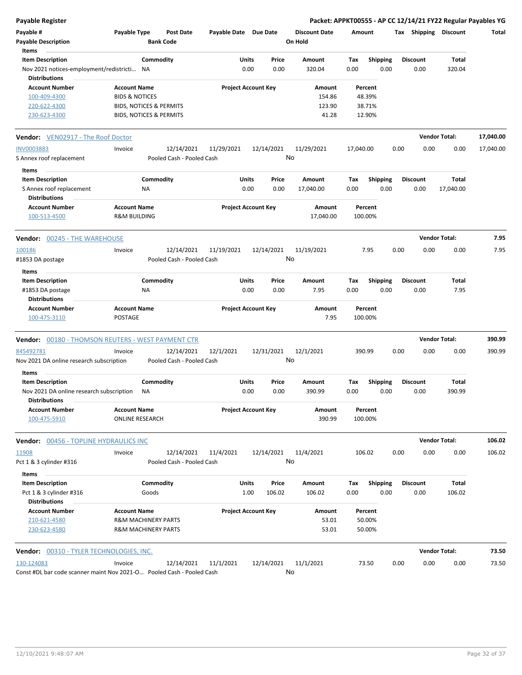**Payable Register Packet: APPKT00555 - AP CC 12/14/21 FY22 Regular Payables YG**

| Payable #<br><b>Payable Description</b>                                                                | Payable Type                                                                                                      | Post Date<br><b>Bank Code</b>           | Payable Date Due Date      |               |               | <b>Discount Date</b><br>On Hold     | Amount      |                                       |      |                         | Tax Shipping Discount | Total     |
|--------------------------------------------------------------------------------------------------------|-------------------------------------------------------------------------------------------------------------------|-----------------------------------------|----------------------------|---------------|---------------|-------------------------------------|-------------|---------------------------------------|------|-------------------------|-----------------------|-----------|
| Items<br><b>Item Description</b><br>Nov 2021 notices-employment/redistricti NA<br><b>Distributions</b> |                                                                                                                   | Commodity                               |                            | Units<br>0.00 | Price<br>0.00 | Amount<br>320.04                    | Тах<br>0.00 | <b>Shipping</b><br>0.00               |      | <b>Discount</b><br>0.00 | Total<br>320.04       |           |
| <b>Account Number</b><br>100-409-4300<br>220-622-4300<br>230-623-4300                                  | <b>Account Name</b><br><b>BIDS &amp; NOTICES</b><br>BIDS, NOTICES & PERMITS<br><b>BIDS, NOTICES &amp; PERMITS</b> |                                         | <b>Project Account Key</b> |               |               | Amount<br>154.86<br>123.90<br>41.28 |             | Percent<br>48.39%<br>38.71%<br>12.90% |      |                         |                       |           |
| <b>Vendor:</b> VEN02917 - The Roof Doctor                                                              |                                                                                                                   |                                         |                            |               |               |                                     |             |                                       |      |                         | <b>Vendor Total:</b>  | 17,040.00 |
| <b>INV0003883</b>                                                                                      | Invoice                                                                                                           | 12/14/2021                              | 11/29/2021                 | 12/14/2021    |               | 11/29/2021                          | 17,040.00   |                                       | 0.00 | 0.00                    | 0.00                  | 17,040.00 |
| S Annex roof replacement                                                                               |                                                                                                                   | Pooled Cash - Pooled Cash               |                            |               | No            |                                     |             |                                       |      |                         |                       |           |
| Items<br><b>Item Description</b><br>S Annex roof replacement<br><b>Distributions</b>                   | ΝA                                                                                                                | Commodity                               |                            | Units<br>0.00 | Price<br>0.00 | Amount<br>17,040.00                 | Tax<br>0.00 | <b>Shipping</b><br>0.00               |      | <b>Discount</b><br>0.00 | Total<br>17,040.00    |           |
| <b>Account Number</b><br>100-513-4500                                                                  | <b>Account Name</b><br><b>R&amp;M BUILDING</b>                                                                    |                                         | <b>Project Account Key</b> |               |               | Amount<br>17,040.00                 | 100.00%     | Percent                               |      |                         |                       |           |
| <b>Vendor:</b> 00245 - THE WAREHOUSE                                                                   |                                                                                                                   |                                         |                            |               |               |                                     |             |                                       |      |                         | <b>Vendor Total:</b>  | 7.95      |
| 100186<br>#1853 DA postage                                                                             | Invoice                                                                                                           | 12/14/2021<br>Pooled Cash - Pooled Cash | 11/19/2021                 | 12/14/2021    | No            | 11/19/2021                          |             | 7.95                                  | 0.00 | 0.00                    | 0.00                  | 7.95      |
| Items<br><b>Item Description</b><br>#1853 DA postage<br><b>Distributions</b>                           | NA                                                                                                                | Commodity                               |                            | Units<br>0.00 | Price<br>0.00 | Amount<br>7.95                      | Tax<br>0.00 | <b>Shipping</b><br>0.00               |      | <b>Discount</b><br>0.00 | Total<br>7.95         |           |
| <b>Account Number</b><br>100-475-3110                                                                  | <b>Account Name</b><br>POSTAGE                                                                                    |                                         | <b>Project Account Key</b> |               |               | Amount<br>7.95                      | 100.00%     | Percent                               |      |                         |                       |           |
| <b>Vendor:</b> 00180 - THOMSON REUTERS - WEST PAYMENT CTR                                              |                                                                                                                   |                                         |                            |               |               |                                     |             |                                       |      |                         | <b>Vendor Total:</b>  | 390.99    |
| 845492781<br>Nov 2021 DA online research subscription<br>Items                                         | Invoice                                                                                                           | 12/14/2021<br>Pooled Cash - Pooled Cash | 12/1/2021                  | 12/31/2021    | No            | 12/1/2021                           | 390.99      |                                       | 0.00 | 0.00                    | 0.00                  | 390.99    |
| <b>Item Description</b><br>Nov 2021 DA online research subscription<br><b>Distributions</b>            | ΝA                                                                                                                | Commodity                               |                            | Units<br>0.00 | Price<br>0.00 | Amount<br>390.99                    | Tax<br>0.00 | <b>Shipping</b><br>0.00               |      | <b>Discount</b><br>0.00 | Total<br>390.99       |           |
| <b>Account Number</b><br>100-475-5910                                                                  | <b>Account Name</b><br><b>ONLINE RESEARCH</b>                                                                     |                                         | <b>Project Account Key</b> |               |               | Amount<br>390.99                    | 100.00%     | Percent                               |      |                         |                       |           |
| <b>Vendor: 00456 - TOPLINE HYDRAULICS INC</b>                                                          |                                                                                                                   |                                         |                            |               |               |                                     |             |                                       |      |                         | <b>Vendor Total:</b>  | 106.02    |
| 11908<br>Pct 1 & 3 cylinder #316<br>Items                                                              | Invoice                                                                                                           | 12/14/2021<br>Pooled Cash - Pooled Cash | 11/4/2021                  | 12/14/2021    | No            | 11/4/2021                           | 106.02      |                                       | 0.00 | 0.00                    | 0.00                  | 106.02    |
| <b>Item Description</b>                                                                                |                                                                                                                   | Commodity                               |                            | Units         | Price         | Amount                              | Тах         | Shipping                              |      | <b>Discount</b>         | Total                 |           |
| Pct 1 & 3 cylinder #316<br><b>Distributions</b>                                                        |                                                                                                                   | Goods                                   |                            | 1.00          | 106.02        | 106.02                              | 0.00        | 0.00                                  |      | 0.00                    | 106.02                |           |
| <b>Account Number</b><br>210-621-4580<br>230-623-4580                                                  | <b>Account Name</b><br><b>R&amp;M MACHINERY PARTS</b><br>R&M MACHINERY PARTS                                      |                                         | <b>Project Account Key</b> |               |               | Amount<br>53.01<br>53.01            |             | Percent<br>50.00%<br>50.00%           |      |                         |                       |           |
|                                                                                                        |                                                                                                                   |                                         |                            |               |               |                                     |             |                                       |      |                         | <b>Vendor Total:</b>  | 73.50     |
| 130-124083<br>Const #DL bar code scanner maint Nov 2021-O Pooled Cash - Pooled Cash                    | Invoice                                                                                                           | 12/14/2021                              | 11/1/2021                  | 12/14/2021    | No            | 11/1/2021                           |             | 73.50                                 | 0.00 | 0.00                    | 0.00                  | 73.50     |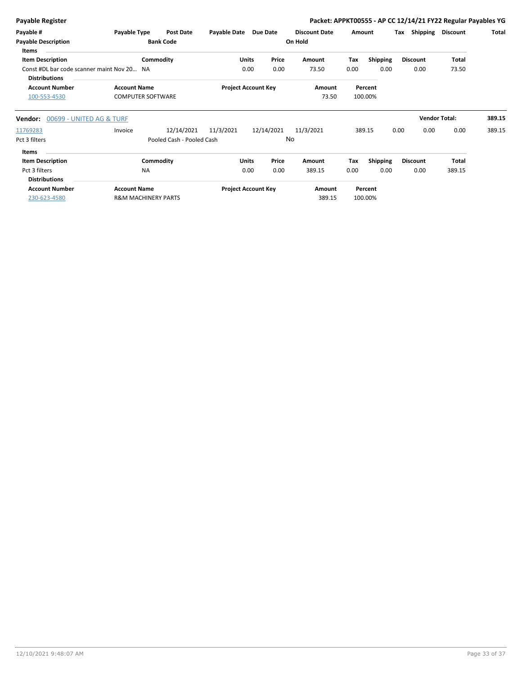| <b>Payable Register</b>                                                                       |                                                       |                                         |              |                            |               |                                 |             |                         |      |                         | Packet: APPKT00555 - AP CC 12/14/21 FY22 Regular Payables YG |        |
|-----------------------------------------------------------------------------------------------|-------------------------------------------------------|-----------------------------------------|--------------|----------------------------|---------------|---------------------------------|-------------|-------------------------|------|-------------------------|--------------------------------------------------------------|--------|
| Payable #<br><b>Payable Description</b><br><b>Items</b>                                       | Payable Type                                          | Post Date<br><b>Bank Code</b>           | Payable Date | Due Date                   |               | <b>Discount Date</b><br>On Hold | Amount      |                         | Tax  | <b>Shipping</b>         | <b>Discount</b>                                              | Total  |
| <b>Item Description</b><br>Const #DL bar code scanner maint Nov 20 NA<br><b>Distributions</b> |                                                       | Commodity                               |              | <b>Units</b><br>0.00       | Price<br>0.00 | Amount<br>73.50                 | Tax<br>0.00 | <b>Shipping</b><br>0.00 |      | <b>Discount</b><br>0.00 | <b>Total</b><br>73.50                                        |        |
| <b>Account Number</b><br>100-553-4530                                                         | <b>Account Name</b><br><b>COMPUTER SOFTWARE</b>       |                                         |              | <b>Project Account Key</b> |               | Amount<br>73.50                 |             | Percent<br>100.00%      |      |                         |                                                              |        |
| 00699 - UNITED AG & TURF<br>Vendor:                                                           |                                                       |                                         |              |                            |               |                                 |             |                         |      | <b>Vendor Total:</b>    |                                                              | 389.15 |
| 11769283<br>Pct 3 filters                                                                     | Invoice                                               | 12/14/2021<br>Pooled Cash - Pooled Cash | 11/3/2021    | 12/14/2021                 |               | 11/3/2021<br><b>No</b>          |             | 389.15                  | 0.00 | 0.00                    | 0.00                                                         | 389.15 |
| Items<br><b>Item Description</b><br>Pct 3 filters<br><b>Distributions</b>                     | <b>NA</b>                                             | Commodity                               |              | <b>Units</b><br>0.00       | Price<br>0.00 | Amount<br>389.15                | Tax<br>0.00 | Shipping<br>0.00        |      | <b>Discount</b><br>0.00 | <b>Total</b><br>389.15                                       |        |
| <b>Account Number</b><br>230-623-4580                                                         | <b>Account Name</b><br><b>R&amp;M MACHINERY PARTS</b> |                                         |              | <b>Project Account Key</b> |               | Amount<br>389.15                |             | Percent<br>100.00%      |      |                         |                                                              |        |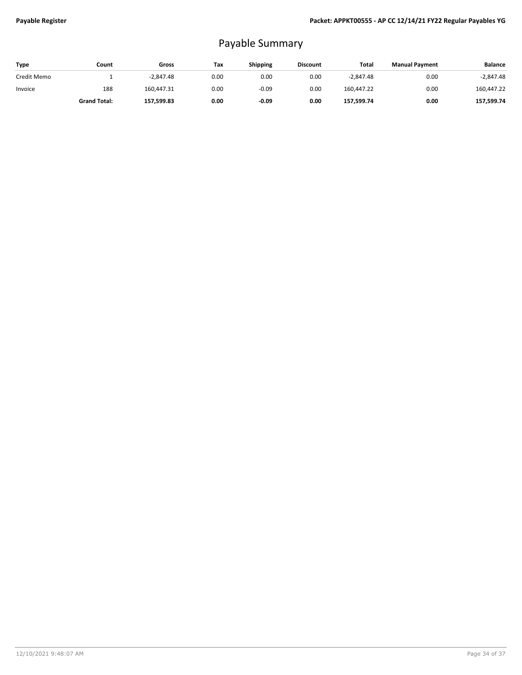## Payable Summary

| Type        | Count               | Gross       | Tax  | <b>Shipping</b> | <b>Discount</b> | Total       | <b>Manual Payment</b> | <b>Balance</b> |
|-------------|---------------------|-------------|------|-----------------|-----------------|-------------|-----------------------|----------------|
| Credit Memo |                     | $-2.847.48$ | 0.00 | 0.00            | 0.00            | $-2.847.48$ | 0.00                  | $-2,847.48$    |
| Invoice     | 188                 | 160,447.31  | 0.00 | $-0.09$         | 0.00            | 160.447.22  | 0.00                  | 160,447.22     |
|             | <b>Grand Total:</b> | 157,599.83  | 0.00 | $-0.09$         | 0.00            | 157,599.74  | 0.00                  | 157,599.74     |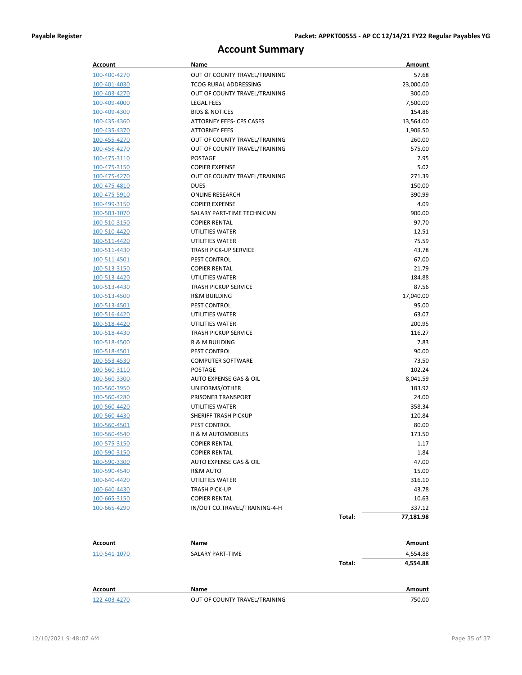## **Account Summary**

| Account                      | Name                                                  |        | Amount    |
|------------------------------|-------------------------------------------------------|--------|-----------|
| 100-400-4270                 | OUT OF COUNTY TRAVEL/TRAINING                         |        | 57.68     |
| 100-401-4030                 | <b>TCOG RURAL ADDRESSING</b>                          |        | 23,000.00 |
| 100-403-4270                 | OUT OF COUNTY TRAVEL/TRAINING                         |        | 300.00    |
| 100-409-4000                 | <b>LEGAL FEES</b>                                     |        | 7,500.00  |
| 100-409-4300                 | <b>BIDS &amp; NOTICES</b>                             |        | 154.86    |
| 100-435-4360                 | ATTORNEY FEES- CPS CASES                              |        | 13,564.00 |
| 100-435-4370                 | <b>ATTORNEY FEES</b>                                  |        | 1,906.50  |
| 100-455-4270                 | OUT OF COUNTY TRAVEL/TRAINING                         |        | 260.00    |
| 100-456-4270                 | OUT OF COUNTY TRAVEL/TRAINING                         |        | 575.00    |
| 100-475-3110                 | <b>POSTAGE</b>                                        |        | 7.95      |
| <u>100-475-3150</u>          | <b>COPIER EXPENSE</b>                                 |        | 5.02      |
| 100-475-4270                 | OUT OF COUNTY TRAVEL/TRAINING                         |        | 271.39    |
| 100-475-4810                 | <b>DUES</b>                                           |        | 150.00    |
| 100-475-5910                 | <b>ONLINE RESEARCH</b>                                |        | 390.99    |
| 100-499-3150                 | <b>COPIER EXPENSE</b>                                 |        | 4.09      |
| <u>100-503-1070</u>          | SALARY PART-TIME TECHNICIAN                           |        | 900.00    |
| 100-510-3150                 | <b>COPIER RENTAL</b>                                  |        | 97.70     |
| 100-510-4420                 | UTILITIES WATER                                       |        | 12.51     |
| 100-511-4420                 | UTILITIES WATER                                       |        | 75.59     |
| 100-511-4430                 | <b>TRASH PICK-UP SERVICE</b>                          |        | 43.78     |
| 100-511-4501                 | <b>PEST CONTROL</b>                                   |        | 67.00     |
| 100-513-3150                 | <b>COPIER RENTAL</b>                                  |        | 21.79     |
| 100-513-4420                 | UTILITIES WATER                                       |        | 184.88    |
| 100-513-4430                 | <b>TRASH PICKUP SERVICE</b>                           |        | 87.56     |
| 100-513-4500                 | <b>R&amp;M BUILDING</b>                               |        | 17,040.00 |
| <u>100-513-4501</u>          | <b>PEST CONTROL</b>                                   |        | 95.00     |
| 100-516-4420                 | UTILITIES WATER                                       |        | 63.07     |
| 100-518-4420                 | UTILITIES WATER                                       |        | 200.95    |
| 100-518-4430                 | <b>TRASH PICKUP SERVICE</b>                           |        | 116.27    |
| 100-518-4500                 | R & M BUILDING                                        |        | 7.83      |
| <u>100-518-4501</u>          | <b>PEST CONTROL</b>                                   |        | 90.00     |
| 100-553-4530                 | <b>COMPUTER SOFTWARE</b>                              |        | 73.50     |
| 100-560-3110                 | <b>POSTAGE</b>                                        |        | 102.24    |
| 100-560-3300                 | AUTO EXPENSE GAS & OIL                                |        | 8,041.59  |
| 100-560-3950                 | UNIFORMS/OTHER                                        |        | 183.92    |
| 100-560-4280                 | PRISONER TRANSPORT                                    |        | 24.00     |
| 100-560-4420                 | UTILITIES WATER                                       |        | 358.34    |
| 100-560-4430                 | SHERIFF TRASH PICKUP                                  |        | 120.84    |
| 100-560-4501                 | PEST CONTROL                                          |        | 80.00     |
| 100-560-4540                 | R & M AUTOMOBILES                                     |        | 173.50    |
| 100-575-3150                 | <b>COPIER RENTAL</b>                                  |        | 1.17      |
| 100-590-3150                 | <b>COPIER RENTAL</b>                                  |        | 1.84      |
|                              | AUTO EXPENSE GAS & OIL                                |        | 47.00     |
| 100-590-3300<br>100-590-4540 | R&M AUTO                                              |        | 15.00     |
|                              | UTILITIES WATER                                       |        | 316.10    |
| 100-640-4420                 |                                                       |        |           |
| 100-640-4430                 | TRASH PICK-UP                                         |        | 43.78     |
| 100-665-3150                 | <b>COPIER RENTAL</b><br>IN/OUT CO.TRAVEL/TRAINING-4-H |        | 10.63     |
| 100-665-4290                 |                                                       |        | 337.12    |
|                              |                                                       | Total: | 77,181.98 |

| Account      | Name                          |        | Amount   |
|--------------|-------------------------------|--------|----------|
| 110-541-1070 | <b>SALARY PART-TIME</b>       |        | 4,554.88 |
|              |                               | Total: | 4,554.88 |
| Account      | Name                          |        | Amount   |
| 122-403-4270 | OUT OF COUNTY TRAVEL/TRAINING |        | 750.00   |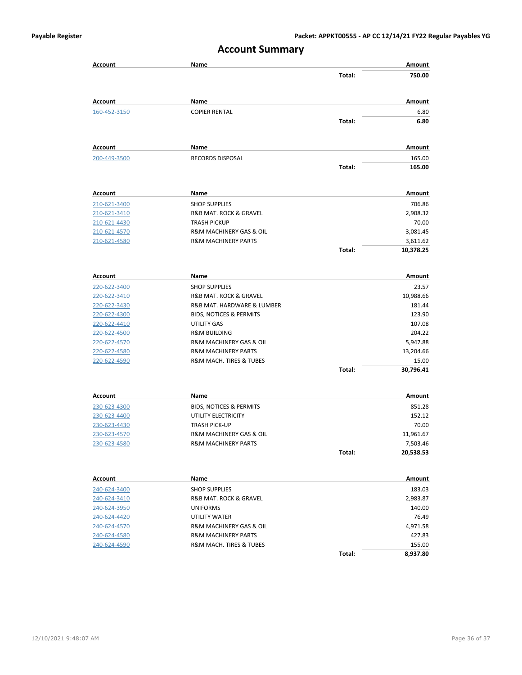| <b>Account Summary</b> |                                    |        |           |
|------------------------|------------------------------------|--------|-----------|
| <b>Account</b>         | Name                               |        | Amount    |
|                        |                                    | Total: | 750.00    |
| Account                | Name                               |        | Amount    |
| 160-452-3150           | <b>COPIER RENTAL</b>               |        | 6.80      |
|                        |                                    | Total: | 6.80      |
| Account                | Name                               |        | Amount    |
| 200-449-3500           | <b>RECORDS DISPOSAL</b>            |        | 165.00    |
|                        |                                    | Total: | 165.00    |
| Account                | Name                               |        | Amount    |
| 210-621-3400           | <b>SHOP SUPPLIES</b>               |        | 706.86    |
| 210-621-3410           | R&B MAT. ROCK & GRAVEL             |        | 2,908.32  |
| 210-621-4430           | <b>TRASH PICKUP</b>                |        | 70.00     |
| 210-621-4570           | R&M MACHINERY GAS & OIL            |        | 3,081.45  |
| 210-621-4580           | <b>R&amp;M MACHINERY PARTS</b>     |        | 3,611.62  |
|                        |                                    | Total: | 10,378.25 |
| Account                | Name                               |        | Amount    |
| <u>220-622-3400</u>    | <b>SHOP SUPPLIES</b>               |        | 23.57     |
| <u>220-622-3410</u>    | R&B MAT. ROCK & GRAVEL             |        | 10,988.66 |
| 220-622-3430           | R&B MAT. HARDWARE & LUMBER         |        | 181.44    |
| 220-622-4300           | BIDS, NOTICES & PERMITS            |        | 123.90    |
| <u>220-622-4410</u>    | UTILITY GAS                        |        | 107.08    |
| 220-622-4500           | <b>R&amp;M BUILDING</b>            |        | 204.22    |
| <u>220-622-4570</u>    | R&M MACHINERY GAS & OIL            |        | 5,947.88  |
| 220-622-4580           | <b>R&amp;M MACHINERY PARTS</b>     |        | 13,204.66 |
| 220-622-4590           | R&M MACH. TIRES & TUBES            |        | 15.00     |
|                        |                                    | Total: | 30,796.41 |
| Account                | Name                               |        | Amount    |
| 230-623-4300           | <b>BIDS, NOTICES &amp; PERMITS</b> |        | 851.28    |
| 230-623-4400           | UTILITY ELECTRICITY                |        | 152.12    |
| 230-623-4430           | <b>TRASH PICK-UP</b>               |        | 70.00     |
| 230-623-4570           | R&M MACHINERY GAS & OIL            |        | 11,961.67 |
| 230-623-4580           | <b>R&amp;M MACHINERY PARTS</b>     |        | 7,503.46  |
|                        |                                    | Total: | 20,538.53 |
| <b>Account</b>         | Name                               |        | Amount    |
| 240-624-3400           | <b>SHOP SUPPLIES</b>               |        | 183.03    |
| 240-624-3410           | R&B MAT. ROCK & GRAVEL             |        | 2,983.87  |
| 240-624-3950           | <b>UNIFORMS</b>                    |        | 140.00    |
| 240-624-4420           | UTILITY WATER                      |        | 76.49     |
| 240-624-4570           | R&M MACHINERY GAS & OIL            |        | 4,971.58  |
| 240-624-4580           | <b>R&amp;M MACHINERY PARTS</b>     |        | 427.83    |
| 240-624-4590           | R&M MACH. TIRES & TUBES            |        | 155.00    |
|                        |                                    | Total: | 8,937.80  |

#### **Account Summary**